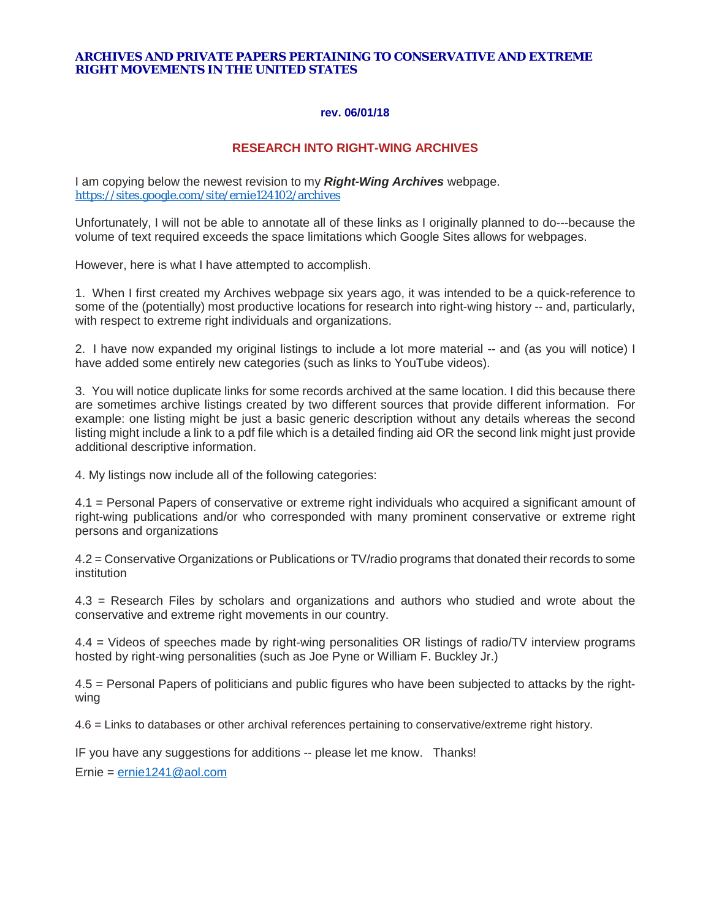#### **ARCHIVES AND PRIVATE PAPERS PERTAINING TO CONSERVATIVE AND EXTREME RIGHT MOVEMENTS IN THE UNITED STATES**

#### **rev. 06/01/18**

#### **RESEARCH INTO RIGHT-WING ARCHIVES**

I am copying below the newest revision to my *Right-Wing Archives* webpage. <https://sites.google.com/site/ernie124102/archives>

Unfortunately, I will not be able to annotate all of these links as I originally planned to do---because the volume of text required exceeds the space limitations which Google Sites allows for webpages.

However, here is what I have attempted to accomplish.

1. When I first created my Archives webpage six years ago, it was intended to be a quick-reference to some of the (potentially) most productive locations for research into right-wing history -- and, particularly, with respect to extreme right individuals and organizations.

2. I have now expanded my original listings to include a lot more material -- and (as you will notice) I have added some entirely new categories (such as links to YouTube videos).

3. You will notice duplicate links for some records archived at the same location. I did this because there are sometimes archive listings created by two different sources that provide different information. For example: one listing might be just a basic generic description without any details whereas the second listing might include a link to a pdf file which is a detailed finding aid OR the second link might just provide additional descriptive information.

4. My listings now include all of the following categories:

4.1 = Personal Papers of conservative or extreme right individuals who acquired a significant amount of right-wing publications and/or who corresponded with many prominent conservative or extreme right persons and organizations

4.2 = Conservative Organizations or Publications or TV/radio programs that donated their records to some institution

4.3 = Research Files by scholars and organizations and authors who studied and wrote about the conservative and extreme right movements in our country.

4.4 = Videos of speeches made by right-wing personalities OR listings of radio/TV interview programs hosted by right-wing personalities (such as Joe Pyne or William F. Buckley Jr.)

4.5 = Personal Papers of politicians and public figures who have been subjected to attacks by the rightwing

4.6 = Links to databases or other archival references pertaining to conservative/extreme right history.

IF you have any suggestions for additions -- please let me know. Thanks!

Ernie = [ernie1241@aol.com](mailto:ernie1241@aol.com)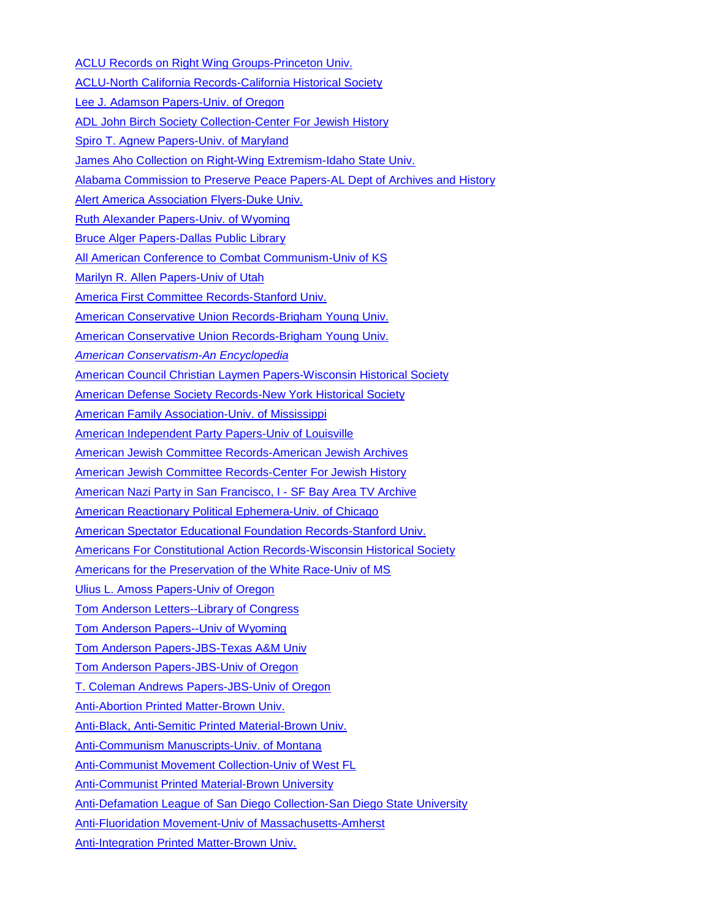[ACLU Records on Right Wing Groups-Princeton Univ.](http://findingaids.princeton.edu/collections/MC001.02.03/c000072) [ACLU-North California Records-California Historical Society](https://beta.worldcat.org/archivegrid/collection/data/122642406) [Lee J. Adamson Papers-Univ.](http://archiveswest.orbiscascade.org/ark:/80444/xv71491) of Oregon [ADL John Birch Society Collection-Center For Jewish History](http://findingaids.cjh.org/?pID=1287902) [Spiro T. Agnew Papers-Univ. of Maryland](https://beta.worldcat.org/archivegrid/collection/data/105768476) [James Aho Collection on Right-Wing Extremism-Idaho State Univ.](http://libpublic2.eol.isu.edu/documents/btl202spring.pdf) [Alabama Commission to Preserve Peace Papers-AL Dept of Archives and History](https://beta.worldcat.org/archivegrid/collection/data/122498744) [Alert America Association Flyers-Duke Univ.](https://beta.worldcat.org/archivegrid/collection/data/881278132) [Ruth Alexander Papers-Univ. of Wyoming](https://beta.worldcat.org/archivegrid/collection/data/30790521) [Bruce Alger Papers-Dallas Public Library](http://www.lib.utexas.edu/taro/dalpub/08311/dpub-08311.html) [All American Conference to Combat Communism-Univ of KS](https://beta.worldcat.org/archivegrid/collection/data/191201290) [Marilyn R. Allen Papers-Univ of Utah](https://beta.worldcat.org/archivegrid/collection/data/449252726) [America First Committee](http://www.oac.cdlib.org/findaid/ark:/13030/tf9s20075g/) Records-Stanford Univ. [American Conservative Union Records-Brigham Young Univ.](https://findingaid.lib.byu.edu/viewItem/MSS%20176) [American Conservative Union Records-Brigham Young Univ.](https://beta.worldcat.org/archivegrid/collection/data/122322655) *[American Conservatism-An Encyclopedia](https://www.amazon.com/American-Conservatism-Encyclopedia-Bruce-Frohnen/dp/1932236430/ref=mt_hardcover?_encoding=UTF8&me=)* [American Council Christian Laymen Papers-Wisconsin Historical Society](https://beta.worldcat.org/archivegrid/collection/data/17270724) [American Defense Society Records-New York Historical Society](https://beta.worldcat.org/archivegrid/collection/data/58776278) [American Family Association-Univ. of Mississippi](https://libraries.olemiss.edu/specialcollectionspages/finding-aids/mum00008/#d0e42) [American Independent Party Papers-Univ of Louisville](https://nyx.uky.edu/fa/findingaid/?id=xt7zs756fb3x) [American Jewish Committee Records-American Jewish Archives](http://collections.americanjewisharchives.org/ms/ms0780/ms0780.html) [American Jewish Committee Records-Center For Jewish History](http://findingaids.cjh.org/?pID=1863760) [American Nazi Party in San Francisco, I -](https://diva.sfsu.edu/collections/sfbatv/bundles/190104) SF Bay Area TV Archive [American Reactionary Political Ephemera-Univ. of Chicago](https://www.lib.uchicago.edu/e/scrc/findingaids/view.php?eadid=ICU.SPCL.REACTIONARYEPHEMERA) [American Spectator Educational Foundation Records-Stanford Univ.](https://beta.worldcat.org/archivegrid/collection/data/122369647) [Americans For Constitutional Action Records-Wisconsin Historical Society](http://digicoll.library.wisc.edu/cgi/f/findaid/findaid-idx?c=wiarchives;view=reslist;subview=standard;didno=uw-whs-mss00309) [Americans for the Preservation of the White Race-Univ of MS](http://www.olemiss.edu/depts/general_library/archives/finding_aids/MUM00009.html) [Ulius L. Amoss Papers-Univ of Oregon](http://archiveswest.orbiscascade.org/ark:/80444/xv35579/) [Tom Anderson Letters--Library of Congress](https://beta.worldcat.org/archivegrid/collection/data/28409983) [Tom Anderson Papers--Univ of Wyoming](https://beta.worldcat.org/archivegrid/collection/data/30956241) [Tom Anderson Papers-JBS-Texas A&M Univ](https://beta.worldcat.org/archivegrid/collection/data/37557146) [Tom Anderson Papers-JBS-Univ of Oregon](https://beta.worldcat.org/archivegrid/collection/data/19639724) [T. Coleman Andrews Papers-JBS-Univ of Oregon](https://beta.worldcat.org/archivegrid/collection/data/18939977) [Anti-Abortion Printed Matter-Brown Univ.](https://beta.worldcat.org/archivegrid/collection/data/122529460) [Anti-Black, Anti-Semitic Printed Material-Brown Univ.](https://beta.worldcat.org/archivegrid/collection/data/122493064) [Anti-Communism Manuscripts-Univ. of Montana](https://beta.worldcat.org/archivegrid/collection/data/42929411) [Anti-Communist Movement Collection-Univ of West FL](https://beta.worldcat.org/archivegrid/collection/data/49698674) [Anti-Communist Printed Material-Brown University](https://beta.worldcat.org/archivegrid/collection/data/122544524) [Anti-Defamation League of San Diego Collection-San Diego State University](https://scua2.sdsu.edu/archon/?p=collections/controlcard&id=265) [Anti-Fluoridation Movement-Univ of Massachusetts-Amherst](http://scua.library.umass.edu/umarmot/category/social-change/antifluoridation/) [Anti-Integration Printed Matter-Brown Univ.](https://beta.worldcat.org/archivegrid/collection/data/122491529)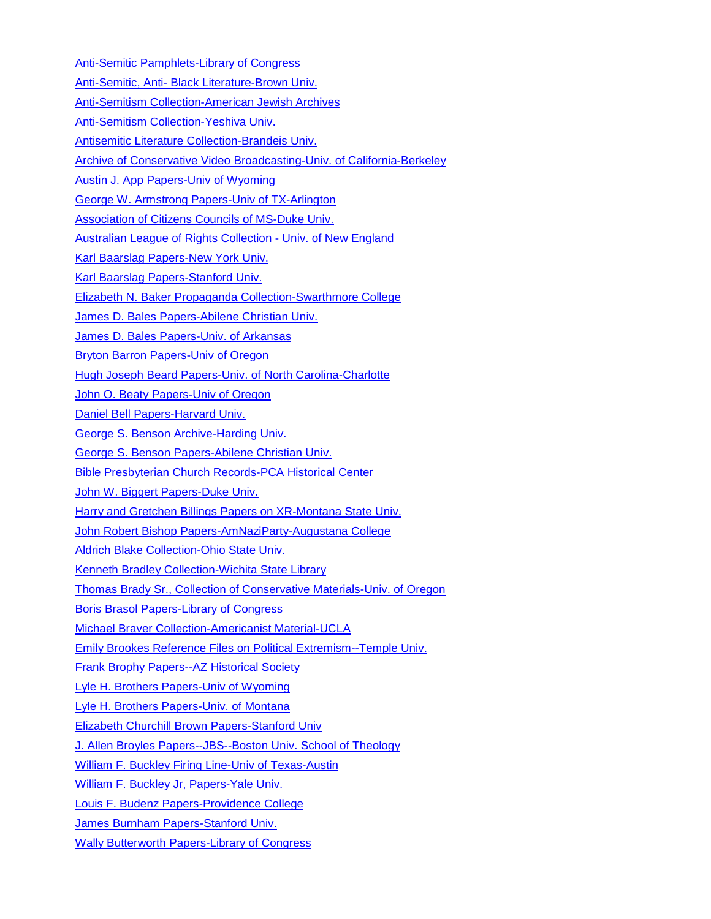[Anti-Semitic Pamphlets-Library of Congress](https://beta.worldcat.org/archivegrid/collection/data/32396268) Anti-Semitic, Anti- [Black Literature-Brown Univ.](https://beta.worldcat.org/archivegrid/collection/data/122348856) [Anti-Semitism Collection-American Jewish Archives](http://collections.americanjewisharchives.org/ms/ms0290/ms0290.html) [Anti-Semitism Collection-Yeshiva Univ.](https://beta.worldcat.org/archivegrid/collection/data/122688362) [Antisemitic Literature Collection-Brandeis Univ.](http://findingaids.cjh.org/?pID=109172) [Archive of Conservative Video Broadcasting-Univ. of California-Berkeley](http://crws.berkeley.edu/video-archive/about) [Austin J. App Papers-Univ of Wyoming](https://beta.worldcat.org/archivegrid/collection/data/29643278) [George W. Armstrong Papers-Univ of TX-Arlington](http://www.lib.utexas.edu/taro/utarl/02416/arl-02416.html) Association of [Citizens Councils of MS-Duke Univ.](https://beta.worldcat.org/archivegrid/collection/data/880720420) [Australian League of Rights Collection -](http://www.une.edu.au/info-for/visitors/collections/special-collections/australian-league-of-rights-collection) Univ. of New England [Karl Baarslag Papers-New York Univ.](http://dlib.nyu.edu/findingaids/html/tamwag/tam_148/dscref1325.html) [Karl Baarslag Papers-Stanford Univ.](http://www.oac.cdlib.org/findaid/ark:/13030/kt8k4035m9/) [Elizabeth N. Baker Propaganda Collection-Swarthmore College](https://beta.worldcat.org/archivegrid/collection/data/49555820) [James D. Bales Papers-Abilene Christian Univ.](https://beta.worldcat.org/archivegrid/collection/data/879879367) [James D. Bales Papers-Univ. of Arkansas](https://libraries.uark.edu/specialcollections/findingaids/mc1256/) [Bryton Barron Papers-Univ of Oregon](http://archiveswest.orbiscascade.org/ark:/80444/xv96124) [Hugh Joseph Beard Papers-Univ. of North Carolina-Charlotte](https://beta.worldcat.org/archivegrid/collection/data/841572254) [John O. Beaty Papers-Univ of Oregon](https://beta.worldcat.org/archivegrid/collection/data/19336654) [Daniel Bell Papers-Harvard Univ.](http://oasis.lib.harvard.edu/oasis/deliver/deepLink?_collection=oasis&uniqueId=hua05017) [George S. Benson Archive-Harding Univ.](https://beta.worldcat.org/archivegrid/collection/data/55621210) [George S. Benson Papers-Abilene Christian Univ.](https://beta.worldcat.org/archivegrid/collection/data/879646992) [Bible Presbyterian Church Records-P](https://beta.worldcat.org/archivegrid/collection/data/32348961)CA Historical Center [John W. Biggert Papers-Duke Univ.](https://beta.worldcat.org/archivegrid/collection/data/868146624) [Harry and Gretchen Billings Papers on XR-Montana State Univ.](http://archiveswest.orbiscascade.org/ark:/80444/xv97567) [John Robert Bishop Papers-AmNaziParty-Augustana College](https://beta.worldcat.org/archivegrid/collection/data/911046181) [Aldrich Blake Collection-Ohio State Univ.](https://library.osu.edu/finding-aids/ead/RARE/SPEC.RARE.0031.xml#idp1638695464) [Kenneth Bradley Collection-Wichita State Library](http://specialcollections.wichita.edu/collections/ms/88-29/88-29-A.HTML) [Thomas Brady Sr., Collection of Conservative Materials-Univ. of Oregon](http://archiveswest.orbiscascade.org/ark:/80444/xv93695#overview) [Boris Brasol Papers-Library of Congress](http://findingaids.loc.gov/db/search/xq/searchMfer02.xq?_id=loc.mss.eadmss.ms011021&_faSection=overview&_faSubsection=did&_dmdid=) [Michael Braver Collection-Americanist Material-UCLA](http://www.oac.cdlib.org/findaid/ark:/13030/kt3k4031dq/) [Emily Brookes Reference Files on Political Extremism--Temple Univ.](https://library.temple.edu/scrc/emily-brookes-reference-files) [Frank Brophy Papers--AZ Historical Society](https://beta.worldcat.org/archivegrid/collection/data/49605407) [Lyle H. Brothers Papers-Univ of Wyoming](https://beta.worldcat.org/archivegrid/collection/data/60610919) [Lyle H. Brothers Papers-Univ. of Montana](https://rmoa.unm.edu/docviewer.php?docId=wyu-ah08287.xml) [Elizabeth Churchill Brown Papers-Stanford Univ](http://www.oac.cdlib.org/findaid/ark:/13030/tf3k4002v7/?query=%22Joseph+McCarthy%22) [J. Allen Broyles Papers--JBS--Boston Univ. School of Theology](http://sth-archon.bu.edu/?p=collections/findingaid&id=416&q=&rootcontentid=5898) William F. Buckley Firing [Line-Univ of Texas-Austin](http://www.lib.utexas.edu/taro/utcah/02704/cah-02704.html) [William F. Buckley Jr, Papers-Yale Univ.](https://beta.worldcat.org/archivegrid/collection/data/702156596) [Louis F. Budenz Papers-Providence College](https://beta.worldcat.org/archivegrid/collection/data/501049981) [James Burnham Papers-Stanford Univ.](https://beta.worldcat.org/archivegrid/collection/data/123458496) [Wally Butterworth Papers-Library of Congress](https://beta.worldcat.org/archivegrid/collection/data/28413180)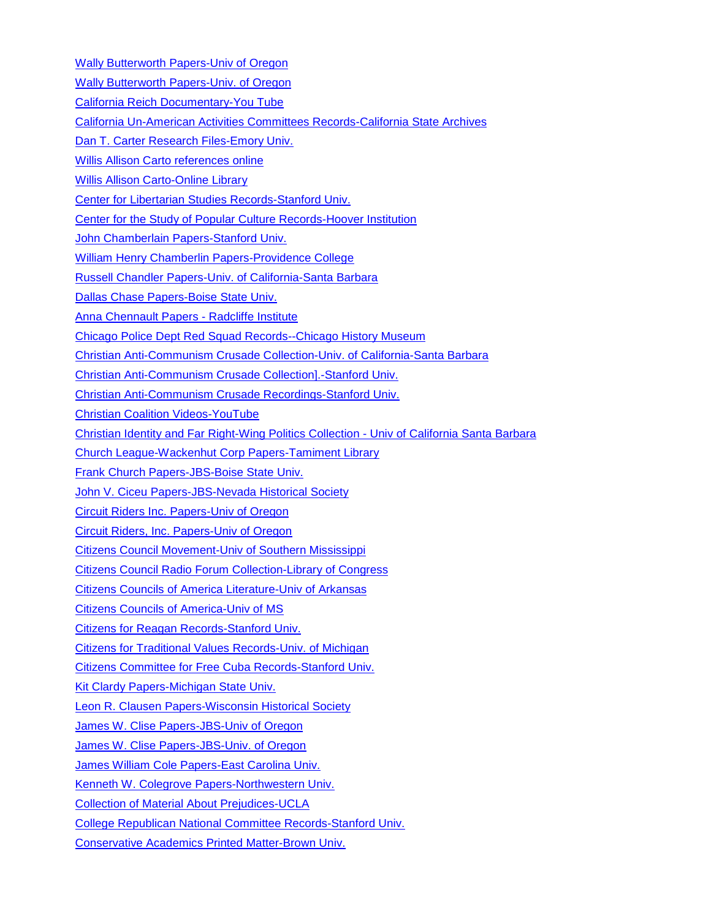[Wally Butterworth Papers-Univ of Oregon](http://archiveswest.orbiscascade.org/ark:/80444/xv60544)

[Wally Butterworth Papers-Univ. of Oregon](https://beta.worldcat.org/archivegrid/collection/data/19273801)

[California Reich Documentary-You Tube](https://www.youtube.com/results?search_query=california+reich)

[California Un-American Activities Committees Records-California State Archives](http://www.oac.cdlib.org/findaid/ark:/13030/ft9p3007qg/)

[Dan T. Carter Research Files-Emory Univ.](https://beta.worldcat.org/archivegrid/collection/data/664135869)

[Willis Allison Carto references online](https://www.google.com/search?q=willis+carto+papers&sa=N&rlz=1C1CHBF_enUS771US771&tbm=isch&tbo=u&source=univ&ved=0ahUKEwierOCC1aHbAhWVKn0KHajnA9U4ChCwBAhF&biw=1920&bih=900)

[Willis Allison Carto-Online Library](http://willisacartolibrary.com/category/about/)

[Center for Libertarian Studies Records-Stanford Univ.](http://www.oac.cdlib.org/findaid/ark:/13030/kt4290334k/)

[Center for the Study of Popular Culture Records-Hoover Institution](http://www.oac.cdlib.org/findaid/ark:/13030/kt3489q98b/)

[John Chamberlain Papers-Stanford Univ.](http://www.oac.cdlib.org/findaid/ark:/13030/kt7k40378s/)

[William Henry Chamberlin Papers-Providence College](https://beta.worldcat.org/archivegrid/collection/data/71012879)

[Russell Chandler Papers-Univ. of California-Santa Barbara](http://pdf.oac.cdlib.org/pdf/ucsb/spcoll/chandler00.pdf)

[Dallas Chase Papers-Boise State Univ.](http://archiveswest.orbiscascade.org/ark:/80444/xv98901)

[Anna Chennault Papers -](http://oasis.lib.harvard.edu/oasis/deliver/deepLink?_collection=oasis&uniqueId=sch01118) Radcliffe Institute

[Chicago Police Dept Red Squad Records--Chicago History Museum](http://libguides.chicagohistory.org/research/redsquad)

[Christian Anti-Communism Crusade Collection-Univ. of California-Santa Barbara](https://beta.worldcat.org/archivegrid/collection/data/881050093)

[Christian Anti-Communism Crusade Collection\].-Stanford Univ.](https://beta.worldcat.org/archivegrid/collection/data/697778985)

[Christian Anti-Communism Crusade Recordings-Stanford Univ.](http://www.oac.cdlib.org/findaid/ark:/13030/kt0p3034cc/?query=anti-communism)

[Christian Coalition Videos-YouTube](https://www.youtube.com/results?search_query=%22Christian+Coalition%22)

[Christian Identity and Far Right-Wing](https://oac.cdlib.org/findaid/ark:/13030/c82z1b60/entire_text/) Politics Collection - Univ of California Santa Barbara

[Church League-Wackenhut Corp Papers-Tamiment Library](http://dlib.nyu.edu/findingaids/html/tamwag/tam_148/)

[Frank Church Papers-JBS-Boise State Univ.](http://archiveswest.orbiscascade.org/ark:/80444/xv50912)

[John V. Ciceu Papers-JBS-Nevada Historical Society](https://beta.worldcat.org/archivegrid/collection/data/612365840)

[Circuit Riders Inc. Papers-Univ of Oregon](https://beta.worldcat.org/archivegrid/collection/data/75691449)

[Circuit Riders, Inc. Papers-Univ of Oregon](http://archiveswest.orbiscascade.org/ark:/80444/xv69783)

[Citizens Council Movement-Univ of Southern Mississippi](http://www.lib.usm.edu/legacy/archives/m099.htm)

[Citizens Council Radio Forum Collection-Library of Congress](https://www.loc.gov/folklife/civilrights/survey/view_collection.php?coll_id=1254)

[Citizens Councils of America Literature-Univ of Arkansas](https://beta.worldcat.org/archivegrid/collection/data/28896833)

[Citizens Councils of America-Univ of MS](http://www.olemiss.edu/depts/general_library/archives/finding_aids/MUM00072.html#d3e142)

[Citizens for Reagan Records-Stanford Univ.](http://www.oac.cdlib.org/findaid/ark:/13030/kt7w1036nz/)

[Citizens for Traditional Values Records-Univ. of Michigan](https://beta.worldcat.org/archivegrid/collection/data/81640737)

[Citizens Committee for Free Cuba Records-Stanford Univ.](https://beta.worldcat.org/archivegrid/collection/data/754870030)

[Kit Clardy Papers-Michigan State Univ.](https://beta.worldcat.org/archivegrid/collection/data/850933234)

[Leon R. Clausen Papers-Wisconsin Historical Society](https://beta.worldcat.org/archivegrid/collection/data/272956008)

[James W. Clise Papers-JBS-Univ of Oregon](https://beta.worldcat.org/archivegrid/collection/data/18766403)

[James W. Clise Papers-JBS-Univ. of Oregon](http://archiveswest.orbiscascade.org/ark:/80444/xv02407)

[James William Cole Papers-East Carolina Univ.](https://beta.worldcat.org/archivegrid/collection/data/268958859)

[Kenneth W. Colegrove Papers-Northwestern Univ.](http://findingaids.library.northwestern.edu/catalog/inu-ead-nua-archon-1223)

[Collection of Material About Prejudices-UCLA](http://www.oac.cdlib.org/findaid/ark:/13030/kt7p302052/)

[College Republican National Committee Records-Stanford Univ.](https://beta.worldcat.org/archivegrid/collection/data/754872160)

[Conservative Academics Printed Matter-Brown Univ.](https://beta.worldcat.org/archivegrid/collection/data/122529490)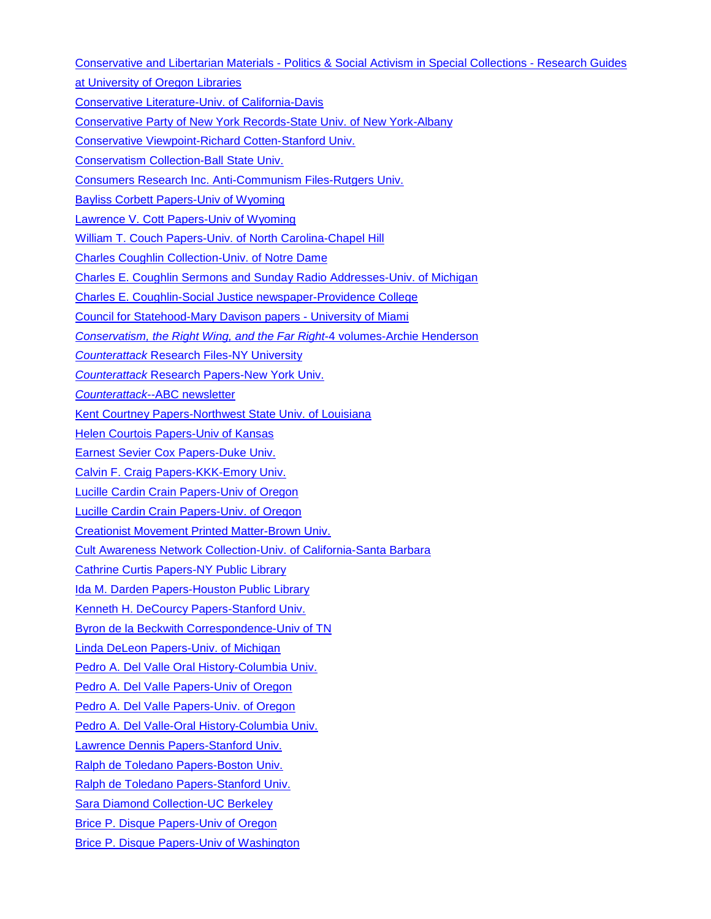Conservative and Libertarian Materials - [Politics & Social Activism in Special Collections -](http://researchguides.uoregon.edu/scua-politics/conservative) Research Guides

[at University of Oregon Libraries](http://researchguides.uoregon.edu/scua-politics/conservative)

[Conservative Literature-Univ. of California-Davis](https://beta.worldcat.org/archivegrid/collection/data/870465632)

[Conservative Party of New York Records-State Univ. of New York-Albany](http://meg.library.albany.edu:8080/archive/view?docId=apap060.xml)

[Conservative Viewpoint-Richard Cotten-Stanford Univ.](https://beta.worldcat.org/archivegrid/collection/data/122566343)

[Conservatism Collection-Ball State Univ.](http://www.bsu.edu/libraries/archives/findingaids/SPEC004.html)

[Consumers Research Inc. Anti-Communism Files-Rutgers Univ.](https://beta.worldcat.org/archivegrid/collection/data/122358315)

[Bayliss Corbett Papers-Univ of Wyoming](https://beta.worldcat.org/archivegrid/collection/data/62128890)

[Lawrence V. Cott Papers-Univ of Wyoming](https://beta.worldcat.org/archivegrid/collection/data/77562162)

[William T. Couch Papers-Univ. of North Carolina-Chapel Hill](https://beta.worldcat.org/archivegrid/collection/data/27190223)

[Charles Coughlin Collection-Univ. of Notre Dame](http://archives.nd.edu/findaids/ead/xml/cgh.xml)

[Charles E. Coughlin Sermons and Sunday Radio Addresses-Univ. of Michigan](http://quod.lib.umich.edu/cgi/f/findaid/findaid-idx?c=bhlead;idno=umich-bhl-02156)

[Charles E. Coughlin-Social Justice newspaper-Providence College](https://beta.worldcat.org/archivegrid/collection/data/428447662)

[Council for Statehood-Mary Davison papers -](https://atom.library.miami.edu/downloads/asm0661.pdf) University of Miami

*[Conservatism, the Right Wing, and the Far Right](https://cup.columbia.edu/book/conservatism-the-right-wing-and-the-far-right-four-volume-set/9783838211954)*-4 volumes-Archie Henderson

*Counterattack* [Research Files-NY University](https://beta.worldcat.org/archivegrid/collection/data/476988874)

*Counterattack* [Research Papers-New York Univ.](http://dlib.nyu.edu/findingaids/html/tamwag/tam_148/dscref2581.html)

*Counterattack*[--ABC newsletter](http://library.bloomu.edu/Archives/SC/RadicalNewsletters/Counterattack/counterattack.htm)

[Kent Courtney Papers-Northwest State Univ. of Louisiana](http://library.nsula.edu/assets/CGHRC_Finding/courtneykent.htm)

**[Helen Courtois Papers-Univ of Kansas](https://beta.worldcat.org/archivegrid/collection/data/181100148)** 

[Earnest Sevier Cox Papers-Duke Univ.](https://beta.worldcat.org/archivegrid/collection/data/18219168)

[Calvin F. Craig Papers-KKK-Emory Univ.](https://findingaids.library.emory.edu/documents/craig612/)

[Lucille Cardin Crain Papers-Univ of Oregon](https://beta.worldcat.org/archivegrid/collection/data/18266141)

[Lucille Cardin Crain Papers-Univ. of Oregon](http://archiveswest.orbiscascade.org/ark:/80444/xv68414)

[Creationist Movement Printed Matter-Brown Univ.](https://beta.worldcat.org/archivegrid/collection/data/122450391)

[Cult Awareness Network Collection-Univ. of California-Santa Barbara](http://pdf.oac.cdlib.org/pdf/ucsb/spcoll/cusb_arcmss19.pdf)

[Cathrine Curtis Papers-NY Public Library](http://archives.nypl.org/mss/708)

[Ida M. Darden Papers-Houston Public Library](http://www.lib.utexas.edu/taro/houpub/00003/hpub-00003.html)

[Kenneth H. DeCourcy Papers-Stanford Univ.](http://www.oac.cdlib.org/findaid/ark:/13030/kt9d5nd5g3/)

[Byron de la Beckwith Correspondence-Univ of TN](http://dlc.lib.utk.edu/spc/view?docId=ead/0012_002749_000000_0000/0012_002749_000000_0000.xml;query=Ku%20Klux%20Klan;brand=default)

[Linda DeLeon Papers-Univ. of](https://beta.worldcat.org/archivegrid/collection/data/857795988) Michigan

[Pedro A. Del Valle Oral History-Columbia Univ.](http://www.worldcat.org/title/reminiscences-of-pedro-augusto-del-valle-oral-history-1966/oclc/122527404)

[Pedro A. Del Valle Papers-Univ of Oregon](https://beta.worldcat.org/archivegrid/collection/data/19081869)

[Pedro A. Del Valle Papers-Univ. of Oregon](http://archiveswest.orbiscascade.org/ark:/80444/xv35240)

[Pedro A. Del Valle-Oral History-Columbia Univ.](https://beta.worldcat.org/archivegrid/collection/data/122527404)

[Lawrence Dennis Papers-Stanford Univ.](http://www.oac.cdlib.org/findaid/ark:/13030/tf7n39n994/)

[Ralph de Toledano Papers-Boston Univ.](https://beta.worldcat.org/archivegrid/collection/data/70962626)

[Ralph de Toledano Papers-Stanford Univ.](https://beta.worldcat.org/archivegrid/collection/data/754869876)

[Sara Diamond Collection-UC Berkeley](https://beta.worldcat.org/archivegrid/collection/data/907544951)

[Brice P. Disque Papers-Univ of Oregon](https://beta.worldcat.org/archivegrid/collection/data/18766494)

[Brice P. Disque Papers-Univ of Washington](https://beta.worldcat.org/archivegrid/collection/data/39388849)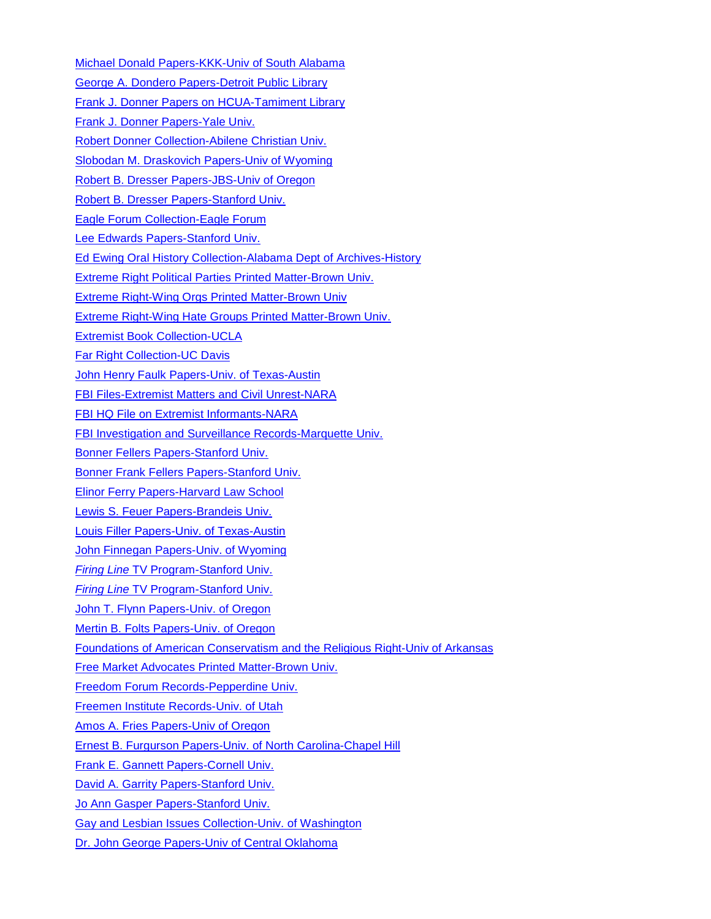[Michael Donald Papers-KKK-Univ of South Alabama](https://beta.worldcat.org/archivegrid/collection/data/162154119) [George A. Dondero Papers-Detroit Public Library](https://beta.worldcat.org/archivegrid/collection/data/56036484) [Frank J. Donner Papers on HCUA-Tamiment Library](http://dlib.nyu.edu/findingaids/html/tamwag/tam_456/) [Frank J. Donner Papers-Yale Univ.](http://drs.library.yale.edu/HLTransformer/HLTransServlet?stylename=yul.ead2002.xhtml.xsl&pid=mssa:ms.1706&clear-stylesheet-cache=yes) [Robert Donner Collection-Abilene Christian Univ.](http://blogs.acu.edu/specialcollections/2013/09/12/richard-donner-collection/#.V5LUALgrKbg) [Slobodan M. Draskovich Papers-Univ of Wyoming](https://beta.worldcat.org/archivegrid/collection/data/30136872) [Robert B. Dresser Papers-JBS-Univ of Oregon](http://archiveswest.orbiscascade.org/ark:/80444/xv88720) [Robert B. Dresser Papers-Stanford Univ.](http://www.oac.cdlib.org/findaid/ark:/13030/tf596nb0q5/) [Eagle Forum Collection-Eagle Forum](http://www.eagleforumarchives.org/EF-Collection.html) [Lee Edwards Papers-Stanford Univ.](http://www.oac.cdlib.org/findaid/ark:/13030/kt5q2nf31k/) [Ed Ewing Oral History Collection-Alabama Dept of Archives-History](https://beta.worldcat.org/archivegrid/collection/data/122568445) [Extreme Right Political Parties Printed Matter-Brown Univ.](https://beta.worldcat.org/archivegrid/collection/data/122529783) Extreme Right-Wing [Orgs Printed Matter-Brown Univ](https://beta.worldcat.org/archivegrid/collection/data/122594088) [Extreme Right-Wing Hate Groups Printed Matter-Brown Univ.](https://beta.worldcat.org/archivegrid/collection/data/122318688) [Extremist Book Collection-UCLA](http://www.oac.cdlib.org/findaid/ark:/13030/kt8j49p1qx/?query=%22right+wing%22) [Far Right Collection-UC Davis](https://www.lib.ucdavis.edu/dept/specol/collections/political/?collection=far-right) [John Henry Faulk Papers-Univ. of Texas-Austin](http://www.lib.utexas.edu/taro/utcah/00010/cah-00010.html) [FBI Files-Extremist Matters and Civil](https://beta.worldcat.org/archivegrid/collection/data/122546896) Unrest-NARA [FBI HQ File on Extremist Informants-NARA](https://beta.worldcat.org/archivegrid/collection/data/86133942) [FBI Investigation and Surveillance Records-Marquette Univ.](https://beta.worldcat.org/archivegrid/collection/data/48684451) [Bonner Fellers Papers-Stanford Univ.](http://www.oac.cdlib.org/findaid/ark:/13030/tf3s200303/) [Bonner Frank Fellers Papers-Stanford Univ.](https://beta.worldcat.org/archivegrid/collection/data/122399039) [Elinor Ferry Papers-Harvard Law School](http://oasis.lib.harvard.edu/oasis/deliver/deepLink?_collection=oasis&uniqueId=law00051) [Lewis S. Feuer Papers-Brandeis Univ.](https://beta.worldcat.org/archivegrid/collection/data/664135348) [Louis Filler Papers-Univ. of Texas-Austin](http://www.lib.utexas.edu/taro/utcah/03188/cah-03188.html) [John Finnegan Papers-Univ. of Wyoming](https://beta.worldcat.org/archivegrid/collection/data/29603242) *Firing Line* [TV Program-Stanford Univ.](http://www.oac.cdlib.org/findaid/ark:/13030/kt6m3nc88c/) *Firing Line* [TV Program-Stanford Univ.](https://beta.worldcat.org/archivegrid/collection/data/754871114) [John T. Flynn Papers-Univ. of Oregon](https://beta.worldcat.org/archivegrid/collection/data/18830904) [Mertin B. Folts Papers-Univ. of Oregon](http://archiveswest.orbiscascade.org/ark:/80444/xv49266/) [Foundations of American Conservatism and the Religious Right-Univ of Arkansas](https://uark.libguides.com/conservatism) [Free Market Advocates Printed Matter-Brown Univ.](https://beta.worldcat.org/archivegrid/collection/data/122493074) [Freedom Forum Records-Pepperdine Univ.](http://www.oac.cdlib.org/findaid/ark:/13030/c8416xsv/) [Freemen Institute Records-Univ. of Utah](http://archiveswest.orbiscascade.org/ark:/80444/xv92590) [Amos A. Fries Papers-Univ of Oregon](https://beta.worldcat.org/archivegrid/collection/data/811640586) [Ernest B. Furgurson Papers-Univ. of North Carolina-Chapel Hill](https://beta.worldcat.org/archivegrid/collection/data/41209193) [Frank E. Gannett Papers-Cornell Univ.](http://rmc.library.cornell.edu/EAD/htmldocs/RMM01900.html) [David A. Garrity Papers-Stanford Univ.](http://www.oac.cdlib.org/findaid/ark:/13030/kt9s20396n/) [Jo Ann Gasper Papers-Stanford Univ.](https://beta.worldcat.org/archivegrid/collection/data/754872265) [Gay and Lesbian Issues Collection-Univ. of Washington](https://beta.worldcat.org/archivegrid/collection/data/123953859) [Dr. John George Papers-Univ of Central Oklahoma](http://library.uco.edu/archives/collections/books/)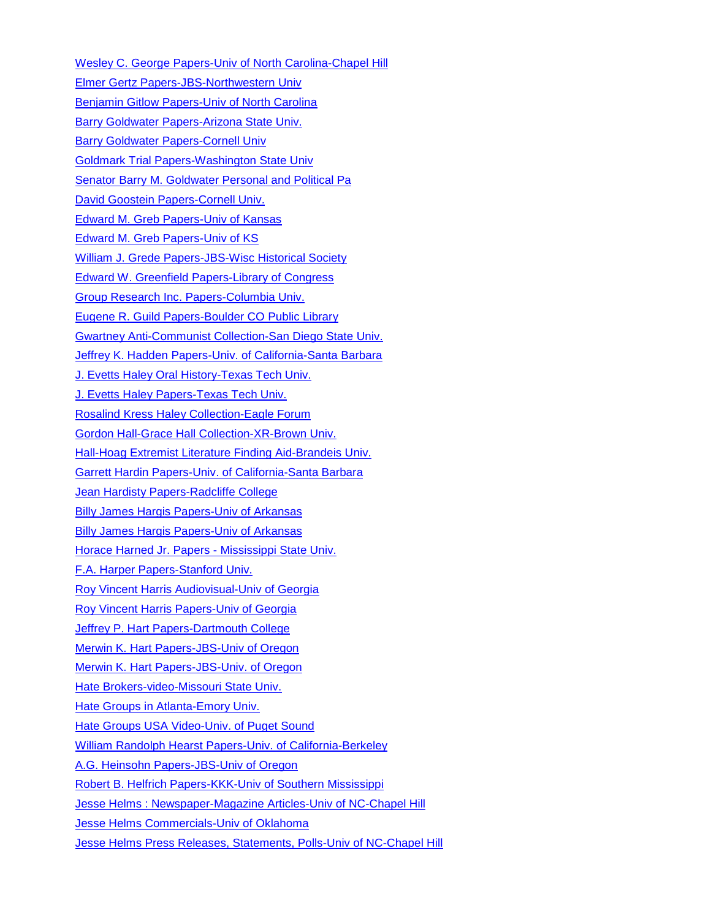[Wesley C. George Papers-Univ of North Carolina-Chapel Hill](https://beta.worldcat.org/archivegrid/collection/data/31693268) [Elmer Gertz Papers-JBS-Northwestern Univ](http://findingaids.library.northwestern.edu/catalog/inu-ead-spec-archon-1592) [Benjamin Gitlow Papers-Univ of North Carolina](https://beta.worldcat.org/archivegrid/collection/data/841572012) [Barry Goldwater Papers-Arizona State Univ.](http://www.azarchivesonline.org/xtf/view?docId=ead/asu/goldwater.xml&doc.view=print;chunk.id=0) [Barry Goldwater Papers-Cornell Univ](http://rmc.library.cornell.edu/EAD/xml/dlxs/RMM02616.xml) [Goldmark Trial Papers-Washington State Univ](http://archiveswest.orbiscascade.org/ark:/80444/xv06350) [Senator Barry M. Goldwater Personal and Political Pa](https://beta.worldcat.org/archivegrid/collection/data/63171789) [David Goostein Papers-Cornell Univ.](http://rmc.library.cornell.edu/EAD/xml/dlxs/RMM07311.xml) [Edward M. Greb Papers-Univ of Kansas](http://etext.ku.edu/view?docId=ksrlead/ksrl.kc.grebedwardm.xml) [Edward M. Greb Papers-Univ of KS](https://beta.worldcat.org/archivegrid/collection/data/181100152) [William J. Grede Papers-JBS-Wisc Historical Society](https://beta.worldcat.org/archivegrid/collection/data/173701545) [Edward W. Greenfield Papers-Library of Congress](https://beta.worldcat.org/archivegrid/collection/data/28413365) [Group Research Inc. Papers-Columbia Univ.](http://findingaids.cul.columbia.edu/ead/nnc-rb/ldpd_5010936) [Eugene R. Guild Papers-Boulder CO Public Library](http://www.worldcat.org/title/printed-materials-1934-1976-bulk-1950-1966/oclc/427312353&referer=brief_results) [Gwartney Anti-Communist Collection-San Diego State Univ.](http://www.oac.cdlib.org/findaid/ark:/13030/kt7d5nf338/) [Jeffrey K. Hadden Papers-Univ. of California-Santa Barbara](https://beta.worldcat.org/archivegrid/collection/data/74671837) [J. Evetts Haley Oral History-Texas Tech Univ.](https://beta.worldcat.org/archivegrid/collection/data/41656084) [J. Evetts Haley Papers-Texas Tech Univ.](https://beta.worldcat.org/archivegrid/collection/data/25513630) [Rosalind Kress Haley Collection-Eagle Forum](http://www.eagleforumarchives.org/RKH-Collection.html) [Gordon Hall-Grace Hall Collection-XR-Brown Univ.](https://beta.worldcat.org/archivegrid/collection/data/122684688) [Hall-Hoag Extremist Literature Finding Aid-Brandeis Univ.](http://findingaids.brandeis.edu/repositories/2/resources/6#summary) [Garrett Hardin Papers-Univ. of](http://www.oac.cdlib.org/findaid/ark:/13030/kt267nd7tr/) California-Santa Barbara **[Jean Hardisty Papers-Radcliffe College](https://beta.worldcat.org/archivegrid/collection/data/936230694)** [Billy James Hargis Papers-Univ of Arkansas](http://libinfo.uark.edu/SpecialCollections/findingaids/mc1412/2-3.asp) [Billy James Hargis Papers-Univ of Arkansas](https://beta.worldcat.org/archivegrid/collection/data/320531293) [Horace Harned Jr. Papers -](http://lib.msstate.edu/cprc/collections/harned/) Mississippi State Univ. [F.A. Harper Papers-Stanford Univ.](https://beta.worldcat.org/archivegrid/collection/data/754872176) [Roy Vincent Harris Audiovisual-Univ of Georgia](http://russelldoc.galib.uga.edu/russell/view?docId=ead/RBRL183RVH_V-ead.xml) [Roy Vincent Harris Papers-Univ of Georgia](http://russelldoc.galib.uga.edu/russell/view?docId=ead/RBRL183RVH-ead.xml) [Jeffrey P. Hart Papers-Dartmouth College](https://beta.worldcat.org/archivegrid/collection/data/837724952) [Merwin K. Hart Papers-JBS-Univ of Oregon](https://beta.worldcat.org/archivegrid/collection/data/19081894) [Merwin K. Hart Papers-JBS-Univ. of Oregon](http://archiveswest.orbiscascade.org/ark:/80444/xv74575) [Hate Brokers-video-Missouri State Univ.](https://beta.worldcat.org/archivegrid/collection/data/23273513) [Hate Groups in Atlanta-Emory Univ.](https://findingaids.library.emory.edu/documents/neighborsnetwork1009/) [Hate Groups USA Video-Univ. of Puget Sound](https://beta.worldcat.org/archivegrid/collection/data/607127604) [William Randolph Hearst Papers-Univ. of California-Berkeley](http://www.oac.cdlib.org/findaid/ark:/13030/kt6n39q43j/) [A.G. Heinsohn Papers-JBS-Univ of Oregon](https://beta.worldcat.org/archivegrid/collection/data/19273917) [Robert B. Helfrich Papers-KKK-Univ of Southern Mississippi](http://www.lib.usm.edu/legacy/archives/m410.htm) [Jesse Helms : Newspaper-Magazine Articles-Univ of NC-Chapel Hill](https://beta.worldcat.org/archivegrid/collection/data/49402293) [Jesse Helms Commercials-Univ of Oklahoma](https://beta.worldcat.org/archivegrid/collection/data/21268983) [Jesse Helms Press Releases, Statements, Polls-Univ of NC-Chapel Hill](https://beta.worldcat.org/archivegrid/collection/data/49402294)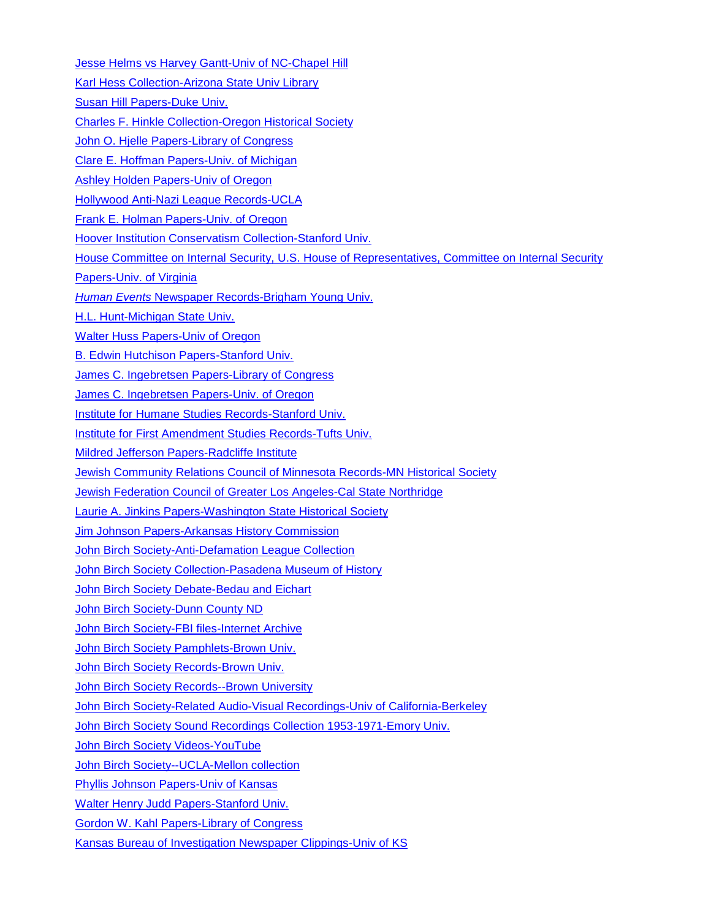**[Jesse Helms vs Harvey Gantt-Univ of NC-Chapel Hill](https://beta.worldcat.org/archivegrid/collection/data/49402295)** [Karl Hess Collection-Arizona State Univ Library](https://beta.worldcat.org/archivegrid/collection/data/404228692) [Susan Hill Papers-Duke Univ.](https://beta.worldcat.org/archivegrid/collection/data/502024052) [Charles F. Hinkle Collection-Oregon Historical Society](http://archiveswest.orbiscascade.org/ark:/80444/xv40692) [John O. Hjelle Papers-Library of Congress](https://beta.worldcat.org/archivegrid/collection/data/28413091) [Clare E. Hoffman Papers-Univ. of Michigan](http://quod.lib.umich.edu/cgi/f/findaid/findaid-idx?c=bhlead;idno=umich-bhl-87140) [Ashley Holden Papers-Univ of Oregon](http://archiveswest.orbiscascade.org/ark:/80444/xv91666) [Hollywood Anti-Nazi League Records-UCLA](http://www.oac.cdlib.org/findaid/ark:/13030/c8416vd3/) [Frank E. Holman Papers-Univ. of Oregon](http://archiveswest.orbiscascade.org/ark:/80444/xv50292) [Hoover Institution Conservatism Collection-Stanford Univ.](https://www.hoover.org/library-archives/collections/conservatism) [House Committee on Internal Security, U.S. House of Representatives, Committee on Internal Security](http://ead.lib.virginia.edu/vivaxtf/view?docId=uva-sc/viu01222.xml)  [Papers-Univ. of Virginia](http://ead.lib.virginia.edu/vivaxtf/view?docId=uva-sc/viu01222.xml) *Human Events* [Newspaper Records-Brigham Young Univ.](https://findingaid.lib.byu.edu/viewItem/MSS%206733) [H.L. Hunt-Michigan State Univ.](https://beta.worldcat.org/archivegrid/collection/data/931864319) [Walter Huss Papers-Univ of Oregon](https://beta.worldcat.org/archivegrid/collection/data/852253180) [B. Edwin Hutchison Papers-Stanford Univ.](http://www.oac.cdlib.org/findaid/ark:/13030/tf696nb1hv/) [James C. Ingebretsen Papers-Library of Congress](https://beta.worldcat.org/archivegrid/collection/data/28413451) [James C. Ingebretsen Papers-Univ. of Oregon](http://archiveswest.orbiscascade.org/ark:/80444/xv95777) [Institute for Humane Studies Records-Stanford Univ.](http://www.oac.cdlib.org/findaid/ark:/13030/kt9h4nf321/) [Institute for First Amendment Studies Records-Tufts Univ.](https://beta.worldcat.org/archivegrid/collection/data/778372314) [Mildred Jefferson Papers-Radcliffe Institute](http://oasis.lib.harvard.edu/oasis/deliver/deepLink?_collection=oasis&uniqueId=sch01359) [Jewish Community Relations Council of Minnesota Records-MN Historical Society](https://beta.worldcat.org/archivegrid/collection/data/313820613) [Jewish Federation Council of Greater Los Angeles-Cal State Northridge](http://pdf.oac.cdlib.org/pdf/cnos/urba/csun_urb_crc1_oac.pdf) [Laurie A. Jinkins Papers-Washington State Historical Society](https://beta.worldcat.org/archivegrid/collection/data/166428619) [Jim Johnson Papers-Arkansas History Commission](https://beta.worldcat.org/archivegrid/collection/data/166428593) [John Birch Society-Anti-Defamation League Collection](http://digifindingaids.cjh.org/?pID=1287902) [John Birch Society Collection-Pasadena Museum of History](http://www.oac.cdlib.org/findaid/ark:/13030/c8v986s6/) John [Birch Society Debate-Bedau and Eichart](https://beta.worldcat.org/archivegrid/collection/data/268898989) [John Birch Society-Dunn County ND](https://beta.worldcat.org/archivegrid/collection/data/319546468) [John Birch Society-FBI files-Internet Archive](https://archive.org/details/ernie1241_jbs?sort=titleSorter) [John Birch Society Pamphlets-Brown Univ.](https://beta.worldcat.org/archivegrid/collection/data/870673968) [John Birch Society Records-Brown Univ.](http://riamco.org/render.php?eadid=US-RPB-ms2013.003&view=inventory) **[John Birch Society Records--Brown University](https://beta.worldcat.org/archivegrid/collection/data/122623389)** [John Birch Society-Related Audio-Visual Recordings-Univ of California-Berkeley](https://crws.berkeley.edu/resources) [John Birch Society Sound Recordings Collection 1953-1971-Emory Univ.](https://findingaids.library.emory.edu/documents/birch1261/) [John Birch Society Videos-YouTube](https://www.youtube.com/results?search_query=%22birch+society%22) [John Birch Society--UCLA-Mellon collection](https://beta.worldcat.org/archivegrid/collection/data/40979136) [Phyllis Johnson Papers-Univ of Kansas](http://etext.ku.edu/view?docId=ksrlead/ksrl.kc.johnsonphyllis.xml) [Walter Henry Judd Papers-Stanford Univ.](http://www.oac.cdlib.org/findaid/ark:/13030/tf4g5003c4/?query=%22right+wing%22) [Gordon W. Kahl Papers-Library of Congress](https://beta.worldcat.org/archivegrid/collection/data/28413668)

[Kansas Bureau of Investigation Newspaper Clippings-Univ of KS](https://beta.worldcat.org/archivegrid/collection/data/939974470)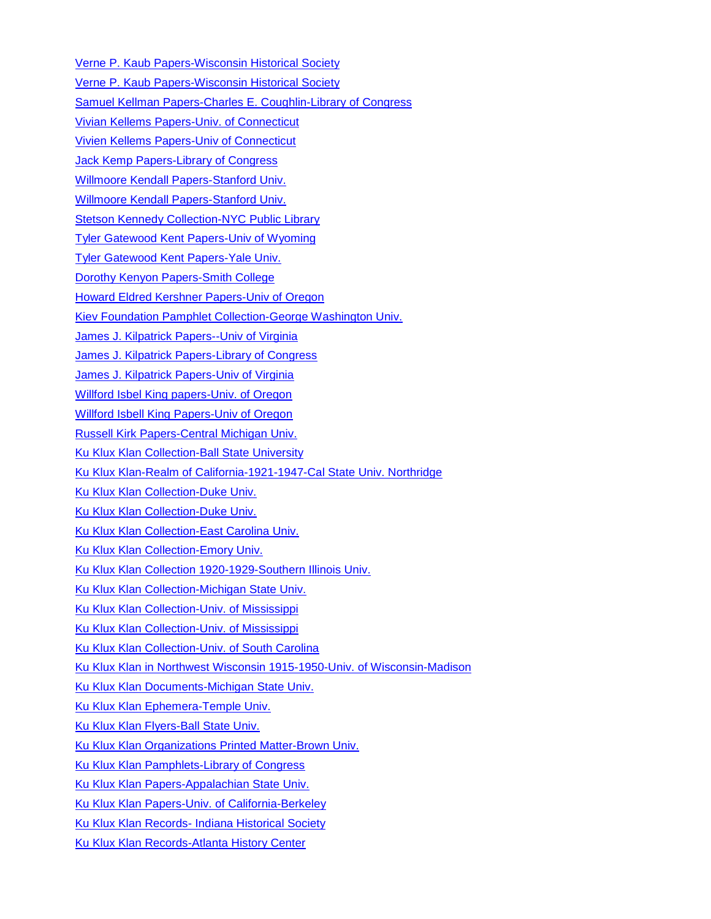[Verne P. Kaub Papers-Wisconsin Historical Society](http://digicoll.library.wisc.edu/cgi/f/findaid/findaid-idx?c=wiarchives;view=reslist;subview=standard;didno=uw-whs-m2004198) [Verne P. Kaub Papers-Wisconsin Historical Society](https://beta.worldcat.org/archivegrid/collection/data/173695555) [Samuel Kellman Papers-Charles E. Coughlin-Library of Congress](https://beta.worldcat.org/archivegrid/collection/data/28414636) [Vivian Kellems Papers-Univ. of Connecticut](https://beta.worldcat.org/archivegrid/collection/data/319638172) [Vivien Kellems Papers-Univ of Connecticut](http://archives.lib.uconn.edu/islandora/object/20002%3AMSS19920033) [Jack Kemp Papers-Library of Congress](https://beta.worldcat.org/archivegrid/collection/data/731537166) [Willmoore Kendall Papers-Stanford Univ.](http://www.oac.cdlib.org/findaid/ark:/13030/tf629004kq/) [Willmoore Kendall Papers-Stanford Univ.](https://beta.worldcat.org/archivegrid/collection/data/754872404) [Stetson Kennedy Collection-NYC Public Library](https://beta.worldcat.org/archivegrid/collection/data/144652172) [Tyler Gatewood Kent Papers-Univ of Wyoming](https://beta.worldcat.org/archivegrid/collection/data/72439291) [Tyler Gatewood Kent Papers-Yale Univ.](https://beta.worldcat.org/archivegrid/collection/data/702166644) [Dorothy Kenyon Papers-Smith College](https://beta.worldcat.org/archivegrid/collection/data/46440080) [Howard Eldred Kershner Papers-Univ of Oregon](https://beta.worldcat.org/archivegrid/collection/data/19273821) [Kiev Foundation Pamphlet Collection-George Washington Univ.](https://beta.worldcat.org/archivegrid/collection/data/744462539) [James J. Kilpatrick Papers--Univ of Virginia](https://beta.worldcat.org/archivegrid/collection/data/747040790) [James J. Kilpatrick Papers-Library of Congress](https://beta.worldcat.org/archivegrid/collection/data/28409075) [James J. Kilpatrick Papers-Univ of Virginia](https://beta.worldcat.org/archivegrid/collection/data/32671989) [Willford Isbel King papers-Univ. of Oregon](http://archiveswest.orbiscascade.org/ark:/80444/xv64995) [Willford Isbell King Papers-Univ of Oregon](https://beta.worldcat.org/archivegrid/collection/data/18250041) [Russell Kirk Papers-Central Michigan Univ.](https://beta.worldcat.org/archivegrid/collection/data/881181005) [Ku Klux Klan Collection-Ball State University](http://www.bsu.edu/libraries/archives/guides/KuKluxKlanCollectionGuide.pdf) [Ku Klux Klan-Realm of California-1921-1947-Cal State Univ.](https://findingaids.csun.edu/archon/?p=collections/findingaid&id=53&q=) Northridge [Ku Klux Klan Collection-Duke Univ.](http://library.duke.edu/rubenstein/findingaids/kukluxklan/) [Ku Klux Klan Collection-Duke Univ.](https://beta.worldcat.org/archivegrid/collection/data/39390362) [Ku Klux Klan Collection-East Carolina Univ.](https://digital.lib.ecu.edu/special/ead/findingaids/0425) [Ku Klux Klan Collection-Emory Univ.](https://beta.worldcat.org/archivegrid/collection/data/122294923) [Ku Klux Klan Collection 1920-1929-Southern Illinois Univ.](https://archives.lib.siu.edu/?p=collections/findingaid&id=2181&q=) [Ku Klux Klan Collection-Michigan State Univ.](http://www.lib.msu.edu/spc/collections/kkk/) [Ku Klux Klan Collection-Univ. of Mississippi](http://www.olemiss.edu/depts/general_library/archives/finding_aids/MUM00254.html) [Ku Klux Klan Collection-Univ. of Mississippi](https://beta.worldcat.org/archivegrid/collection/data/162189095) [Ku Klux Klan Collection-Univ. of South Carolina](https://beta.worldcat.org/archivegrid/collection/data/38872262) [Ku Klux Klan in Northwest Wisconsin 1915-1950-Univ. of Wisconsin-Madison](https://uwdc.library.wisc.edu/collections/wi/wisckkk/) [Ku Klux Klan Documents-Michigan State Univ.](https://beta.worldcat.org/archivegrid/collection/data/246660686) [Ku Klux Klan Ephemera-Temple Univ.](https://library.temple.edu/scrc/ku-klux-klan-ephemera) [Ku Klux Klan Flyers-Ball State Univ.](https://beta.worldcat.org/archivegrid/collection/data/28175816) [Ku Klux Klan Organizations Printed Matter-Brown Univ.](https://beta.worldcat.org/archivegrid/collection/data/86167630) [Ku Klux Klan Pamphlets-Library of Congress](https://beta.worldcat.org/archivegrid/collection/data/32237717) [Ku Klux Klan Papers-Appalachian State Univ.](http://collections.library.appstate.edu/findingaids/ac753) [Ku Klux Klan Papers-Univ. of California-Berkeley](https://beta.worldcat.org/archivegrid/collection/data/122564686) Ku Klux Klan Records- [Indiana Historical Society](https://beta.worldcat.org/archivegrid/collection/data/26987093) [Ku Klux Klan Records-Atlanta History Center](https://beta.worldcat.org/archivegrid/collection/data/25330636)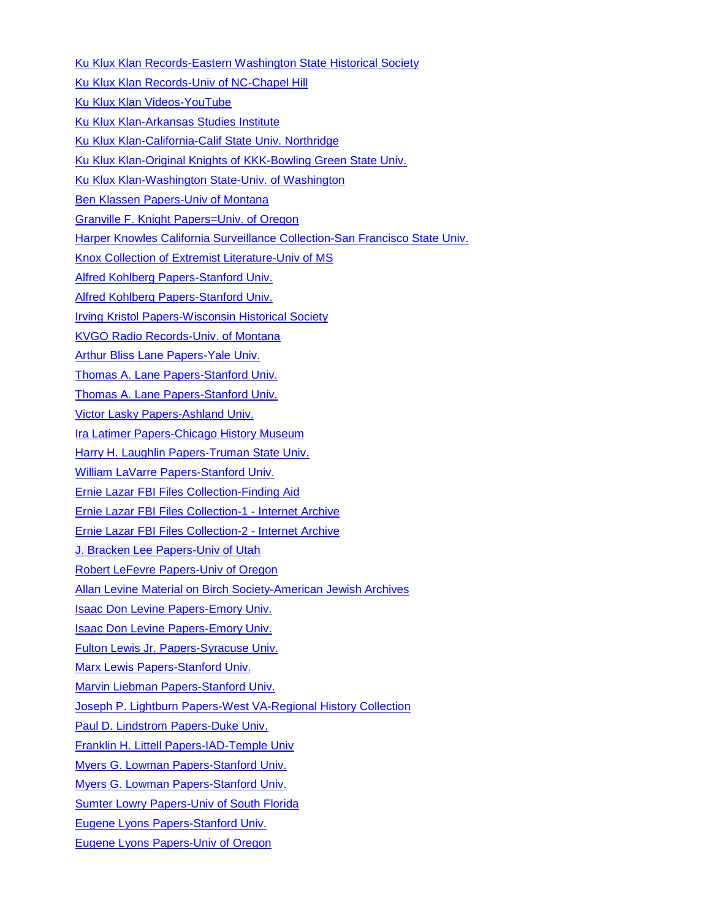[Ku Klux Klan Records-Eastern Washington State Historical Society](https://beta.worldcat.org/archivegrid/collection/data/42687034) [Ku Klux Klan Records-Univ of NC-Chapel Hill](https://beta.worldcat.org/archivegrid/collection/data/40998711) [Ku Klux Klan Videos-YouTube](https://www.youtube.com/results?search_query=%22Ku+Klux+Klan%22) [Ku Klux Klan-Arkansas Studies Institute](http://arstudies.contentdm.oclc.org/cdm/search/searchterm/Ku%20Klux%20Klan/order/title) [Ku Klux Klan-California-Calif State Univ. Northridge](https://beta.worldcat.org/archivegrid/collection/data/16666410) [Ku Klux Klan-Original Knights of KKK-Bowling Green State Univ.](https://beta.worldcat.org/archivegrid/collection/data/35994220) [Ku Klux Klan-Washington State-Univ. of Washington](http://depts.washington.edu/civilr/kkk_history.htm) [Ben Klassen Papers-Univ of Montana](http://archiveswest.orbiscascade.org/ark:/80444/xv56262) [Granville F. Knight Papers=Univ. of Oregon](https://www.google.com/search?q=Guide+to+the+Granville+F.+Knight+Papers+1920-1981&oq=Guide+to+the+Granville+F.+Knight+Papers+1920-1981&aqs=chrome..69i57j69i65&sourceid=chrome&ie=UTF-8) [Harper Knowles California Surveillance](http://www.oac.cdlib.org/findaid/ark:/13030/c81v5fxt/?query=anti-communism) Collection-San Francisco State Univ. [Knox Collection of Extremist Literature-Univ of MS](http://www.olemiss.edu/depts/general_library/archives/finding_aids/MUM00253.html#adminInfo) [Alfred Kohlberg Papers-Stanford Univ.](http://www.oac.cdlib.org/findaid/ark:/13030/tf0b69n3tv/) [Alfred Kohlberg Papers-Stanford Univ.](https://searchworks.stanford.edu/view/4088088) **[Irving Kristol Papers-Wisconsin Historical Society](https://beta.worldcat.org/archivegrid/collection/data/291098297)** [KVGO Radio Records-Univ. of Montana](http://archiveswest.orbiscascade.org/ark:/80444/xv63273) [Arthur Bliss Lane Papers-Yale Univ.](https://beta.worldcat.org/archivegrid/collection/data/702157843) [Thomas A. Lane Papers-Stanford Univ.](http://www.oac.cdlib.org/findaid/ark:/13030/kt4n39r8bx/) [Thomas A. Lane Papers-Stanford Univ.](https://beta.worldcat.org/archivegrid/collection/data/123379414) [Victor Lasky Papers-Ashland Univ.](https://beta.worldcat.org/archivegrid/collection/data/31324932) [Ira Latimer Papers-Chicago History Museum](https://beta.worldcat.org/archivegrid/collection/data/713342191) [Harry H. Laughlin Papers-Truman State Univ.](http://lance.searchmobius.org/search%7ES6/a?searchscope=6&searchtype=o&searcharg=50916227) [William LaVarre Papers-Stanford Univ.](http://www.oac.cdlib.org/findaid/ark:/13030/tf238n98h7/) [Ernie Lazar FBI Files Collection-Finding Aid](https://ia800501.us.archive.org/23/items/FINDINGAIDNEW020815/FINDING%20AID-NEW%2002-08-15.pdf) [Ernie Lazar FBI Files Collection-1 -](https://archive.org/details/lazarfoia?and%5B%5D=mediatype%3A%22collection%22&sort=titleSorter) Internet Archive [Ernie Lazar FBI Files Collection-2 -](https://archive.org/details/@ernie1241?sort=titleSorter) Internet Archive [J. Bracken Lee Papers-Univ of Utah](http://archiveswest.orbiscascade.org/ark:/80444/xv79589) [Robert LeFevre Papers-Univ of Oregon](http://archiveswest.orbiscascade.org/ark:/80444/xv29769) [Allan Levine Material on Birch Society-American Jewish Archives](https://aja.cuadra.com/starweb8/l.skca-catalog/servlet.starweb8) [Isaac Don Levine Papers-Emory Univ.](https://beta.worldcat.org/archivegrid/collection/data/213481535) Isaac Don [Levine Papers-Emory Univ.](https://findingaids.library.emory.edu/documents/levine700/) [Fulton Lewis Jr. Papers-Syracuse Univ.](http://library.syr.edu/digital/guides/l/lewis_f_jr.htm) [Marx Lewis Papers-Stanford Univ.](https://beta.worldcat.org/archivegrid/collection/data/123429993) [Marvin Liebman Papers-Stanford Univ.](http://www.oac.cdlib.org/findaid/ark:/13030/tf1z09n536/) [Joseph P. Lightburn Papers-West VA-Regional History Collection](http://findingaids.lib.wvu.edu/cgi/f/findaid/findaid-idx?c=wvcguide;cc=wvcguide;rgn=Entire%20Finding%20Aid;type=simple;view=reslist;q1=subview=standard;sort=occur;start=1;size=25;didno=3826;subview=standard) [Paul D. Lindstrom Papers-Duke Univ.](https://beta.worldcat.org/archivegrid/collection/data/32520412) [Franklin H. Littell Papers-IAD-Temple Univ](http://library.temple.edu/scrc/franklin-h-littell-papers-6) [Myers G. Lowman Papers-Stanford Univ.](http://pdf.oac.cdlib.org/pdf/hoover/reg_364.pdf) [Myers G. Lowman Papers-Stanford Univ.](https://beta.worldcat.org/archivegrid/collection/data/754869202) [Sumter Lowry Papers-Univ of South Florida](http://www.lib.usf.edu/aeon/eads/index.html?eadrequest=true&ead_id=U29-00338-L27) [Eugene Lyons Papers-Stanford Univ.](http://www.oac.cdlib.org/findaid/ark:/13030/tf8h4nb2xg/) [Eugene Lyons Papers-Univ of Oregon](http://archiveswest.orbiscascade.org/ark:/80444/xv30454)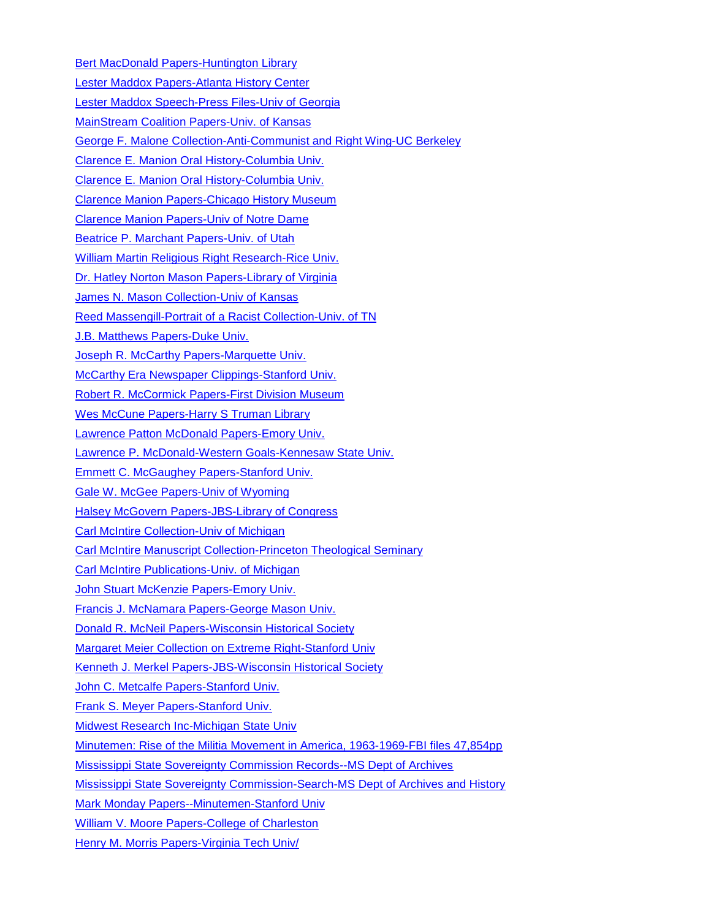[Bert MacDonald Papers-Huntington Library](https://beta.worldcat.org/archivegrid/collection/data/228738283) [Lester Maddox Papers-Atlanta History Center](https://beta.worldcat.org/archivegrid/collection/data/785232108) Lester [Maddox Speech-Press Files-Univ of Georgia](https://beta.worldcat.org/archivegrid/collection/data/423060021) [MainStream Coalition Papers-Univ. of Kansas](http://etext.ku.edu/view?docId=ksrlead/ksrl.kc.mainstreamcoalition.xml) [George F. Malone Collection-Anti-Communist and Right Wing-UC Berkeley](https://beta.worldcat.org/archivegrid/collection/data/230744082) [Clarence E. Manion Oral History-Columbia Univ.](https://beta.worldcat.org/archivegrid/collection/data/122419441) [Clarence E. Manion Oral History-Columbia Univ.](http://www.worldcat.org/title/reminiscences-of-clarence-e-manion-oral-history-1976/oclc/122419441) [Clarence Manion Papers-Chicago History Museum](http://chsmedia.org/media/fa/fa/M-M/ManionC-inv.htm) [Clarence Manion Papers-Univ of Notre Dame](http://archives.nd.edu/findaids/ead/xml/mnn.xml) [Beatrice P. Marchant Papers-Univ. of Utah](http://archiveswest.orbiscascade.org/ark:/80444/xv05722) [William Martin Religious Right Research-Rice Univ.](http://www.lib.utexas.edu/taro/ricewrc/00338/rice-00338.html) [Dr. Hatley Norton Mason Papers-Library of Virginia](https://ead.lib.virginia.edu/vivaxtf/view?docId=lva/vi00004.xml) [James N. Mason Collection-Univ of Kansas](http://etext.ku.edu/view?docId=ksrlead/ksrl.kc.masonjames.xml) [Reed Massengill-Portrait of a Racist Collection-Univ. of TN](http://dlc.lib.utk.edu/spc/view?docId=ead/0012_003468_000000_0000/0012_003468_000000_0000.xml;query=Ku%20Klux%20Klan;brand=default) [J.B. Matthews Papers-Duke Univ.](http://library.duke.edu/rubenstein/findingaids/matthews/) [Joseph R. McCarthy Papers-Marquette Univ.](https://beta.worldcat.org/archivegrid/collection/data/37364890) [McCarthy Era Newspaper Clippings-Stanford Univ.](http://www.oac.cdlib.org/findaid/ark:/13030/tf9199p0cz/?query=McCarthyism) [Robert R. McCormick Papers-First Division Museum](http://www.firstdivisionmuseum.org/research/mccormickarchives.aspx) [Wes McCune Papers-Harry S Truman Library](https://beta.worldcat.org/archivegrid/collection/data/70958926) [Lawrence Patton McDonald Papers-Emory Univ.](https://findingaids.library.emory.edu/documents/mcdonald802/?keywords=conservative+speakers) [Lawrence P. McDonald-Western Goals-Kennesaw State Univ.](http://archon.kennesaw.edu/index.php?p=collections/controlcard&id=54) **[Emmett C. McGaughey Papers-Stanford Univ.](https://beta.worldcat.org/archivegrid/collection/data/123458573)** [Gale W. McGee Papers-Univ of Wyoming](https://beta.worldcat.org/archivegrid/collection/data/34960762) [Halsey McGovern Papers-JBS-Library of Congress](https://beta.worldcat.org/archivegrid/collection/data/70983776) [Carl McIntire Collection-Univ of Michigan](http://quod.lib.umich.edu/cgi/f/findaid/findaid-idx?c=bhlead;idno=umich-bhl-88538) [Carl McIntire Manuscript Collection-Princeton Theological Seminary](https://beta.worldcat.org/archivegrid/collection/data/37129730) [Carl McIntire Publications-Univ. of Michigan](https://beta.worldcat.org/archivegrid/collection/data/34420782) [John Stuart McKenzie Papers-Emory Univ.](https://beta.worldcat.org/archivegrid/collection/data/84646206) [Francis J. McNamara Papers-George Mason Univ.](http://sca.gmu.edu/finding_aids/mcnamara.html) [Donald R. McNeil Papers-Wisconsin Historical Society](http://digicoll.library.wisc.edu/cgi/f/findaid/findaid-idx?c=wiarchives;view=reslist;subview=standard;didno=uw-whs-m63231) [Margaret Meier Collection on Extreme Right-Stanford Univ](http://www.oac.cdlib.org/findaid/ark:/13030/tf2b69n5qw/) [Kenneth J. Merkel Papers-JBS-Wisconsin Historical Society](http://digicoll.library.wisc.edu/cgi/f/findaid/findaid-idx?c=wiarchives;view=reslist;subview=standard;didno=uw-whs-mil00101) [John C. Metcalfe Papers-Stanford Univ.](http://www.oac.cdlib.org/findaid/ark:/13030/tf6w10052p/) [Frank S. Meyer Papers-Stanford Univ.](https://beta.worldcat.org/archivegrid/collection/data/123429917) [Midwest Research Inc-Michigan State Univ](https://beta.worldcat.org/archivegrid/collection/data/29205535) [Minutemen: Rise of the Militia Movement in America, 1963-1969-FBI files 47,854pp](http://gdc.gale.com/archivesunbound/archives-unbound-the-minutemen-part-i/) [Mississippi State Sovereignty Commission Records--MS Dept of Archives](http://crdl.usg.edu/collections/sovcomph/?Welcome) [Mississippi State Sovereignty Commission-Search-MS Dept of Archives and History](https://www.mdah.ms.gov/arrec/digital_archives/sovcom/) [Mark Monday Papers--Minutemen-Stanford Univ](http://www.oac.cdlib.org/findaid/ark:/13030/tf4s2003jp/entire_text/) [William V. Moore Papers-College of Charleston](https://beta.worldcat.org/archivegrid/collection/data/885041372) [Henry M. Morris Papers-Virginia Tech Univ/](http://ead.lib.virginia.edu/vivaxtf/view?docId=vt/viblbv01171.xml)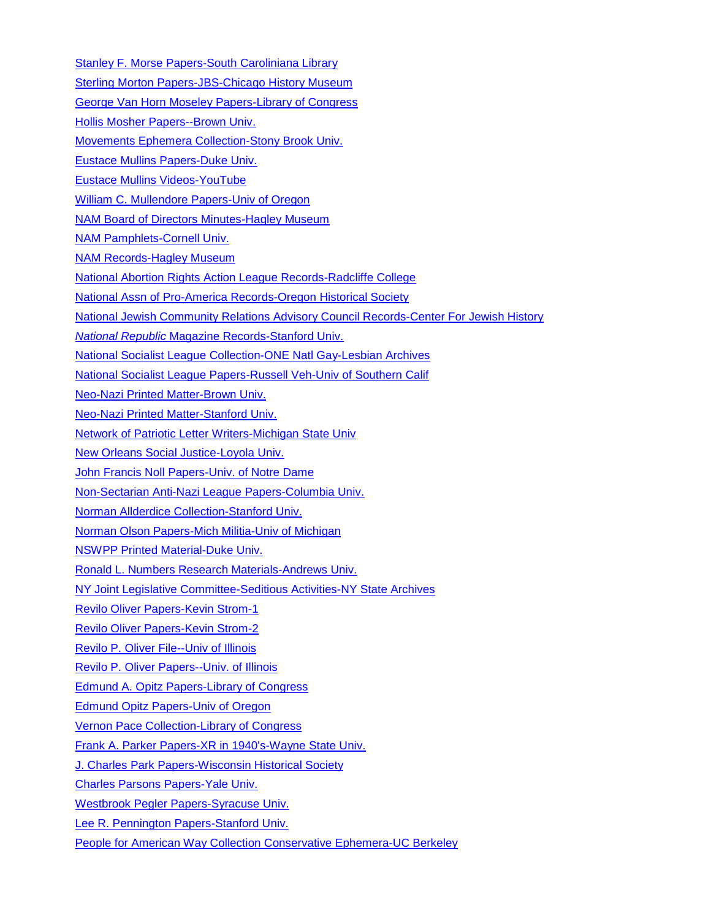[Stanley F. Morse Papers-South Caroliniana Library](http://library.sc.edu/socar/mnscrpts/morsesf.html) [Sterling Morton Papers-JBS-Chicago History Museum](https://beta.worldcat.org/archivegrid/collection/data/28415719) [George Van Horn Moseley Papers-Library of Congress](https://beta.worldcat.org/archivegrid/collection/data/70980180) [Hollis Mosher Papers--Brown Univ.](http://www.riamco.org/render.php?eadid=US-RPB-ms2009.004&view=inventory) [Movements Ephemera Collection-Stony Brook Univ.](http://www.stonybrook.edu/commcms/libspecial/collections/manuscripts/movements.html) Eustace [Mullins Papers-Duke Univ.](https://beta.worldcat.org/archivegrid/collection/data/815253657) [Eustace Mullins Videos-YouTube](https://www.youtube.com/results?search_query=%22Eustace+Mullins%22) [William C. Mullendore Papers-Univ of Oregon](http://archiveswest.orbiscascade.org/ark:/80444/xv02410) [NAM Board of Directors Minutes-Hagley Museum](https://beta.worldcat.org/archivegrid/collection/data/806140103) [NAM Pamphlets-Cornell Univ.](https://beta.worldcat.org/archivegrid/collection/data/64060026) [NAM Records-Hagley Museum](https://beta.worldcat.org/archivegrid/collection/data/122355297) [National Abortion Rights Action League Records-Radcliffe College](https://beta.worldcat.org/archivegrid/collection/data/859451090) [National Assn of Pro-America Records-Oregon Historical Society](https://beta.worldcat.org/archivegrid/collection/data/36683100) [National Jewish Community Relations Advisory Council Records-Center For Jewish History](http://findingaids.cjh.org/?pID=365502) *National Republic* [Magazine Records-Stanford Univ.](https://beta.worldcat.org/archivegrid/collection/data/754869038) [National Socialist League Collection-ONE Natl Gay-Lesbian Archives](http://www.oac.cdlib.org/findaid/ark:/13030/c89p32f0/?query=%22right+wing%22) [National Socialist League Papers-Russell Veh-Univ of Southern Calif](https://beta.worldcat.org/archivegrid/collection/data/893442976) [Neo-Nazi Printed Matter-Brown Univ.](https://beta.worldcat.org/archivegrid/collection/data/122493060) [Neo-Nazi Printed Matter-Stanford Univ.](https://beta.worldcat.org/archivegrid/collection/data/122571751) [Network of Patriotic Letter Writers-Michigan State Univ](https://beta.worldcat.org/archivegrid/collection/data/29842086) [New Orleans Social Justice-Loyola Univ.](https://beta.worldcat.org/archivegrid/collection/data/849395916) [John Francis Noll Papers-Univ. of Notre Dame](http://archives.nd.edu/findaids/ead/xml/nol.xml) [Non-Sectarian Anti-Nazi League Papers-Columbia Univ.](https://beta.worldcat.org/archivegrid/collection/data/870440786) [Norman Allderdice Collection-Stanford Univ.](http://pdf.oac.cdlib.org/pdf/hoover/allderdi.pdf) [Norman Olson Papers-Mich Militia-Univ of Michigan](https://beta.worldcat.org/archivegrid/collection/data/690650531) [NSWPP Printed Material-Duke Univ.](https://beta.worldcat.org/archivegrid/collection/data/862470085) [Ronald L. Numbers Research Materials-Andrews Univ.](https://beta.worldcat.org/archivegrid/collection/data/76818750) [NY Joint Legislative Committee-Seditious Activities-NY State Archives](https://beta.worldcat.org/archivegrid/collection/data/78272780) Revilo [Oliver Papers-Kevin Strom-1](http://www.revilo-oliver.com/indexold.html) [Revilo Oliver Papers-Kevin Strom-2](http://www.revilo-oliver.com/papers/) Revilo [P. Oliver File--Univ of Illinois](http://archives.library.illinois.edu/archon/?p=collections/controlcard&id=4647) [Revilo P. Oliver Papers--Univ. of Illinois](https://archives.library.illinois.edu/archon/index.php?p=accessions/accession&id=651&q=oliver) [Edmund A. Opitz Papers-Library of Congress](https://beta.worldcat.org/archivegrid/collection/data/28413650) [Edmund Opitz Papers-Univ of Oregon](https://beta.worldcat.org/archivegrid/collection/data/67840524) [Vernon Pace Collection-Library of Congress](https://www.loc.gov/folklife/civilrights/survey/view_collection.php?coll_id=1282) [Frank A. Parker Papers-XR in 1940's-Wayne State Univ.](https://beta.worldcat.org/archivegrid/collection/data/32320906) [J. Charles Park Papers-Wisconsin Historical Society](http://digicoll.library.wisc.edu/cgi/f/findaid/findaid-idx?c=wiarchives;view=reslist;subview=standard;didno=uw-whs-m2000100) [Charles Parsons Papers-Yale Univ.](http://drs.library.yale.edu/HLTransformer/HLTransServlet?stylename=yul.ead2002.xhtml.xsl&pid=mssa:ms.0387&clear-stylesheet-cache=yes) [Westbrook Pegler Papers-Syracuse Univ.](http://library.syr.edu/digital/guides/p/pegler_jw.htm) [Lee R. Pennington Papers-Stanford Univ.](http://www.oac.cdlib.org/findaid/ark:/13030/kt2f59r6hm/)

[People for American Way Collection Conservative Ephemera-UC Berkeley](http://pdf.oac.cdlib.org/pdf/berkeley/bancroft/m2010_152_cubanc.pdf)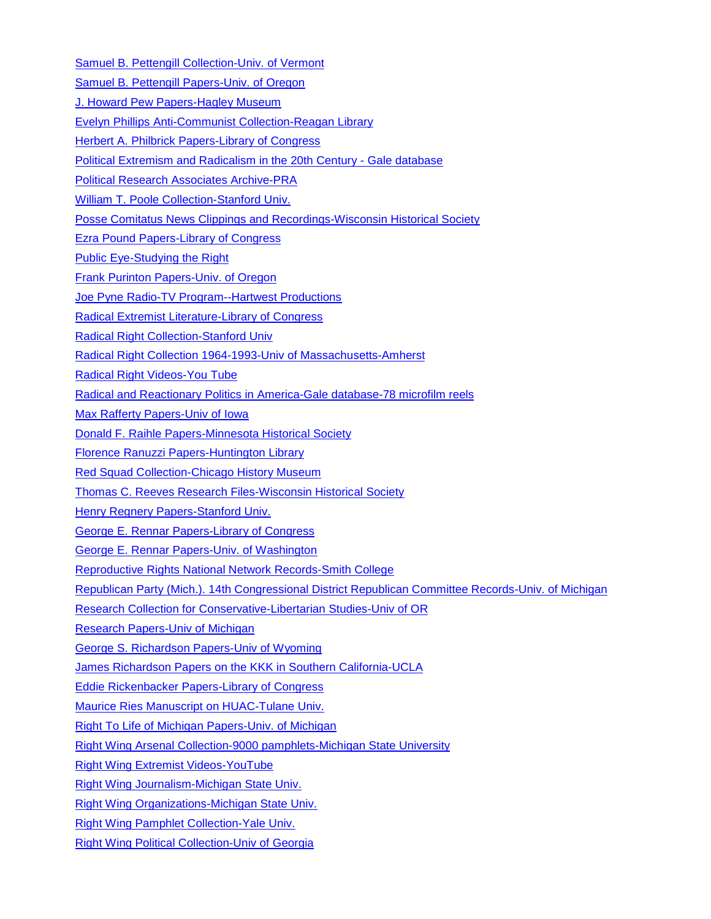[Samuel B. Pettengill Collection-Univ. of Vermont](http://cdi.uvm.edu/findingaids/viewEAD.xql?pid=pettengill.ead.xml)

[Samuel B. Pettengill Papers-Univ. of Oregon](http://archiveswest.orbiscascade.org/ark:/80444/xv01044)

[J. Howard Pew Papers-Hagley Museum](https://beta.worldcat.org/archivegrid/collection/data/122333738)

[Evelyn Phillips Anti-Communist Collection-Reagan Library](https://reaganlibrary.archives.gov/archives/textual/Personal%20Papers/THE%20EVELYN%20PHILIPS%20ANTI.htm)

[Herbert A. Philbrick Papers-Library of Congress](http://findingaids.loc.gov/db/search/xq/searchMferDsc04.xq?_id=loc.mss.eadmss.ms003015&_faSection=contentsList&_faSubsection=series&_dmdid=d36500e25&_start=1&_lines=125)

[Political Extremism and Radicalism in the 20th Century -](https://www.gale.com/binaries/content/assets/gale-us-en/primary-sources/political-extremism-and-radicalism/political-extremism-one-sheet.4.25.pdf) Gale database

[Political Research Associates Archive-PRA](http://www.publiceye.org/top_biblio.html)

[William T. Poole Collection-Stanford Univ.](http://pdf.oac.cdlib.org/pdf/hoover/82095.pdf)

[Posse Comitatus News Clippings and Recordings-Wisconsin Historical Society](https://beta.worldcat.org/archivegrid/collection/data/173692747)

[Ezra Pound Papers-Library of Congress](http://findingaids.loc.gov/db/search/xq/searchMfer02.xq?_id=loc.mss.eadmss.ms006050&_faSection=overview&_faSubsection=did&_dmdid=)

[Public Eye-Studying the Right](http://www.publiceye.org/study_right.html#Archives)

[Frank Purinton Papers-Univ. of Oregon](http://archiveswest.orbiscascade.org/ark:/80444/xv55756)

[Joe Pyne Radio-TV Program--Hartwest Productions](http://joepyne.com/The_Joe_Pyne_Story.html)

[Radical Extremist Literature-Library of Congress](https://beta.worldcat.org/archivegrid/collection/data/29913150)

[Radical Right Collection-Stanford Univ](http://www.oac.cdlib.org/findaid/ark:/13030/tf3p30034h/)

[Radical Right Collection 1964-1993-Univ of Massachusetts-Amherst](http://scua.library.umass.edu/ead/mums816.pdf)

[Radical Right Videos-You Tube](https://www.youtube.com/results?search_query=%22radical+Right%22+united+states)

[Radical and Reactionary Politics in America-Gale database-78 microfilm reels](https://www.gale.com/c/radical-and-reactionary-politics-in-america-series-2-radicalism-reaction-and-dissent-selections-from-the-hall-hoag-collection-at-brown-university-series-2-radicalism-reaction-and-dissent-selections-from-the-hall-hoag-collection-at-brown-university)

[Max Rafferty Papers-Univ of Iowa](http://collguides.lib.uiowa.edu/?MSC0214)

[Donald F. Raihle Papers-Minnesota Historical Society](https://beta.worldcat.org/archivegrid/collection/data/122412948)

[Florence Ranuzzi Papers-Huntington Library](https://beta.worldcat.org/archivegrid/collection/data/298264271)

[Red Squad Collection-Chicago History Museum](http://chicagohistory.org/research/resources/archives-and-manuscripts/red-squad)

[Thomas C. Reeves Research Files-Wisconsin Historical Society](https://beta.worldcat.org/archivegrid/collection/data/145778218)

[Henry Regnery Papers-Stanford Univ.](http://www.oac.cdlib.org/findaid/ark:/13030/kt9v19q4s4/)

[George E. Rennar Papers-Library of Congress](https://beta.worldcat.org/archivegrid/collection/data/30891898)

[George E. Rennar Papers-Univ. of Washington](http://archiveswest.orbiscascade.org/ark:/80444/xv72973/op=fstyle.aspx?t=k&q=WAURennarGeorge0636_1656.xml#overview)

[Reproductive Rights National Network Records-Smith College](https://beta.worldcat.org/archivegrid/collection/data/489215075)

[Republican Party \(Mich.\). 14th Congressional District Republican Committee Records-Univ. of Michigan](https://beta.worldcat.org/archivegrid/collection/data/34419540)

[Research Collection for Conservative-Libertarian Studies-Univ of OR](http://archiveswest.orbiscascade.org/ark:/80444/xv10150)

[Research Papers-Univ of Michigan](https://beta.worldcat.org/archivegrid/collection/data/34419589)

[George S. Richardson Papers-Univ of Wyoming](https://beta.worldcat.org/archivegrid/collection/data/62207198)

[James Richardson Papers on the KKK in Southern California-UCLA](https://beta.worldcat.org/archivegrid/collection/data/356094514)

[Eddie Rickenbacker Papers-Library of Congress](https://beta.worldcat.org/archivegrid/collection/data/83923451)

[Maurice Ries Manuscript on HUAC-Tulane Univ.](https://beta.worldcat.org/archivegrid/collection/data/912438452)

[Right To Life of Michigan Papers-Univ. of Michigan](https://beta.worldcat.org/archivegrid/collection/data/34421729)

[Right Wing Arsenal Collection-9000 pamphlets-Michigan State University](https://lib.msu.edu/spc/collections/arsenal/)

[Right Wing Extremist Videos-YouTube](https://www.youtube.com/results?search_query=right+wing+extremists+in+america)

[Right Wing Journalism-Michigan State Univ.](http://catalog.lib.msu.edu/search%7ES23?/Yright+wing&searchscope=23&SORT=DZ/Yright+wing&searchscope=23&SORT=DZ&SUBKEY=right+wing/1%2C149%2C149%2CB/frameset&FF=Yright+wing&searchscope=23&SORT=DZ&2%2C2%2C)

[Right Wing Organizations-Michigan State Univ.](http://catalog.lib.msu.edu/search%7ES23?/Yright+wing&searchscope=23&SORT=DZ/Yright+wing&searchscope=23&SORT=DZ&SUBKEY=right+wing/1%2C149%2C149%2CB/frameset&FF=Yright+wing&searchscope=23&SORT=DZ&3%2C3%2C)

[Right Wing Pamphlet Collection-Yale Univ.](http://drs.library.yale.edu/HLTransformer/HLTransServlet?stylename=yul.ead2002.xhtml.xsl&pid=mssa:ms.0775&query=birch%20society&clear-stylesheet-cache=yes&hlon=yes&filter=&hitPageStart=1)

[Right Wing Political Collection-Univ of Georgia](https://beta.worldcat.org/archivegrid/collection/data/38476157)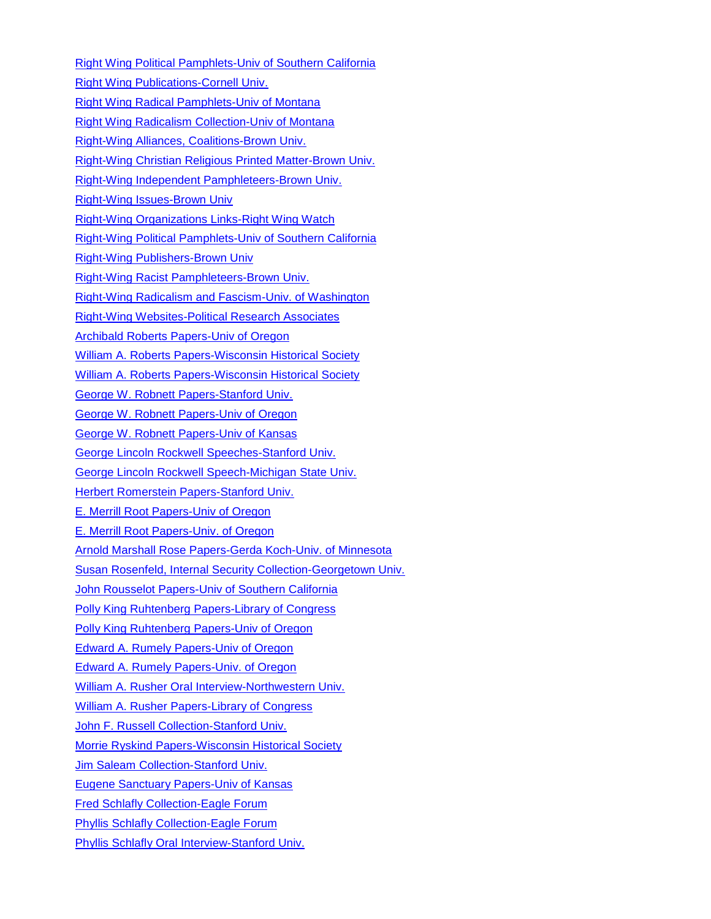[Right Wing Political Pamphlets-Univ of Southern California](http://pdf.oac.cdlib.org/pdf/usc/spcoll/6049rightwing.pdf) [Right Wing Publications-Cornell Univ.](https://beta.worldcat.org/archivegrid/collection/data/64074848) [Right Wing Radical Pamphlets-Univ of Montana](https://beta.worldcat.org/archivegrid/collection/data/271244636) [Right Wing Radicalism Collection-Univ of Montana](http://archiveswest.orbiscascade.org/ark:/80444/xv77169) [Right-Wing Alliances, Coalitions-Brown Univ.](https://beta.worldcat.org/archivegrid/collection/data/122586876) [Right-Wing Christian Religious Printed Matter-Brown Univ.](https://beta.worldcat.org/archivegrid/collection/data/122480526) [Right-Wing Independent Pamphleteers-Brown Univ.](https://beta.worldcat.org/archivegrid/collection/data/122598999) [Right-Wing Issues-Brown Univ](https://beta.worldcat.org/archivegrid/collection/data/122491547) [Right-Wing Organizations Links-Right Wing Watch](http://www.rightwingwatch.org/category/organizations) [Right-Wing Political Pamphlets-Univ of Southern California](http://www.oac.cdlib.org/findaid/ark:/13030/c8gx4fqg/admin/) [Right-Wing Publishers-Brown Univ](https://beta.worldcat.org/archivegrid/collection/data/145430327) [Right-Wing Racist Pamphleteers-Brown Univ.](https://beta.worldcat.org/archivegrid/collection/data/122639458) [Right-Wing Radicalism and Fascism-Univ. of Washington](http://depts.washington.edu/depress/rightwing_radicalism_fascism.shtml) [Right-Wing Websites-Political Research Associates](http://www.publiceye.org/lnk_antidem.html) [Archibald Roberts Papers-Univ of Oregon](https://beta.worldcat.org/archivegrid/collection/data/849533148) [William A. Roberts Papers-Wisconsin Historical Society](https://beta.worldcat.org/archivegrid/collection/data/145781942) [William A. Roberts Papers-Wisconsin Historical Society](http://digicoll.library.wisc.edu/cgi/f/findaid/findaid-idx?c=wiarchives;view=reslist;subview=standard;didno=uw-whs-us0000aj) [George W. Robnett Papers-Stanford Univ.](https://beta.worldcat.org/archivegrid/collection/data/754870082) [George W. Robnett Papers-Univ of Oregon](http://archiveswest.orbiscascade.org/ark:/80444/xv29423) [George W. Robnett Papers-Univ of Kansas](http://etext.ku.edu/view?docId=ksrlead/ksrl.kc.robnettgeorge.xml) [George Lincoln Rockwell Speeches-Stanford Univ.](https://beta.worldcat.org/archivegrid/collection/data/123458580) [George Lincoln Rockwell Speech-Michigan State Univ.](https://beta.worldcat.org/archivegrid/collection/data/931820279) [Herbert Romerstein Papers-Stanford Univ.](http://www.oac.cdlib.org/findaid/ark:/13030/c8jw8d64/) [E. Merrill Root Papers-Univ of Oregon](https://beta.worldcat.org/archivegrid/collection/data/67840452) [E. Merrill Root Papers-Univ. of Oregon](http://archiveswest.orbiscascade.org/ark:/80444/xv99873) [Arnold Marshall Rose Papers-Gerda Koch-Univ. of Minnesota](http://special.lib.umn.edu/findaid/xml/uarc00381.xml) [Susan Rosenfeld, Internal Security Collection-Georgetown Univ.](https://repository.library.georgetown.edu/handle/10822/558695?show=full) [John Rousselot Papers-Univ of Southern California](http://archives.usc.edu/repositories/3/resources/224) [Polly King Ruhtenberg Papers-Library of Congress](https://beta.worldcat.org/archivegrid/collection/data/28413400) [Polly King Ruhtenberg Papers-Univ of Oregon](https://beta.worldcat.org/archivegrid/collection/data/18213776) [Edward A. Rumely Papers-Univ of Oregon](http://archiveswest.orbiscascade.org/ark:/80444/xv26002) [Edward A. Rumely Papers-Univ. of Oregon](https://beta.worldcat.org/archivegrid/collection/data/19131104) [William A. Rusher Oral Interview-Northwestern Univ.](https://beta.worldcat.org/archivegrid/collection/data/70744757) [William A. Rusher Papers-Library of Congress](https://beta.worldcat.org/archivegrid/collection/data/883756729) [John F. Russell Collection-Stanford Univ.](http://www.oac.cdlib.org/findaid/ark:/13030/kt4n39r8nk/) [Morrie Ryskind Papers-Wisconsin Historical Society](http://digicoll.library.wisc.edu/cgi/f/findaid/findaid-idx?c=wiarchives;view=reslist;subview=standard;didno=uw-whs-us0005an) [Jim Saleam Collection-Stanford Univ.](http://www.oac.cdlib.org/findaid/ark:/13030/kt558035q9/) [Eugene Sanctuary Papers-Univ of Kansas](http://etext.ku.edu/view?docId=ksrlead/ksrl.kc.sanctuaryen.xml) [Fred Schlafly Collection-Eagle Forum](http://www.eagleforumarchives.org/JFS-Personal-Series.html) [Phyllis Schlafly Collection-Eagle Forum](http://www.eagleforumarchives.org/PS-Collection.html) [Phyllis Schlafly Oral Interview-Stanford Univ.](https://beta.worldcat.org/archivegrid/collection/data/462157006)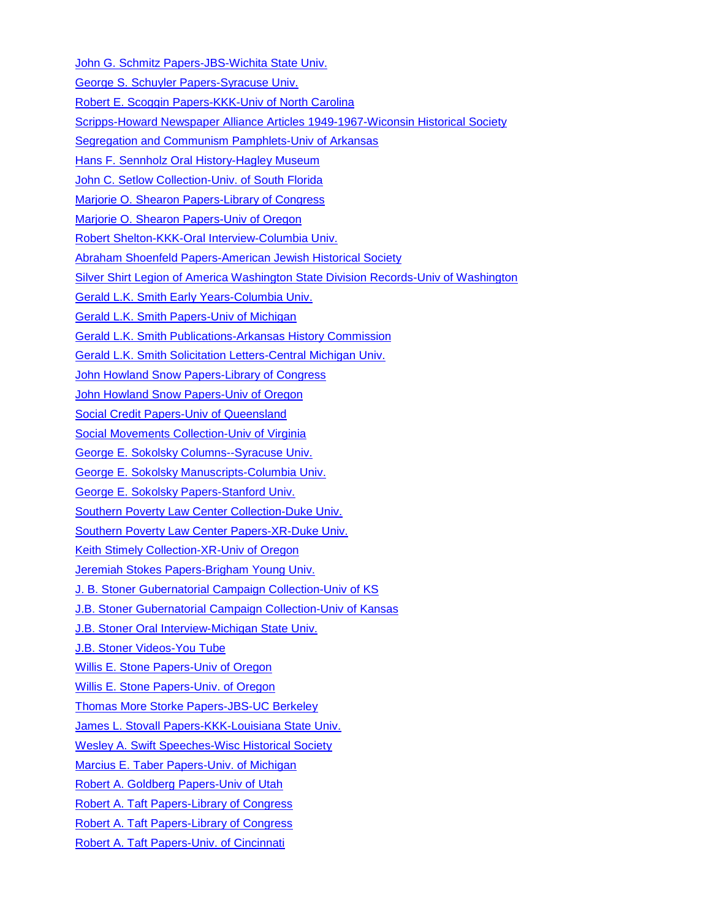[John G. Schmitz Papers-JBS-Wichita State Univ.](http://specialcollections.wichita.edu/collections/ms/74-01/74-1-A.HTML)

[George S. Schuyler Papers-Syracuse Univ.](http://library.syr.edu/digital/guides/s/schuyler_gs.htm)

[Robert E. Scoggin Papers-KKK-Univ of North Carolina](https://beta.worldcat.org/archivegrid/collection/data/841573873)

[Scripps-Howard Newspaper Alliance Articles 1949-1967-Wiconsin Historical Society](https://beta.worldcat.org/archivegrid/collection/data/122417626)

[Segregation and Communism Pamphlets-Univ of Arkansas](https://beta.worldcat.org/archivegrid/collection/data/27335496)

Hans [F. Sennholz Oral History-Hagley Museum](https://beta.worldcat.org/archivegrid/collection/data/164069125)

[John C. Setlow Collection-Univ. of South Florida](http://www.lib.usf.edu/aeon/eads/index.html?eadrequest=true&ead_id=U29-00098-S20)

[Marjorie O. Shearon Papers-Library of Congress](https://beta.worldcat.org/archivegrid/collection/data/28413857)

[Marjorie O. Shearon Papers-Univ of Oregon](https://beta.worldcat.org/archivegrid/collection/data/19274511)

[Robert Shelton-KKK-Oral Interview-Columbia Univ.](https://beta.worldcat.org/archivegrid/collection/data/122527173)

[Abraham Shoenfeld Papers-American Jewish Historical Society](http://findingaids.cjh.org/?pID=611930)

[Silver Shirt Legion of America Washington State Division Records-Univ of Washington](http://archiveswest.orbiscascade.org/ark:/80444/xv38671/op=fstyle.aspx?t=i&q=0&f_names=Pelley%2C+William+Dudley)

[Gerald L.K. Smith Early Years-Columbia Univ.](https://beta.worldcat.org/archivegrid/collection/data/56185185)

[Gerald L.K. Smith Papers-Univ of Michigan](https://beta.worldcat.org/archivegrid/collection/data/34418952)

[Gerald L.K. Smith Publications-Arkansas History Commission](https://beta.worldcat.org/archivegrid/collection/data/234380142)

[Gerald L.K. Smith Solicitation Letters-Central Michigan Univ.](https://beta.worldcat.org/archivegrid/collection/data/47066882)

[John Howland Snow Papers-Library of Congress](https://beta.worldcat.org/archivegrid/collection/data/28413544)

[John Howland Snow Papers-Univ of Oregon](https://beta.worldcat.org/archivegrid/collection/data/18549640)

[Social Credit Papers-Univ of Queensland](https://beta.worldcat.org/archivegrid/collection/data/505783355)

[Social Movements Collection-Univ of Virginia](http://ead.lib.virginia.edu/vivaxtf/view?docId=uva-sc/viu03897.xml)

[George E. Sokolsky Columns--Syracuse Univ.](http://library.syr.edu/digital/guides/s/sokolsky_g.htm)

[George E. Sokolsky Manuscripts-Columbia Univ.](http://findingaids.cul.columbia.edu/ead/nnc-rb/ldpd_4079353)

[George E. Sokolsky Papers-Stanford Univ.](http://www.oac.cdlib.org/findaid/ark:/13030/tf3199n5ts/)

[Southern Poverty Law Center Collection-Duke Univ.](http://library.duke.edu/rubenstein/findingaids/splc/)

[Southern Poverty Law Center Papers-XR-Duke Univ.](https://beta.worldcat.org/archivegrid/collection/data/871255050)

[Keith Stimely Collection-XR-Univ of Oregon](http://archiveswest.orbiscascade.org/ark:/80444/xv98853)

[Jeremiah Stokes Papers-Brigham Young Univ.](https://beta.worldcat.org/archivegrid/collection/data/122608586)

[J. B. Stoner Gubernatorial Campaign Collection-Univ of KS](http://etext.ku.edu/view?docId=ksrlead/ksrl.kc.stonerjb.xml&doc.view=print;chunk.id=)

[J.B. Stoner Gubernatorial Campaign Collection-Univ of Kansas](http://etext.ku.edu/view?docId=ksrlead/ksrl.kc.stonerjb.xml)

[J.B. Stoner Oral Interview-Michigan State Univ.](https://beta.worldcat.org/archivegrid/collection/data/18387322)

[J.B. Stoner Videos-You Tube](https://www.youtube.com/results?search_query=%22j.b.+stoner%22)

[Willis E. Stone Papers-Univ of Oregon](https://beta.worldcat.org/archivegrid/collection/data/18905897)

[Willis E. Stone Papers-Univ. of Oregon](http://archiveswest.orbiscascade.org/ark:/80444/xv22930)

[Thomas More Storke Papers-JBS-UC Berkeley](http://www.oac.cdlib.org/findaid/ark:/13030/tf609nb1gc/)

[James L. Stovall Papers-KKK-Louisiana State Univ.](http://www.lib.lsu.edu/sites/default/files/sc/findaid/4467.pdf)

[Wesley A. Swift Speeches-Wisc Historical Society](https://beta.worldcat.org/archivegrid/collection/data/173699545)

[Marcius E. Taber Papers-Univ. of Michigan](https://beta.worldcat.org/archivegrid/collection/data/34418552)

[Robert A. Goldberg Papers-Univ of Utah](http://archiveswest.orbiscascade.org/ark:/80444/xv15689)

[Robert A. Taft Papers-Library of Congress](http://findingaids.loc.gov/db/search/xq/searchMfer02.xq?_id=loc.mss.eadmss.ms011071&_faSection=overview&_faSubsection=did&_dmdid=)

[Robert A. Taft Papers-Library of Congress](https://beta.worldcat.org/archivegrid/collection/data/78464941)

[Robert A. Taft Papers-Univ. of Cincinnati](https://beta.worldcat.org/archivegrid/collection/data/884588701)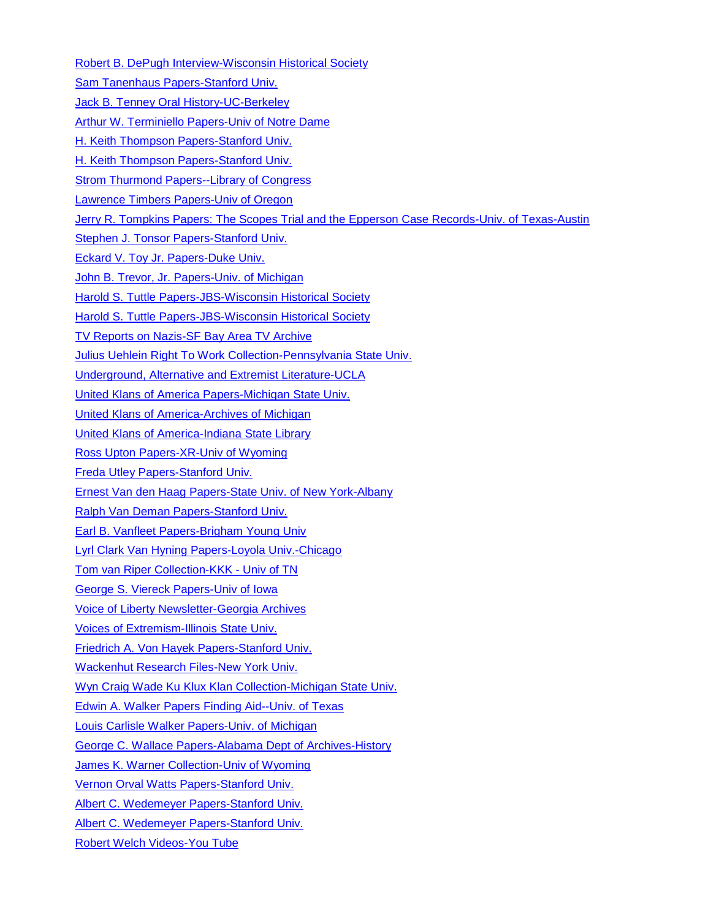[Robert B. DePugh Interview-Wisconsin Historical Society](https://beta.worldcat.org/archivegrid/collection/data/173699486) [Sam Tanenhaus Papers-Stanford Univ.](http://www.oac.cdlib.org/findaid/ark:/13030/tf900006kh/) [Jack B. Tenney Oral History-UC-Berkeley](https://beta.worldcat.org/archivegrid/collection/data/26597647) [Arthur W. Terminiello Papers-Univ of Notre Dame](http://archives.nd.edu/findaids/ead/xml/trm.xml) [H. Keith Thompson Papers-Stanford Univ.](http://www.oac.cdlib.org/findaid/ark:/13030/tf167n985d/) [H. Keith Thompson Papers-Stanford Univ.](https://beta.worldcat.org/archivegrid/collection/data/754868917) [Strom Thurmond Papers--Library of Congress](https://beta.worldcat.org/archivegrid/collection/data/28498716) [Lawrence Timbers Papers-Univ of Oregon](https://beta.worldcat.org/archivegrid/collection/data/19082612) [Jerry R. Tompkins Papers: The Scopes Trial and the Epperson Case Records-Univ. of Texas-Austin](http://www.lib.utexas.edu/taro/utcah/00273/cah-00273.html) [Stephen J. Tonsor Papers-Stanford Univ.](https://beta.worldcat.org/archivegrid/collection/data/754872572) [Eckard V. Toy Jr. Papers-Duke Univ.](https://beta.worldcat.org/archivegrid/collection/data/883742727) [John B. Trevor, Jr. Papers-Univ. of Michigan](https://beta.worldcat.org/archivegrid/collection/data/80711252) [Harold S. Tuttle Papers-JBS-Wisconsin Historical Society](https://beta.worldcat.org/archivegrid/collection/data/173703237) [Harold S. Tuttle Papers-JBS-Wisconsin Historical Society](http://digicoll.library.wisc.edu/cgi/f/findaid/findaid-idx?c=wiarchives;view=reslist;subview=standard;didno=uw-whs-nort0013) [TV Reports on Nazis-SF Bay Area TV Archive](https://diva.sfsu.edu/collections/sfbatv/search?q=%22nazi%22&go=Go) [Julius Uehlein Right To Work Collection-Pennsylvania State Univ.](https://beta.worldcat.org/archivegrid/collection/data/31019648) [Underground, Alternative and Extremist Literature-UCLA](http://www.oac.cdlib.org/findaid/ark:/13030/tf8x0nb5rz/) [United Klans of America Papers-Michigan State Univ.](http://findingaids.lib.msu.edu/spc/index.php?p=collections/controlcard&id=69) [United Klans of America-Archives of Michigan](https://beta.worldcat.org/archivegrid/collection/data/41347871) [United Klans of America-Indiana State Library](https://beta.worldcat.org/archivegrid/collection/data/826916264) [Ross Upton Papers-XR-Univ of Wyoming](https://beta.worldcat.org/archivegrid/collection/data/71801251) [Freda Utley Papers-Stanford Univ.](http://www.oac.cdlib.org/findaid/ark:/13030/tf209n98b0/) [Ernest Van den Haag Papers-State Univ. of New York-Albany](https://beta.worldcat.org/archivegrid/collection/data/907882234) [Ralph Van Deman Papers-Stanford Univ.](http://www.oac.cdlib.org/findaid/ark:/13030/kt9h4nf39n/) [Earl B. Vanfleet Papers-Brigham Young Univ](https://findingaid.lib.byu.edu/viewItem/MSS%203247) [Lyrl Clark Van Hyning Papers-Loyola Univ.-Chicago](https://beta.worldcat.org/archivegrid/collection/data/568195587) [Tom van Riper Collection-KKK -](http://dlc.lib.utk.edu/spc/view?docId=ead/0012_000858_000000_0000/0012_000858_000000_0000.xml;query=Ku%20Klux%20Klan;brand=default) Univ of TN [George S. Viereck Papers-Univ of Iowa](http://collguides.lib.uiowa.edu/?MSC0099) [Voice of Liberty Newsletter-Georgia Archives](https://beta.worldcat.org/archivegrid/collection/data/122503929) [Voices of Extremism-Illinois State Univ.](http://digital.library.illinoisstate.edu/cdm/search/collection/p15990coll1/searchterm/Hall,%20Gordon%20D./field/identi/mode/all/conn/and/order/nosort) [Friedrich A. Von Hayek Papers-Stanford Univ.](http://www.oac.cdlib.org/findaid/ark:/13030/kt3v19n8zw/) [Wackenhut Research Files-New York Univ.](http://dlib.nyu.edu/findingaids/html/tamwag/tam_148/dscref11.html) [Wyn Craig Wade Ku Klux Klan Collection-Michigan State Univ.](http://findingaids.lib.msu.edu/spc/index.php?p=collections/controlcard&id=285) [Edwin A. Walker Papers Finding Aid--Univ. of Texas](https://archive.org/details/FindingAidWalkerPapers) [Louis Carlisle Walker Papers-Univ. of Michigan](https://beta.worldcat.org/archivegrid/collection/data/34420843) [George C. Wallace Papers-Alabama Dept of Archives-History](https://beta.worldcat.org/archivegrid/collection/data/122508313) [James K. Warner Collection-Univ of Wyoming](https://beta.worldcat.org/archivegrid/collection/data/85257014) [Vernon Orval Watts Papers-Stanford Univ.](https://beta.worldcat.org/archivegrid/collection/data/754872044) [Albert C. Wedemeyer Papers-Stanford Univ.](http://www.oac.cdlib.org/findaid/ark:/13030/tf3x0n99pv/) [Albert C. Wedemeyer Papers-Stanford Univ.](https://beta.worldcat.org/archivegrid/collection/data/754871989) [Robert Welch Videos-You Tube](https://www.youtube.com/results?search_query=%22Robert+Welch%22)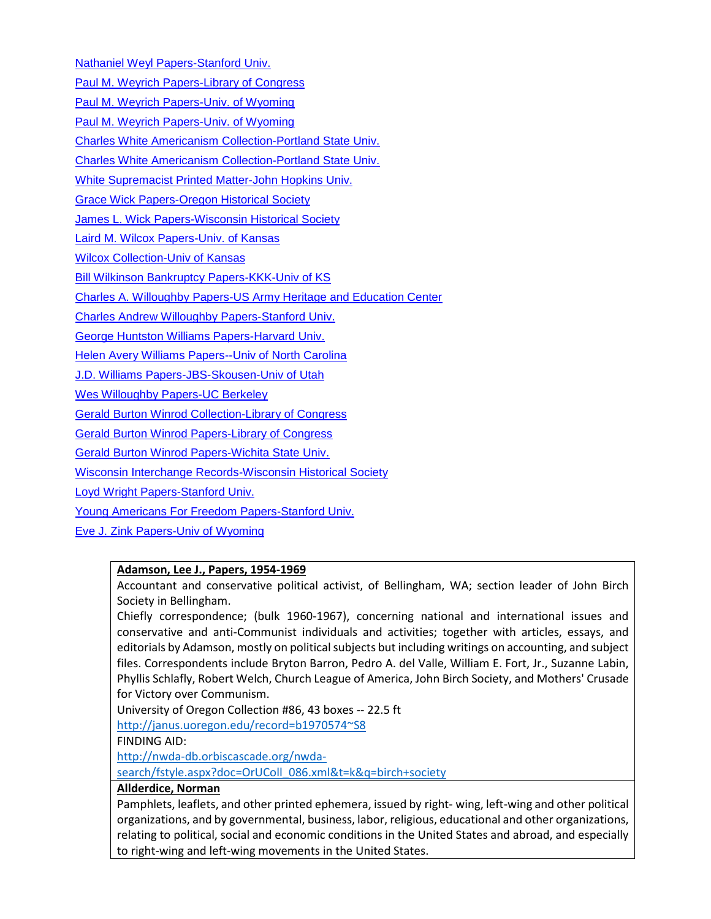[Nathaniel Weyl Papers-Stanford Univ.](http://www.oac.cdlib.org/findaid/ark:/13030/tf0489n3tj/)

[Paul M. Weyrich Papers-Library of Congress](http://rs5.loc.gov/service/mss/eadxmlmss/eadpdfmss/2013/ms013081.pdf)

[Paul M. Weyrich Papers-Univ. of Wyoming](https://rmoa.unm.edu/docviewer.php?docId=wyu-ah10138.xml)

[Paul M. Weyrich Papers-Univ. of Wyoming](https://beta.worldcat.org/archivegrid/collection/data/62876819)

[Charles White Americanism Collection-Portland State Univ.](http://archiveswest.orbiscascade.org/ark:/80444/xv50491)

[Charles White Americanism Collection-Portland State Univ.](https://archives.pdx.edu/archon/index.php?p=collections/controlcard&id=49)

[White Supremacist Printed Matter-John Hopkins Univ.](https://beta.worldcat.org/archivegrid/collection/data/944028498)

[Grace Wick Papers-Oregon Historical Society](http://archiveswest.orbiscascade.org/ark:/80444/xv71827)

[James L. Wick Papers-Wisconsin Historical Society](http://digicoll.library.wisc.edu/cgi/f/findaid/findaid-idx?c=wiarchives;view=reslist;subview=standard;didno=uw-whs-m85249)

[Laird M. Wilcox Papers-Univ. of Kansas](http://etext.ku.edu/view?docId=ksrlead/ksrl.kc.wilcoxlairdmpapers.xml;route=ksrlead;brand=ksrlead;query=wilcox)

[Wilcox Collection-Univ of Kansas](https://beta.worldcat.org/archivegrid/collection/data/17949950)

[Bill Wilkinson Bankruptcy Papers-KKK-Univ of KS](http://etext.ku.edu/view?docId=ksrlead/ksrl.kc.unitedstatesbankruptcycourt.xml&doc.view=print;chunk.id=)

[Charles A. Willoughby Papers-US Army Heritage and Education Center](https://beta.worldcat.org/archivegrid/collection/data/47107633)

[Charles Andrew Willoughby Papers-Stanford Univ.](https://beta.worldcat.org/archivegrid/collection/data/754869069)

[George Huntston Williams Papers-Harvard Univ.](http://oasis.lib.harvard.edu/oasis/deliver/deepLink?_collection=oasis&uniqueId=div00404)

**[Helen Avery Williams Papers--Univ of North Carolina](https://findingaids.uncc.edu/repositories/4/resources/232)** 

[J.D. Williams Papers-JBS-Skousen-Univ of Utah](http://archiveswest.orbiscascade.org/ark:/80444/xv70108)

[Wes Willoughby Papers-UC Berkeley](https://beta.worldcat.org/archivegrid/collection/data/936499978)

[Gerald Burton Winrod Collection-Library of Congress](https://beta.worldcat.org/archivegrid/collection/data/28413967)

[Gerald Burton Winrod Papers-Library of Congress](https://beta.worldcat.org/archivegrid/collection/data/28413483)

[Gerald Burton Winrod Papers-Wichita State Univ.](http://specialcollections.wichita.edu/collections/ms/87-09/87-9-A.HTML)

[Wisconsin Interchange Records-Wisconsin Historical Society](http://digicoll.library.wisc.edu/cgi/f/findaid/findaid-idx?c=wiarchives;view=reslist;subview=standard;didno=uw-whs-tape00864a)

[Loyd Wright Papers-Stanford Univ.](http://www.oac.cdlib.org/findaid/ark:/13030/tf5b69n77j/)

[Young Americans For Freedom Papers-Stanford Univ.](http://www.oac.cdlib.org/findaid/ark:/13030/kt9199s4ss/)

[Eve J. Zink Papers-Univ of Wyoming](https://beta.worldcat.org/archivegrid/collection/data/61257909)

### **Adamson, Lee J., Papers, 1954-1969**

Accountant and conservative political activist, of Bellingham, WA; section leader of John Birch Society in Bellingham.

Chiefly correspondence; (bulk 1960-1967), concerning national and international issues and conservative and anti-Communist individuals and activities; together with articles, essays, and editorials by Adamson, mostly on political subjects but including writings on accounting, and subject files. Correspondents include Bryton Barron, Pedro A. del Valle, William E. Fort, Jr., Suzanne Labin, Phyllis Schlafly, Robert Welch, Church League of America, John Birch Society, and Mothers' Crusade for Victory over Communism.

University of Oregon Collection #86, 43 boxes -- 22.5 ft

[http://janus.uoregon.edu/record=b1970574~S8](http://janus.uoregon.edu/record=b1970574%7ES8)

FINDING AID:

[http://nwda-db.orbiscascade.org/nwda-](http://nwda-db.orbiscascade.org/nwda-search/fstyle.aspx?doc=OrUColl_086.xml&t=k&q=birch+society)

[search/fstyle.aspx?doc=OrUColl\\_086.xml&t=k&q=birch+society](http://nwda-db.orbiscascade.org/nwda-search/fstyle.aspx?doc=OrUColl_086.xml&t=k&q=birch+society)

### **Allderdice, Norman**

Pamphlets, leaflets, and other printed ephemera, issued by right- wing, left-wing and other political organizations, and by governmental, business, labor, religious, educational and other organizations, relating to political, social and economic conditions in the United States and abroad, and especially to right-wing and left-wing movements in the United States.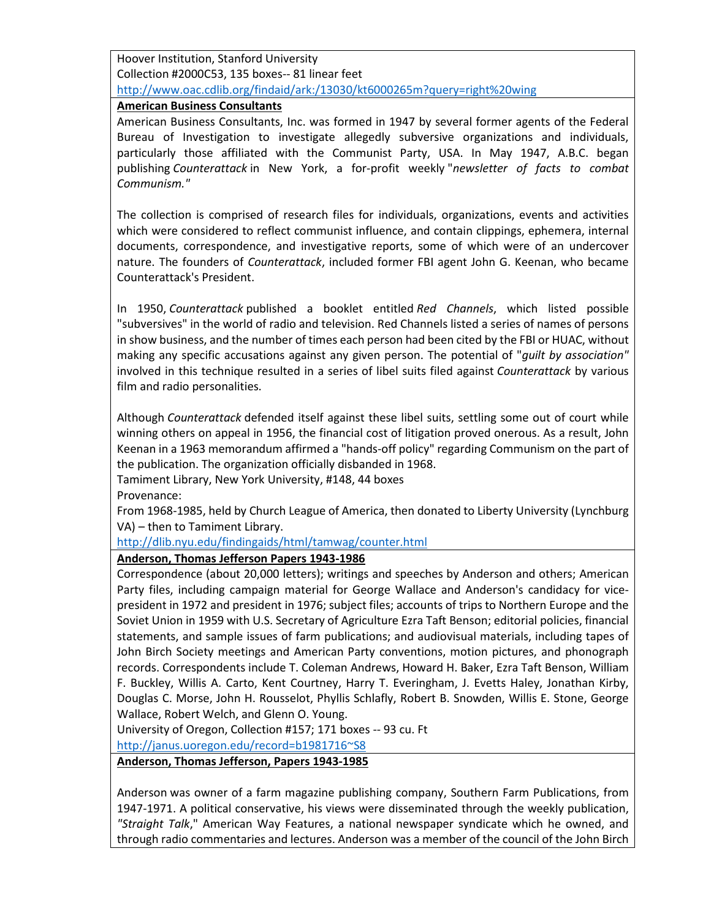Hoover Institution, Stanford University Collection #2000C53, 135 boxes-- 81 linear feet <http://www.oac.cdlib.org/findaid/ark:/13030/kt6000265m?query=right%20wing>

#### **American Business Consultants**

American Business Consultants, Inc. was formed in 1947 by several former agents of the Federal Bureau of Investigation to investigate allegedly subversive organizations and individuals, particularly those affiliated with the Communist Party, USA. In May 1947, A.B.C. began publishing *Counterattack* in New York, a for-profit weekly "*newsletter of facts to combat Communism."*

The collection is comprised of research files for individuals, organizations, events and activities which were considered to reflect communist influence, and contain clippings, ephemera, internal documents, correspondence, and investigative reports, some of which were of an undercover nature. The founders of *Counterattack*, included former FBI agent John G. Keenan, who became Counterattack's President.

In 1950, *Counterattack* published a booklet entitled *Red Channels*, which listed possible "subversives" in the world of radio and television. Red Channels listed a series of names of persons in show business, and the number of times each person had been cited by the FBI or HUAC, without making any specific accusations against any given person. The potential of "*guilt by association"* involved in this technique resulted in a series of libel suits filed against *Counterattack* by various film and radio personalities.

Although *Counterattack* defended itself against these libel suits, settling some out of court while winning others on appeal in 1956, the financial cost of litigation proved onerous. As a result, John Keenan in a 1963 memorandum affirmed a "hands-off policy" regarding Communism on the part of the publication. The organization officially disbanded in 1968.

Tamiment Library, New York University, #148, 44 boxes

Provenance:

From 1968-1985, held by Church League of America, then donated to Liberty University (Lynchburg VA) – then to Tamiment Library.

<http://dlib.nyu.edu/findingaids/html/tamwag/counter.html>

# **Anderson, Thomas Jefferson Papers 1943-1986**

Correspondence (about 20,000 letters); writings and speeches by Anderson and others; American Party files, including campaign material for George Wallace and Anderson's candidacy for vicepresident in 1972 and president in 1976; subject files; accounts of trips to Northern Europe and the Soviet Union in 1959 with U.S. Secretary of Agriculture Ezra Taft Benson; editorial policies, financial statements, and sample issues of farm publications; and audiovisual materials, including tapes of John Birch Society meetings and American Party conventions, motion pictures, and phonograph records. Correspondents include T. Coleman Andrews, Howard H. Baker, Ezra Taft Benson, William F. Buckley, Willis A. Carto, Kent Courtney, Harry T. Everingham, J. Evetts Haley, Jonathan Kirby, Douglas C. Morse, John H. Rousselot, Phyllis Schlafly, Robert B. Snowden, Willis E. Stone, George Wallace, Robert Welch, and Glenn O. Young.

University of Oregon, Collection #157; 171 boxes -- 93 cu. Ft

[http://janus.uoregon.edu/record=b1981716~S8](http://janus.uoregon.edu/record=b1981716%7ES8)

**Anderson, Thomas Jefferson, Papers 1943-1985**

Anderson was owner of a farm magazine publishing company, Southern Farm Publications, from 1947-1971. A political conservative, his views were disseminated through the weekly publication, *"Straight Talk*," American Way Features, a national newspaper syndicate which he owned, and through radio commentaries and lectures. Anderson was a member of the council of the John Birch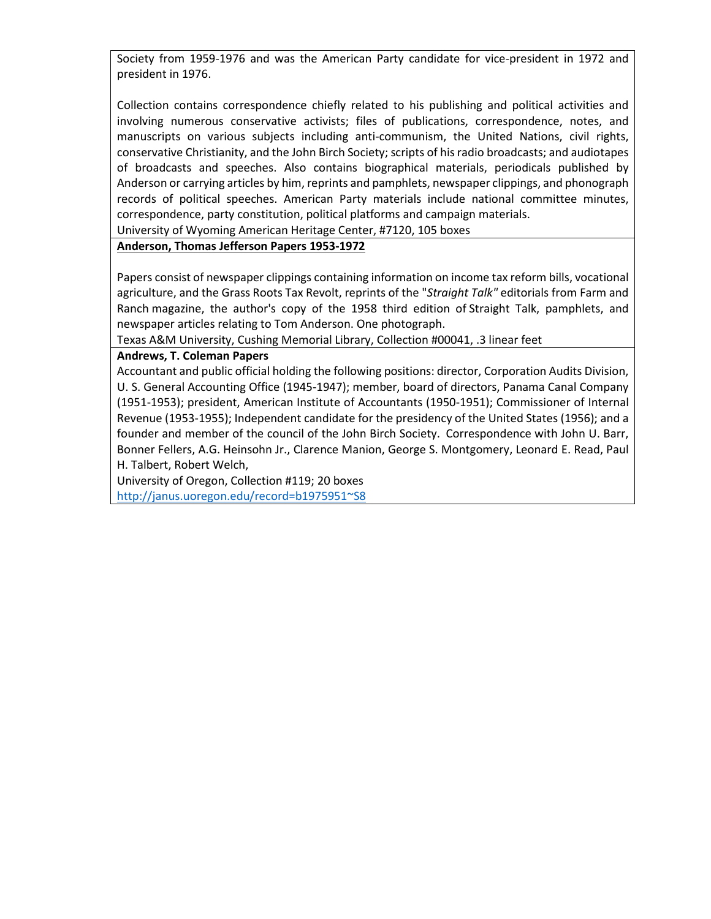Society from 1959-1976 and was the American Party candidate for vice-president in 1972 and president in 1976.

Collection contains correspondence chiefly related to his publishing and political activities and involving numerous conservative activists; files of publications, correspondence, notes, and manuscripts on various subjects including anti-communism, the United Nations, civil rights, conservative Christianity, and the John Birch Society; scripts of his radio broadcasts; and audiotapes of broadcasts and speeches. Also contains biographical materials, periodicals published by Anderson or carrying articles by him, reprints and pamphlets, newspaper clippings, and phonograph records of political speeches. American Party materials include national committee minutes, correspondence, party constitution, political platforms and campaign materials.

University of Wyoming American Heritage Center, #7120, 105 boxes

**Anderson, Thomas Jefferson Papers 1953-1972**

Papers consist of newspaper clippings containing information on income tax reform bills, vocational agriculture, and the Grass Roots Tax Revolt, reprints of the "*Straight Talk"* editorials from Farm and Ranch magazine, the author's copy of the 1958 third edition of Straight Talk, pamphlets, and newspaper articles relating to Tom Anderson. One photograph.

Texas A&M University, Cushing Memorial Library, Collection #00041, .3 linear feet

#### **Andrews, T. Coleman Papers**

Accountant and public official holding the following positions: director, Corporation Audits Division, U. S. General Accounting Office (1945-1947); member, board of directors, Panama Canal Company (1951-1953); president, American Institute of Accountants (1950-1951); Commissioner of Internal Revenue (1953-1955); Independent candidate for the presidency of the United States (1956); and a founder and member of the council of the John Birch Society. Correspondence with John U. Barr, Bonner Fellers, A.G. Heinsohn Jr., Clarence Manion, George S. Montgomery, Leonard E. Read, Paul H. Talbert, Robert Welch,

University of Oregon, Collection #119; 20 boxes [http://janus.uoregon.edu/record=b1975951~S8](http://janus.uoregon.edu/record=b1975951%7ES8)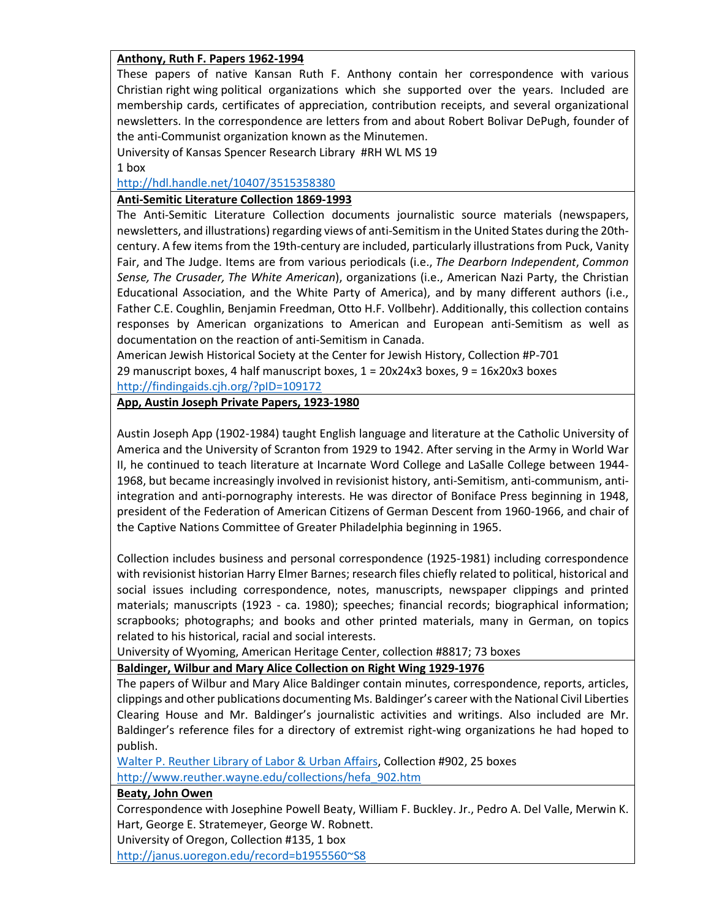## **Anthony, Ruth F. Papers 1962-1994**

These papers of native Kansan Ruth F. Anthony contain her correspondence with various Christian right wing political organizations which she supported over the years. Included are membership cards, certificates of appreciation, contribution receipts, and several organizational newsletters. In the correspondence are letters from and about Robert Bolivar DePugh, founder of the anti-Communist organization known as the Minutemen.

University of Kansas Spencer Research Library #RH WL MS 19 1 box

### <http://hdl.handle.net/10407/3515358380>

### **Anti-Semitic Literature Collection 1869-1993**

The Anti-Semitic Literature Collection documents journalistic source materials (newspapers, newsletters, and illustrations) regarding views of anti-Semitism in the United States during the 20thcentury. A few items from the 19th-century are included, particularly illustrations from Puck, Vanity Fair, and The Judge. Items are from various periodicals (i.e., *The Dearborn Independent*, *Common Sense, The Crusader, The White American*), organizations (i.e., American Nazi Party, the Christian Educational Association, and the White Party of America), and by many different authors (i.e., Father C.E. Coughlin, Benjamin Freedman, Otto H.F. Vollbehr). Additionally, this collection contains responses by American organizations to American and European anti-Semitism as well as documentation on the reaction of anti-Semitism in Canada.

American Jewish Historical Society at the Center for Jewish History, Collection #P-701 29 manuscript boxes, 4 half manuscript boxes,  $1 = 20x24x3$  boxes,  $9 = 16x20x3$  boxes <http://findingaids.cjh.org/?pID=109172>

## **App, Austin Joseph Private Papers, 1923-1980**

Austin Joseph App (1902-1984) taught English language and literature at the Catholic University of America and the University of Scranton from 1929 to 1942. After serving in the Army in World War II, he continued to teach literature at Incarnate Word College and LaSalle College between 1944- 1968, but became increasingly involved in revisionist history, anti-Semitism, anti-communism, antiintegration and anti-pornography interests. He was director of Boniface Press beginning in 1948, president of the Federation of American Citizens of German Descent from 1960-1966, and chair of the Captive Nations Committee of Greater Philadelphia beginning in 1965.

Collection includes business and personal correspondence (1925-1981) including correspondence with revisionist historian Harry Elmer Barnes; research files chiefly related to political, historical and social issues including correspondence, notes, manuscripts, newspaper clippings and printed materials; manuscripts (1923 - ca. 1980); speeches; financial records; biographical information; scrapbooks; photographs; and books and other printed materials, many in German, on topics related to his historical, racial and social interests.

University of Wyoming, American Heritage Center, collection #8817; 73 boxes

# **Baldinger, Wilbur and Mary Alice Collection on Right Wing 1929-1976**

The papers of Wilbur and Mary Alice Baldinger contain minutes, correspondence, reports, articles, clippings and other publications documenting Ms. Baldinger's career with the National Civil Liberties Clearing House and Mr. Baldinger's journalistic activities and writings. Also included are Mr. Baldinger's reference files for a directory of extremist right-wing organizations he had hoped to publish.

[Walter P. Reuther Library of Labor & Urban Affairs,](http://www.reuther.wayne.edu/) Collection #902, 25 boxes [http://www.reuther.wayne.edu/collections/hefa\\_902.htm](http://www.reuther.wayne.edu/collections/hefa_902.htm)

**Beaty, John Owen**

Correspondence with Josephine Powell Beaty, William F. Buckley. Jr., Pedro A. Del Valle, Merwin K. Hart, George E. Stratemeyer, George W. Robnett.

University of Oregon, Collection #135, 1 box

[http://janus.uoregon.edu/record=b1955560~S8](http://janus.uoregon.edu/record=b1955560%7ES8)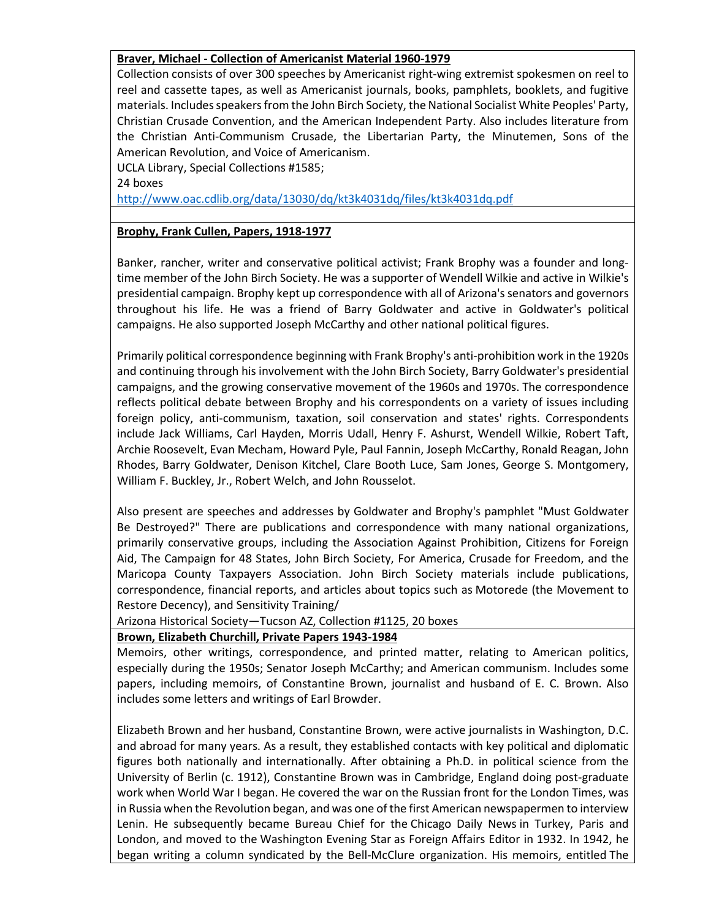## **Braver, Michael - Collection of Americanist Material 1960-1979**

Collection consists of over 300 speeches by Americanist right-wing extremist spokesmen on reel to reel and cassette tapes, as well as Americanist journals, books, pamphlets, booklets, and fugitive materials. Includes speakers from the John Birch Society, the National Socialist White Peoples' Party, Christian Crusade Convention, and the American Independent Party. Also includes literature from the Christian Anti-Communism Crusade, the Libertarian Party, the Minutemen, Sons of the American Revolution, and Voice of Americanism.

UCLA Library, Special Collections #1585;

24 boxes

<http://www.oac.cdlib.org/data/13030/dq/kt3k4031dq/files/kt3k4031dq.pdf>

## **Brophy, Frank Cullen, Papers, 1918-1977**

Banker, rancher, writer and conservative political activist; Frank Brophy was a founder and longtime member of the John Birch Society. He was a supporter of Wendell Wilkie and active in Wilkie's presidential campaign. Brophy kept up correspondence with all of Arizona's senators and governors throughout his life. He was a friend of Barry Goldwater and active in Goldwater's political campaigns. He also supported Joseph McCarthy and other national political figures.

Primarily political correspondence beginning with Frank Brophy's anti-prohibition work in the 1920s and continuing through his involvement with the John Birch Society, Barry Goldwater's presidential campaigns, and the growing conservative movement of the 1960s and 1970s. The correspondence reflects political debate between Brophy and his correspondents on a variety of issues including foreign policy, anti-communism, taxation, soil conservation and states' rights. Correspondents include Jack Williams, Carl Hayden, Morris Udall, Henry F. Ashurst, Wendell Wilkie, Robert Taft, Archie Roosevelt, Evan Mecham, Howard Pyle, Paul Fannin, Joseph McCarthy, Ronald Reagan, John Rhodes, Barry Goldwater, Denison Kitchel, Clare Booth Luce, Sam Jones, George S. Montgomery, William F. Buckley, Jr., Robert Welch, and John Rousselot.

Also present are speeches and addresses by Goldwater and Brophy's pamphlet "Must Goldwater Be Destroyed?" There are publications and correspondence with many national organizations, primarily conservative groups, including the Association Against Prohibition, Citizens for Foreign Aid, The Campaign for 48 States, John Birch Society, For America, Crusade for Freedom, and the Maricopa County Taxpayers Association. John Birch Society materials include publications, correspondence, financial reports, and articles about topics such as Motorede (the Movement to Restore Decency), and Sensitivity Training/

Arizona Historical Society—Tucson AZ, Collection #1125, 20 boxes

# **Brown, Elizabeth Churchill, Private Papers 1943-1984**

Memoirs, other writings, correspondence, and printed matter, relating to American politics, especially during the 1950s; Senator Joseph McCarthy; and American communism. Includes some papers, including memoirs, of Constantine Brown, journalist and husband of E. C. Brown. Also includes some letters and writings of Earl Browder.

Elizabeth Brown and her husband, Constantine Brown, were active journalists in Washington, D.C. and abroad for many years. As a result, they established contacts with key political and diplomatic figures both nationally and internationally. After obtaining a Ph.D. in political science from the University of Berlin (c. 1912), Constantine Brown was in Cambridge, England doing post-graduate work when World War I began. He covered the war on the Russian front for the London Times, was in Russia when the Revolution began, and was one of the first American newspapermen to interview Lenin. He subsequently became Bureau Chief for the Chicago Daily News in Turkey, Paris and London, and moved to the Washington Evening Star as Foreign Affairs Editor in 1932. In 1942, he began writing a column syndicated by the Bell-McClure organization. His memoirs, entitled The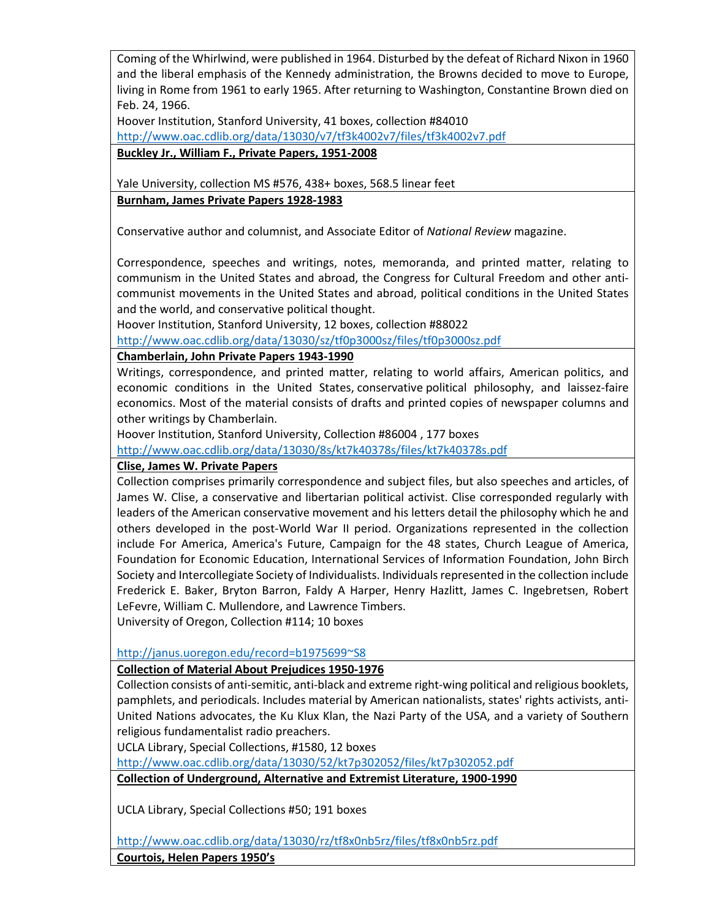Coming of the Whirlwind, were published in 1964. Disturbed by the defeat of Richard Nixon in 1960 and the liberal emphasis of the Kennedy administration, the Browns decided to move to Europe, living in Rome from 1961 to early 1965. After returning to Washington, Constantine Brown died on Feb. 24, 1966.

Hoover Institution, Stanford University, 41 boxes, collection #84010 <http://www.oac.cdlib.org/data/13030/v7/tf3k4002v7/files/tf3k4002v7.pdf> **Buckley Jr., William F., Private Papers, 1951-2008**

Yale University, collection MS #576, 438+ boxes, 568.5 linear feet **Burnham, James Private Papers 1928-1983**

Conservative author and columnist, and Associate Editor of *National Review* magazine.

Correspondence, speeches and writings, notes, memoranda, and printed matter, relating to communism in the United States and abroad, the Congress for Cultural Freedom and other anticommunist movements in the United States and abroad, political conditions in the United States and the world, and conservative political thought.

Hoover Institution, Stanford University, 12 boxes, collection #88022

<http://www.oac.cdlib.org/data/13030/sz/tf0p3000sz/files/tf0p3000sz.pdf>

# **Chamberlain, John Private Papers 1943-1990**

Writings, correspondence, and printed matter, relating to world affairs, American politics, and economic conditions in the United States, conservative political philosophy, and laissez-faire economics. Most of the material consists of drafts and printed copies of newspaper columns and other writings by Chamberlain.

Hoover Institution, Stanford University, Collection #86004 , 177 boxes

<http://www.oac.cdlib.org/data/13030/8s/kt7k40378s/files/kt7k40378s.pdf>

# **Clise, James W. Private Papers**

Collection comprises primarily correspondence and subject files, but also speeches and articles, of James W. Clise, a conservative and libertarian political activist. Clise corresponded regularly with leaders of the American conservative movement and his letters detail the philosophy which he and others developed in the post-World War II period. Organizations represented in the collection include For America, America's Future, Campaign for the 48 states, Church League of America, Foundation for Economic Education, International Services of Information Foundation, John Birch Society and Intercollegiate Society of Individualists. Individuals represented in the collection include Frederick E. Baker, Bryton Barron, Faldy A Harper, Henry Hazlitt, James C. Ingebretsen, Robert LeFevre, William C. Mullendore, and Lawrence Timbers.

University of Oregon, Collection #114; 10 boxes

[http://janus.uoregon.edu/record=b1975699~S8](http://janus.uoregon.edu/record=b1975699%7ES8)

# **Collection of Material About Prejudices 1950-1976**

Collection consists of anti-semitic, anti-black and extreme right-wing political and religious booklets, pamphlets, and periodicals. Includes material by American nationalists, states' rights activists, anti-United Nations advocates, the Ku Klux Klan, the Nazi Party of the USA, and a variety of Southern religious fundamentalist radio preachers.

UCLA Library, Special Collections, #1580, 12 boxes

<http://www.oac.cdlib.org/data/13030/52/kt7p302052/files/kt7p302052.pdf>

**Collection of Underground, Alternative and Extremist Literature, 1900-1990**

UCLA Library, Special Collections #50; 191 boxes

<http://www.oac.cdlib.org/data/13030/rz/tf8x0nb5rz/files/tf8x0nb5rz.pdf>

**Courtois, Helen Papers 1950's**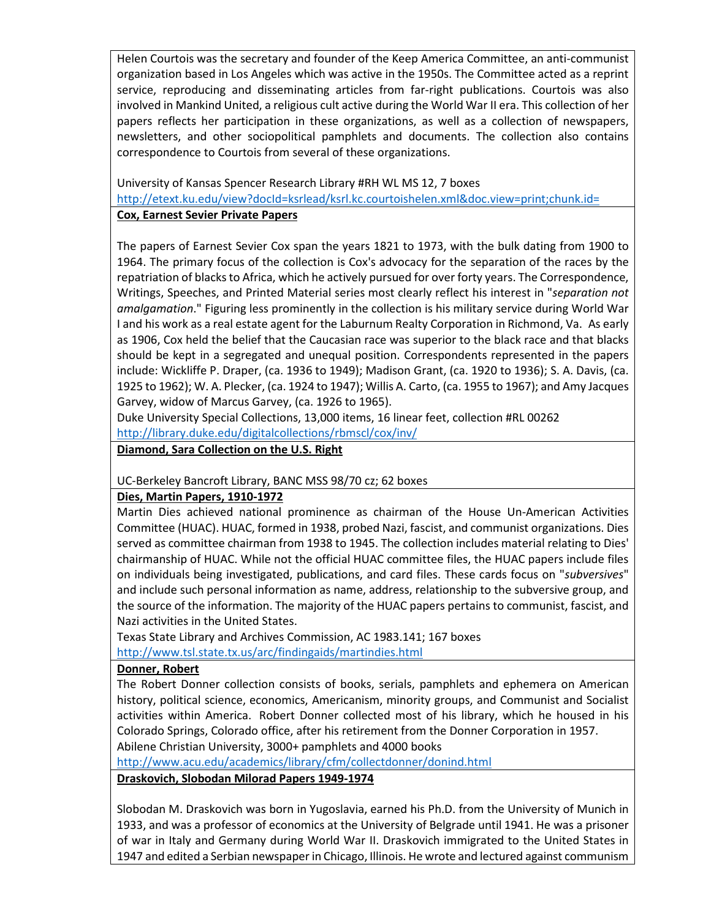Helen Courtois was the secretary and founder of the Keep America Committee, an anti-communist organization based in Los Angeles which was active in the 1950s. The Committee acted as a reprint service, reproducing and disseminating articles from far-right publications. Courtois was also involved in Mankind United, a religious cult active during the World War II era. This collection of her papers reflects her participation in these organizations, as well as a collection of newspapers, newsletters, and other sociopolitical pamphlets and documents. The collection also contains correspondence to Courtois from several of these organizations.

University of Kansas Spencer Research Library #RH WL MS 12, 7 boxes <http://etext.ku.edu/view?docId=ksrlead/ksrl.kc.courtoishelen.xml&doc.view=print;chunk.id=> **Cox, Earnest Sevier Private Papers**

The papers of Earnest Sevier Cox span the years 1821 to 1973, with the bulk dating from 1900 to 1964. The primary focus of the collection is Cox's advocacy for the separation of the races by the repatriation of blacks to Africa, which he actively pursued for over forty years. The Correspondence, Writings, Speeches, and Printed Material series most clearly reflect his interest in "*separation not amalgamation*." Figuring less prominently in the collection is his military service during World War I and his work as a real estate agent for the Laburnum Realty Corporation in Richmond, Va. As early as 1906, Cox held the belief that the Caucasian race was superior to the black race and that blacks should be kept in a segregated and unequal position. Correspondents represented in the papers include: Wickliffe P. Draper, (ca. 1936 to 1949); Madison Grant, (ca. 1920 to 1936); S. A. Davis, (ca. 1925 to 1962); W. A. Plecker, (ca. 1924 to 1947); Willis A. Carto, (ca. 1955 to 1967); and Amy Jacques Garvey, widow of Marcus Garvey, (ca. 1926 to 1965).

Duke University Special Collections, 13,000 items, 16 linear feet, collection #RL 00262 <http://library.duke.edu/digitalcollections/rbmscl/cox/inv/>

**Diamond, Sara Collection on the U.S. Right**

UC-Berkeley Bancroft Library, BANC MSS 98/70 cz; 62 boxes

### **Dies, Martin Papers, 1910-1972**

Martin Dies achieved national prominence as chairman of the House Un-American Activities Committee (HUAC). HUAC, formed in 1938, probed Nazi, fascist, and communist organizations. Dies served as committee chairman from 1938 to 1945. The collection includes material relating to Dies' chairmanship of HUAC. While not the official HUAC committee files, the HUAC papers include files on individuals being investigated, publications, and card files. These cards focus on "*subversives*" and include such personal information as name, address, relationship to the subversive group, and the source of the information. The majority of the HUAC papers pertains to communist, fascist, and Nazi activities in the United States.

Texas State Library and Archives Commission, AC 1983.141; 167 boxes

<http://www.tsl.state.tx.us/arc/findingaids/martindies.html>

# **Donner, Robert**

The Robert Donner collection consists of books, serials, pamphlets and ephemera on American history, political science, economics, Americanism, minority groups, and Communist and Socialist activities within America. Robert Donner collected most of his library, which he housed in his Colorado Springs, Colorado office, after his retirement from the Donner Corporation in 1957. Abilene Christian University, 3000+ pamphlets and 4000 books

<http://www.acu.edu/academics/library/cfm/collectdonner/donind.html>

# **Draskovich, Slobodan Milorad Papers 1949-1974**

Slobodan M. Draskovich was born in Yugoslavia, earned his Ph.D. from the University of Munich in 1933, and was a professor of economics at the University of Belgrade until 1941. He was a prisoner of war in Italy and Germany during World War II. Draskovich immigrated to the United States in 1947 and edited a Serbian newspaper in Chicago, Illinois. He wrote and lectured against communism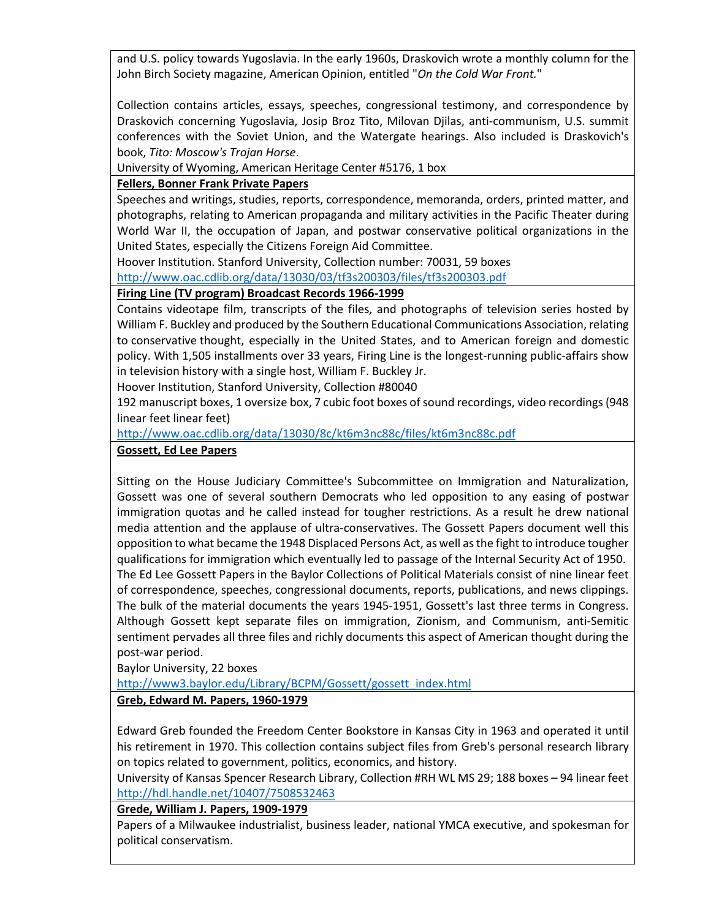and U.S. policy towards Yugoslavia. In the early 1960s, Draskovich wrote a monthly column for the John Birch Society magazine, American Opinion, entitled "*On the Cold War Front.*"

Collection contains articles, essays, speeches, congressional testimony, and correspondence by Draskovich concerning Yugoslavia, Josip Broz Tito, Milovan Djilas, anti-communism, U.S. summit conferences with the Soviet Union, and the Watergate hearings. Also included is Draskovich's book, *Tito: Moscow's Trojan Horse*.

University of Wyoming, American Heritage Center #5176, 1 box

# **Fellers, Bonner Frank Private Papers**

Speeches and writings, studies, reports, correspondence, memoranda, orders, printed matter, and photographs, relating to American propaganda and military activities in the Pacific Theater during World War II, the occupation of Japan, and postwar conservative political organizations in the United States, especially the Citizens Foreign Aid Committee.

Hoover Institution. Stanford University, Collection number: 70031, 59 boxes

<http://www.oac.cdlib.org/data/13030/03/tf3s200303/files/tf3s200303.pdf>

# **Firing Line (TV program) Broadcast Records 1966-1999**

Contains videotape film, transcripts of the files, and photographs of television series hosted by William F. Buckley and produced by the Southern Educational Communications Association, relating to conservative thought, especially in the United States, and to American foreign and domestic policy. With 1,505 installments over 33 years, Firing Line is the longest-running public-affairs show in television history with a single host, William F. Buckley Jr.

Hoover Institution, Stanford University, Collection #80040

192 manuscript boxes, 1 oversize box, 7 cubic foot boxes of sound recordings, video recordings (948 linear feet linear feet)

<http://www.oac.cdlib.org/data/13030/8c/kt6m3nc88c/files/kt6m3nc88c.pdf>

## **Gossett, Ed Lee Papers**

Sitting on the House Judiciary Committee's Subcommittee on Immigration and Naturalization, Gossett was one of several southern Democrats who led opposition to any easing of postwar immigration quotas and he called instead for tougher restrictions. As a result he drew national media attention and the applause of ultra-conservatives. The Gossett Papers document well this opposition to what became the 1948 Displaced Persons Act, as well as the fight to introduce tougher qualifications for immigration which eventually led to passage of the Internal Security Act of 1950. The Ed Lee Gossett Papers in the Baylor Collections of Political Materials consist of nine linear feet of correspondence, speeches, congressional documents, reports, publications, and news clippings. The bulk of the material documents the years 1945-1951, Gossett's last three terms in Congress. Although Gossett kept separate files on immigration, Zionism, and Communism, anti-Semitic sentiment pervades all three files and richly documents this aspect of American thought during the post-war period.

Baylor University, 22 boxes

[http://www3.baylor.edu/Library/BCPM/Gossett/gossett\\_index.html](http://www3.baylor.edu/Library/BCPM/Gossett/gossett_index.html)

# **Greb, Edward M. Papers, 1960-1979**

Edward Greb founded the Freedom Center Bookstore in Kansas City in 1963 and operated it until his retirement in 1970. This collection contains subject files from Greb's personal research library on topics related to government, politics, economics, and history.

University of Kansas Spencer Research Library, Collection #RH WL MS 29; 188 boxes – 94 linear feet <http://hdl.handle.net/10407/7508532463>

# **Grede, William J. Papers, 1909-1979**

Papers of a Milwaukee industrialist, business leader, national YMCA executive, and spokesman for political conservatism.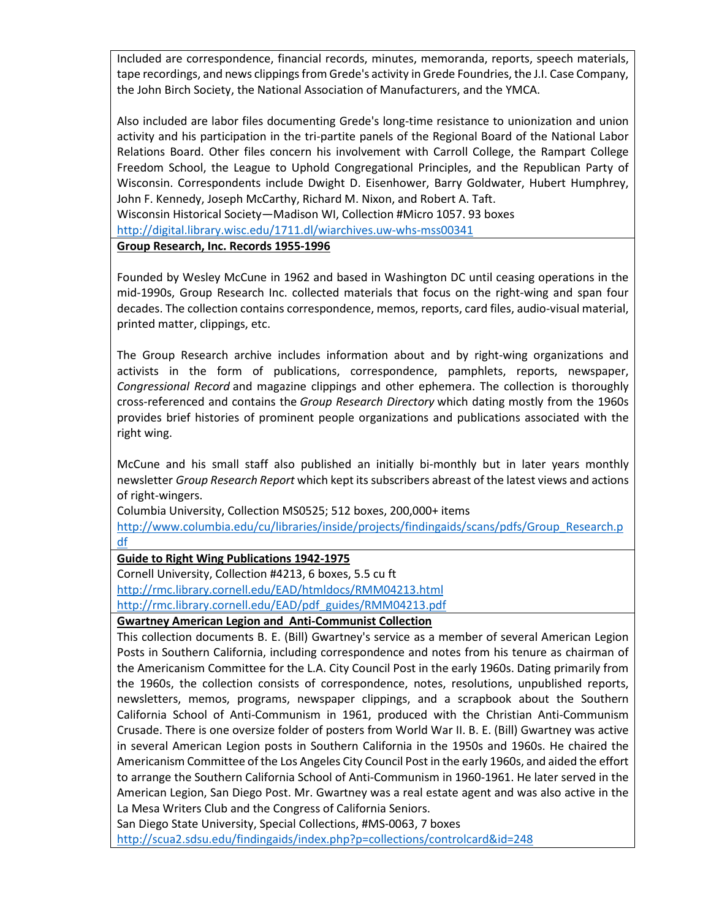Included are correspondence, financial records, minutes, memoranda, reports, speech materials, tape recordings, and news clippings from Grede's activity in Grede Foundries, the J.I. Case Company, the John Birch Society, the National Association of Manufacturers, and the YMCA.

Also included are labor files documenting Grede's long-time resistance to unionization and union activity and his participation in the tri-partite panels of the Regional Board of the National Labor Relations Board. Other files concern his involvement with Carroll College, the Rampart College Freedom School, the League to Uphold Congregational Principles, and the Republican Party of Wisconsin. Correspondents include Dwight D. Eisenhower, Barry Goldwater, Hubert Humphrey, John F. Kennedy, Joseph McCarthy, Richard M. Nixon, and Robert A. Taft. Wisconsin Historical Society—Madison WI, Collection #Micro 1057. 93 boxes <http://digital.library.wisc.edu/1711.dl/wiarchives.uw-whs-mss00341>

**Group Research, Inc. Records 1955-1996**

Founded by Wesley McCune in 1962 and based in Washington DC until ceasing operations in the mid-1990s, Group Research Inc. collected materials that focus on the right-wing and span four decades. The collection contains correspondence, memos, reports, card files, audio-visual material, printed matter, clippings, etc.

The Group Research archive includes information about and by right-wing organizations and activists in the form of publications, correspondence, pamphlets, reports, newspaper, *Congressional Record* and magazine clippings and other ephemera. The collection is thoroughly cross-referenced and contains the *Group Research Directory* which dating mostly from the 1960s provides brief histories of prominent people organizations and publications associated with the right wing.

McCune and his small staff also published an initially bi-monthly but in later years monthly newsletter *Group Research Report* which kept its subscribers abreast of the latest views and actions of right-wingers.

Columbia University, Collection MS0525; 512 boxes, 200,000+ items

[http://www.columbia.edu/cu/libraries/inside/projects/findingaids/scans/pdfs/Group\\_Research.p](http://www.columbia.edu/cu/libraries/inside/projects/findingaids/scans/pdfs/Group_Research.pdf) [df](http://www.columbia.edu/cu/libraries/inside/projects/findingaids/scans/pdfs/Group_Research.pdf)

# **Guide to Right Wing Publications 1942-1975**

Cornell University, Collection #4213, 6 boxes, 5.5 cu ft <http://rmc.library.cornell.edu/EAD/htmldocs/RMM04213.html> [http://rmc.library.cornell.edu/EAD/pdf\\_guides/RMM04213.pdf](http://rmc.library.cornell.edu/EAD/pdf_guides/RMM04213.pdf)

**Gwartney American Legion and Anti-Communist Collection**

This collection documents B. E. (Bill) Gwartney's service as a member of several American Legion Posts in Southern California, including correspondence and notes from his tenure as chairman of the Americanism Committee for the L.A. City Council Post in the early 1960s. Dating primarily from the 1960s, the collection consists of correspondence, notes, resolutions, unpublished reports, newsletters, memos, programs, newspaper clippings, and a scrapbook about the Southern California School of Anti-Communism in 1961, produced with the Christian Anti-Communism Crusade. There is one oversize folder of posters from World War II. B. E. (Bill) Gwartney was active in several American Legion posts in Southern California in the 1950s and 1960s. He chaired the Americanism Committee of the Los Angeles City Council Post in the early 1960s, and aided the effort to arrange the Southern California School of Anti-Communism in 1960-1961. He later served in the American Legion, San Diego Post. Mr. Gwartney was a real estate agent and was also active in the La Mesa Writers Club and the Congress of California Seniors.

San Diego State University, Special Collections, #MS-0063, 7 boxes <http://scua2.sdsu.edu/findingaids/index.php?p=collections/controlcard&id=248>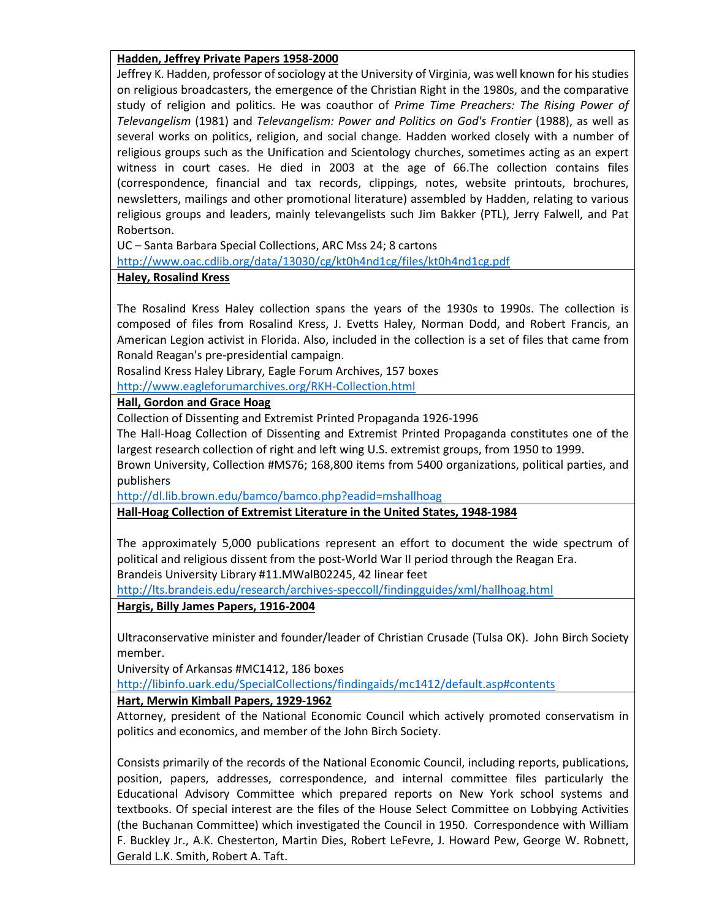## **Hadden, Jeffrey Private Papers 1958-2000**

Jeffrey K. Hadden, professor of sociology at the University of Virginia, was well known for his studies on religious broadcasters, the emergence of the Christian Right in the 1980s, and the comparative study of religion and politics. He was coauthor of *Prime Time Preachers: The Rising Power of Televangelism* (1981) and *Televangelism: Power and Politics on God's Frontier* (1988), as well as several works on politics, religion, and social change. Hadden worked closely with a number of religious groups such as the Unification and Scientology churches, sometimes acting as an expert witness in court cases. He died in 2003 at the age of 66.The collection contains files (correspondence, financial and tax records, clippings, notes, website printouts, brochures, newsletters, mailings and other promotional literature) assembled by Hadden, relating to various religious groups and leaders, mainly televangelists such Jim Bakker (PTL), Jerry Falwell, and Pat Robertson.

UC – Santa Barbara Special Collections, ARC Mss 24; 8 cartons

<http://www.oac.cdlib.org/data/13030/cg/kt0h4nd1cg/files/kt0h4nd1cg.pdf>

## **Haley, Rosalind Kress**

The Rosalind Kress Haley collection spans the years of the 1930s to 1990s. The collection is composed of files from Rosalind Kress, J. Evetts Haley, Norman Dodd, and Robert Francis, an American Legion activist in Florida. Also, included in the collection is a set of files that came from Ronald Reagan's pre-presidential campaign.

Rosalind Kress Haley Library, Eagle Forum Archives, 157 boxes

<http://www.eagleforumarchives.org/RKH-Collection.html>

## **Hall, Gordon and Grace Hoag**

Collection of Dissenting and Extremist Printed Propaganda 1926-1996

The Hall-Hoag Collection of Dissenting and Extremist Printed Propaganda constitutes one of the largest research collection of right and left wing U.S. extremist groups, from 1950 to 1999.

Brown University, Collection #MS76; 168,800 items from 5400 organizations, political parties, and publishers

<http://dl.lib.brown.edu/bamco/bamco.php?eadid=mshallhoag>

**Hall-Hoag Collection of Extremist Literature in the United States, 1948-1984**

The approximately 5,000 publications represent an effort to document the wide spectrum of political and religious dissent from the post-World War II period through the Reagan Era. Brandeis University Library #11.MWalB02245, 42 linear feet

<http://lts.brandeis.edu/research/archives-speccoll/findingguides/xml/hallhoag.html>

**Hargis, Billy James Papers, 1916-2004**

Ultraconservative minister and founder/leader of Christian Crusade (Tulsa OK). John Birch Society member.

University of Arkansas #MC1412, 186 boxes

<http://libinfo.uark.edu/SpecialCollections/findingaids/mc1412/default.asp#contents>

# **Hart, Merwin Kimball Papers, 1929-1962**

Attorney, president of the National Economic Council which actively promoted conservatism in politics and economics, and member of the John Birch Society.

Consists primarily of the records of the National Economic Council, including reports, publications, position, papers, addresses, correspondence, and internal committee files particularly the Educational Advisory Committee which prepared reports on New York school systems and textbooks. Of special interest are the files of the House Select Committee on Lobbying Activities (the Buchanan Committee) which investigated the Council in 1950. Correspondence with William F. Buckley Jr., A.K. Chesterton, Martin Dies, Robert LeFevre, J. Howard Pew, George W. Robnett, Gerald L.K. Smith, Robert A. Taft.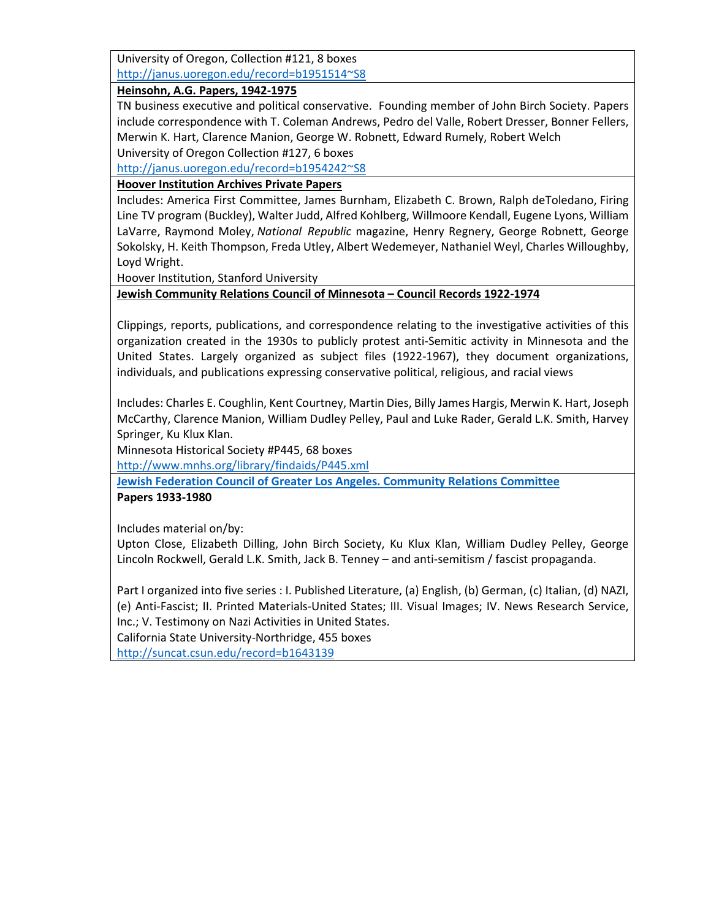University of Oregon, Collection #121, 8 boxes [http://janus.uoregon.edu/record=b1951514~S8](http://janus.uoregon.edu/record=b1951514%7ES8)

**Heinsohn, A.G. Papers, 1942-1975**

TN business executive and political conservative. Founding member of John Birch Society. Papers include correspondence with T. Coleman Andrews, Pedro del Valle, Robert Dresser, Bonner Fellers, Merwin K. Hart, Clarence Manion, George W. Robnett, Edward Rumely, Robert Welch University of Oregon Collection #127, 6 boxes

[http://janus.uoregon.edu/record=b1954242~S8](http://janus.uoregon.edu/record=b1954242%7ES8)

# **Hoover Institution Archives Private Papers**

Includes: America First Committee, James Burnham, Elizabeth C. Brown, Ralph deToledano, Firing Line TV program (Buckley), Walter Judd, Alfred Kohlberg, Willmoore Kendall, Eugene Lyons, William LaVarre, Raymond Moley, *National Republic* magazine, Henry Regnery, George Robnett, George Sokolsky, H. Keith Thompson, Freda Utley, Albert Wedemeyer, Nathaniel Weyl, Charles Willoughby, Loyd Wright.

Hoover Institution, Stanford University

# **Jewish Community Relations Council of Minnesota – Council Records 1922-1974**

Clippings, reports, publications, and correspondence relating to the investigative activities of this organization created in the 1930s to publicly protest anti-Semitic activity in Minnesota and the United States. Largely organized as subject files (1922-1967), they document organizations, individuals, and publications expressing conservative political, religious, and racial views

Includes: Charles E. Coughlin, Kent Courtney, Martin Dies, Billy James Hargis, Merwin K. Hart, Joseph McCarthy, Clarence Manion, William Dudley Pelley, Paul and Luke Rader, Gerald L.K. Smith, Harvey Springer, Ku Klux Klan.

Minnesota Historical Society #P445, 68 boxes

<http://www.mnhs.org/library/findaids/P445.xml>

**[Jewish Federation Council of Greater Los Angeles. Community Relations Committee](http://firstsearch.oclc.org.ezproxy.sfpl.org/WebZ/FSQUERY?searchtype=hotauthors:format=BI:numrecs=10:dbname=CaliforniaCatalog::termh1=Jewish+Federation+Council+of+Greater+Los+Angeles.:indexh1=cn%3D:termh2=Community+Relations+Committee.:indexh2=cn%3D:operatorh1=AND:sessionid=fsapp5-48419-fm9djvv6-47zflj:entitypagenum=25:0:next=html/records.html:bad=error/badsearch.html) Papers 1933-1980**

Includes material on/by:

Upton Close, Elizabeth Dilling, John Birch Society, Ku Klux Klan, William Dudley Pelley, George Lincoln Rockwell, Gerald L.K. Smith, Jack B. Tenney – and anti-semitism / fascist propaganda.

Part I organized into five series : I. Published Literature, (a) English, (b) German, (c) Italian, (d) NAZI, (e) Anti-Fascist; II. Printed Materials-United States; III. Visual Images; IV. News Research Service, Inc.; V. Testimony on Nazi Activities in United States.

California State University-Northridge, 455 boxes

<http://suncat.csun.edu/record=b1643139>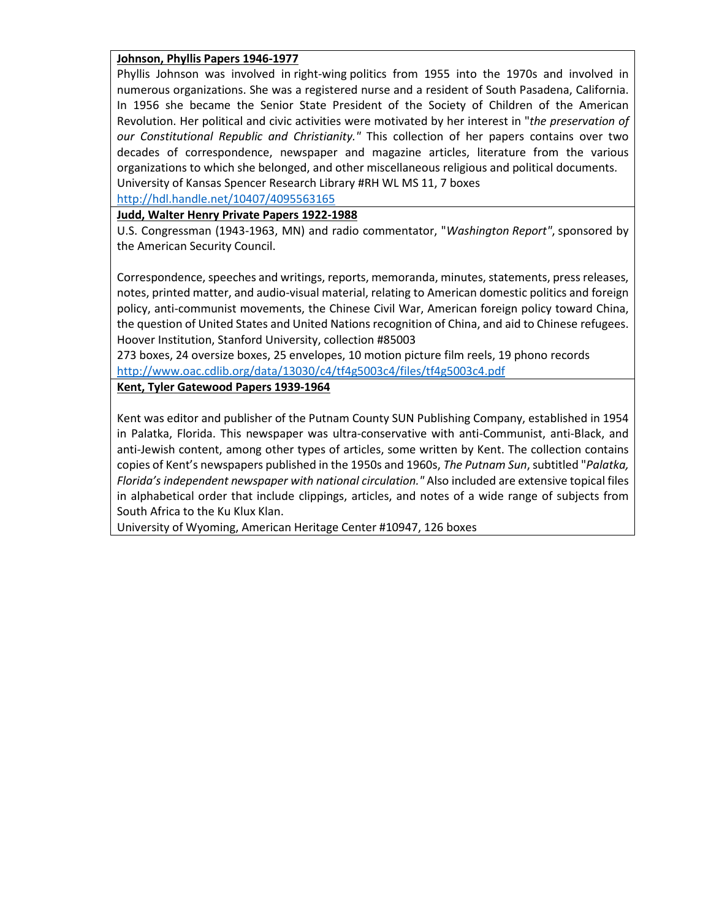### **Johnson, Phyllis Papers 1946-1977**

Phyllis Johnson was involved in right-wing politics from 1955 into the 1970s and involved in numerous organizations. She was a registered nurse and a resident of South Pasadena, California. In 1956 she became the Senior State President of the Society of Children of the American Revolution. Her political and civic activities were motivated by her interest in "*the preservation of our Constitutional Republic and Christianity."* This collection of her papers contains over two decades of correspondence, newspaper and magazine articles, literature from the various organizations to which she belonged, and other miscellaneous religious and political documents.

University of Kansas Spencer Research Library #RH WL MS 11, 7 boxes

<http://hdl.handle.net/10407/4095563165>

## **Judd, Walter Henry Private Papers 1922-1988**

U.S. Congressman (1943-1963, MN) and radio commentator, "*Washington Report"*, sponsored by the American Security Council.

Correspondence, speeches and writings, reports, memoranda, minutes, statements, press releases, notes, printed matter, and audio-visual material, relating to American domestic politics and foreign policy, anti-communist movements, the Chinese Civil War, American foreign policy toward China, the question of United States and United Nations recognition of China, and aid to Chinese refugees. Hoover Institution, Stanford University, collection #85003

273 boxes, 24 oversize boxes, 25 envelopes, 10 motion picture film reels, 19 phono records <http://www.oac.cdlib.org/data/13030/c4/tf4g5003c4/files/tf4g5003c4.pdf>

### **Kent, Tyler Gatewood Papers 1939-1964**

Kent was editor and publisher of the Putnam County SUN Publishing Company, established in 1954 in Palatka, Florida. This newspaper was ultra-conservative with anti-Communist, anti-Black, and anti-Jewish content, among other types of articles, some written by Kent. The collection contains copies of Kent's newspapers published in the 1950s and 1960s, *The Putnam Sun*, subtitled "*Palatka, Florida's independent newspaper with national circulation."* Also included are extensive topical files in alphabetical order that include clippings, articles, and notes of a wide range of subjects from South Africa to the Ku Klux Klan.

University of Wyoming, American Heritage Center #10947, 126 boxes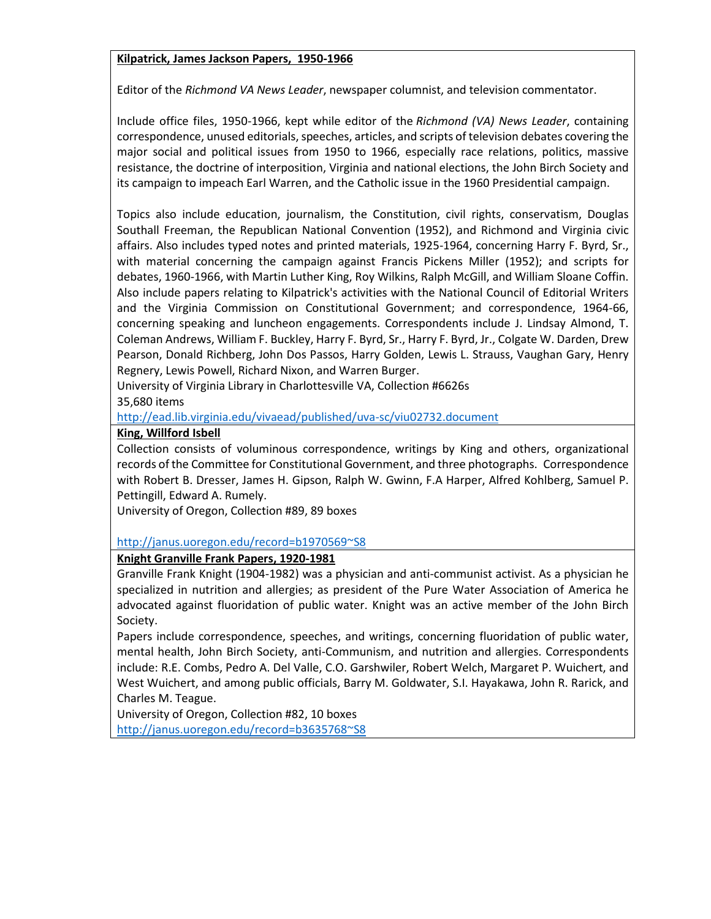### **Kilpatrick, James Jackson Papers, 1950-1966**

Editor of the *Richmond VA News Leader*, newspaper columnist, and television commentator.

Include office files, 1950-1966, kept while editor of the *Richmond (VA) News Leader*, containing correspondence, unused editorials, speeches, articles, and scripts of television debates covering the major social and political issues from 1950 to 1966, especially race relations, politics, massive resistance, the doctrine of interposition, Virginia and national elections, the John Birch Society and its campaign to impeach Earl Warren, and the Catholic issue in the 1960 Presidential campaign.

Topics also include education, journalism, the Constitution, civil rights, conservatism, Douglas Southall Freeman, the Republican National Convention (1952), and Richmond and Virginia civic affairs. Also includes typed notes and printed materials, 1925-1964, concerning Harry F. Byrd, Sr., with material concerning the campaign against Francis Pickens Miller (1952); and scripts for debates, 1960-1966, with Martin Luther King, Roy Wilkins, Ralph McGill, and William Sloane Coffin. Also include papers relating to Kilpatrick's activities with the National Council of Editorial Writers and the Virginia Commission on Constitutional Government; and correspondence, 1964-66, concerning speaking and luncheon engagements. Correspondents include J. Lindsay Almond, T. Coleman Andrews, William F. Buckley, Harry F. Byrd, Sr., Harry F. Byrd, Jr., Colgate W. Darden, Drew Pearson, Donald Richberg, John Dos Passos, Harry Golden, Lewis L. Strauss, Vaughan Gary, Henry Regnery, Lewis Powell, Richard Nixon, and Warren Burger.

University of Virginia Library in Charlottesville VA, Collection #6626s 35,680 items

<http://ead.lib.virginia.edu/vivaead/published/uva-sc/viu02732.document>

#### **King, Willford Isbell**

Collection consists of voluminous correspondence, writings by King and others, organizational records of the Committee for Constitutional Government, and three photographs. Correspondence with Robert B. Dresser, James H. Gipson, Ralph W. Gwinn, F.A Harper, Alfred Kohlberg, Samuel P. Pettingill, Edward A. Rumely.

University of Oregon, Collection #89, 89 boxes

### [http://janus.uoregon.edu/record=b1970569~S8](http://janus.uoregon.edu/record=b1970569%7ES8)

### **Knight Granville Frank Papers, 1920-1981**

Granville Frank Knight (1904-1982) was a physician and anti-communist activist. As a physician he specialized in nutrition and allergies; as president of the Pure Water Association of America he advocated against fluoridation of public water. Knight was an active member of the John Birch Society.

Papers include correspondence, speeches, and writings, concerning fluoridation of public water, mental health, John Birch Society, anti-Communism, and nutrition and allergies. Correspondents include: R.E. Combs, Pedro A. Del Valle, C.O. Garshwiler, Robert Welch, Margaret P. Wuichert, and West Wuichert, and among public officials, Barry M. Goldwater, S.I. Hayakawa, John R. Rarick, and Charles M. Teague.

University of Oregon, Collection #82, 10 boxes [http://janus.uoregon.edu/record=b3635768~S8](http://janus.uoregon.edu/record=b3635768%7ES8)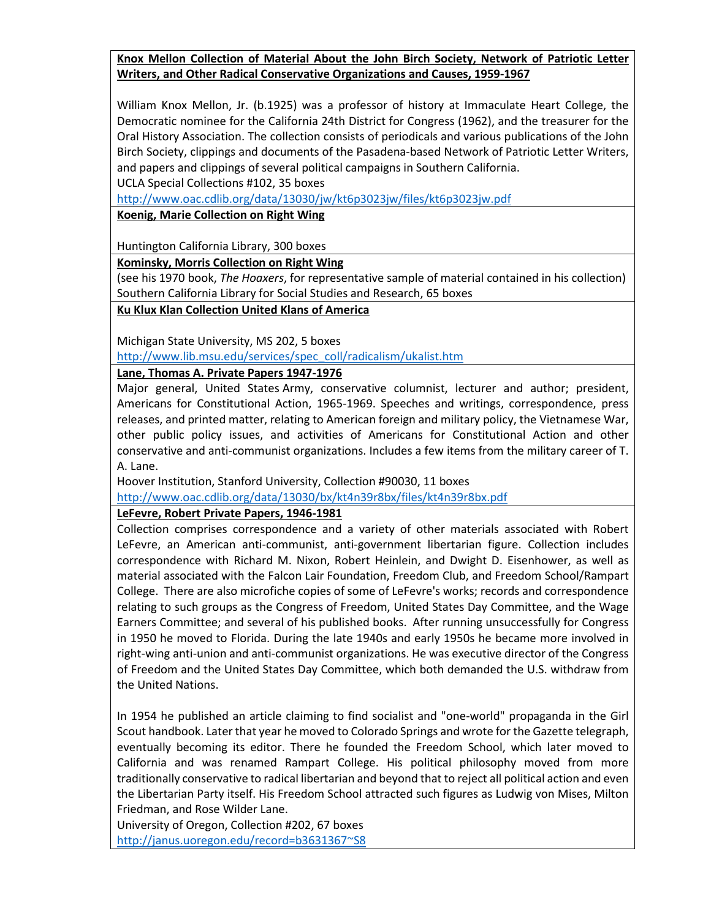# **Knox Mellon Collection of Material About the John Birch Society, Network of Patriotic Letter Writers, and Other Radical Conservative Organizations and Causes, 1959-1967**

William Knox Mellon, Jr. (b.1925) was a professor of history at Immaculate Heart College, the Democratic nominee for the California 24th District for Congress (1962), and the treasurer for the Oral History Association. The collection consists of periodicals and various publications of the John Birch Society, clippings and documents of the Pasadena-based Network of Patriotic Letter Writers, and papers and clippings of several political campaigns in Southern California.

UCLA Special Collections #102, 35 boxes

<http://www.oac.cdlib.org/data/13030/jw/kt6p3023jw/files/kt6p3023jw.pdf>

### **Koenig, Marie Collection on Right Wing**

Huntington California Library, 300 boxes

**Kominsky, Morris Collection on Right Wing**

(see his 1970 book, *The Hoaxers*, for representative sample of material contained in his collection) Southern California Library for Social Studies and Research, 65 boxes

**Ku Klux Klan Collection United Klans of America**

Michigan State University, MS 202, 5 boxes

[http://www.lib.msu.edu/services/spec\\_coll/radicalism/ukalist.htm](http://www.lib.msu.edu/services/spec_coll/radicalism/ukalist.htm)

## **Lane, Thomas A. Private Papers 1947-1976**

Major general, United States Army, conservative columnist, lecturer and author; president, Americans for Constitutional Action, 1965-1969. Speeches and writings, correspondence, press releases, and printed matter, relating to American foreign and military policy, the Vietnamese War, other public policy issues, and activities of Americans for Constitutional Action and other conservative and anti-communist organizations. Includes a few items from the military career of T. A. Lane.

Hoover Institution, Stanford University, Collection #90030, 11 boxes

<http://www.oac.cdlib.org/data/13030/bx/kt4n39r8bx/files/kt4n39r8bx.pdf>

### **LeFevre, Robert Private Papers, 1946-1981**

Collection comprises correspondence and a variety of other materials associated with Robert LeFevre, an American anti-communist, anti-government libertarian figure. Collection includes correspondence with Richard M. Nixon, Robert Heinlein, and Dwight D. Eisenhower, as well as material associated with the Falcon Lair Foundation, Freedom Club, and Freedom School/Rampart College. There are also microfiche copies of some of LeFevre's works; records and correspondence relating to such groups as the Congress of Freedom, United States Day Committee, and the Wage Earners Committee; and several of his published books. After running unsuccessfully for Congress in 1950 he moved to Florida. During the late 1940s and early 1950s he became more involved in right-wing anti-union and anti-communist organizations. He was executive director of the Congress of Freedom and the United States Day Committee, which both demanded the U.S. withdraw from the United Nations.

In 1954 he published an article claiming to find socialist and "one-world" propaganda in the Girl Scout handbook. Later that year he moved to Colorado Springs and wrote for the Gazette telegraph, eventually becoming its editor. There he founded the Freedom School, which later moved to California and was renamed Rampart College. His political philosophy moved from more traditionally conservative to radical libertarian and beyond that to reject all political action and even the Libertarian Party itself. His Freedom School attracted such figures as Ludwig von Mises, Milton Friedman, and Rose Wilder Lane.

University of Oregon, Collection #202, 67 boxes [http://janus.uoregon.edu/record=b3631367~S8](http://janus.uoregon.edu/record=b3631367%7ES8)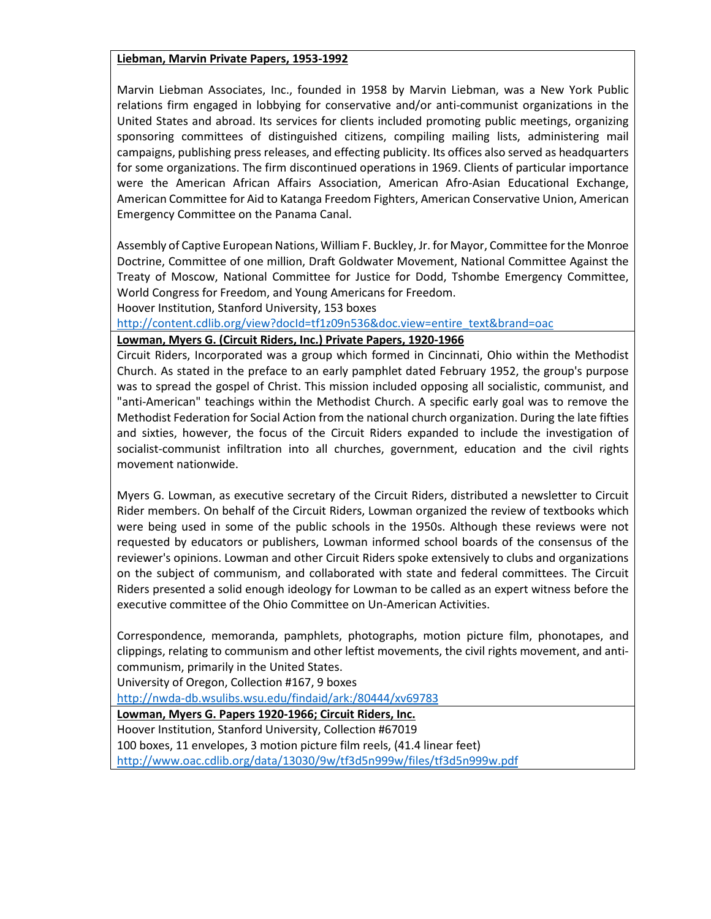#### **Liebman, Marvin Private Papers, 1953-1992**

Marvin Liebman Associates, Inc., founded in 1958 by Marvin Liebman, was a New York Public relations firm engaged in lobbying for conservative and/or anti-communist organizations in the United States and abroad. Its services for clients included promoting public meetings, organizing sponsoring committees of distinguished citizens, compiling mailing lists, administering mail campaigns, publishing press releases, and effecting publicity. Its offices also served as headquarters for some organizations. The firm discontinued operations in 1969. Clients of particular importance were the American African Affairs Association, American Afro-Asian Educational Exchange, American Committee for Aid to Katanga Freedom Fighters, American Conservative Union, American Emergency Committee on the Panama Canal.

Assembly of Captive European Nations, William F. Buckley, Jr. for Mayor, Committee for the Monroe Doctrine, Committee of one million, Draft Goldwater Movement, National Committee Against the Treaty of Moscow, National Committee for Justice for Dodd, Tshombe Emergency Committee, World Congress for Freedom, and Young Americans for Freedom.

Hoover Institution, Stanford University, 153 boxes

[http://content.cdlib.org/view?docId=tf1z09n536&doc.view=entire\\_text&brand=oac](http://content.cdlib.org/view?docId=tf1z09n536&doc.view=entire_text&brand=oac)

**Lowman, Myers G. (Circuit Riders, Inc.) Private Papers, 1920-1966**

Circuit Riders, Incorporated was a group which formed in Cincinnati, Ohio within the Methodist Church. As stated in the preface to an early pamphlet dated February 1952, the group's purpose was to spread the gospel of Christ. This mission included opposing all socialistic, communist, and "anti-American" teachings within the Methodist Church. A specific early goal was to remove the Methodist Federation for Social Action from the national church organization. During the late fifties and sixties, however, the focus of the Circuit Riders expanded to include the investigation of socialist-communist infiltration into all churches, government, education and the civil rights movement nationwide.

Myers G. Lowman, as executive secretary of the Circuit Riders, distributed a newsletter to Circuit Rider members. On behalf of the Circuit Riders, Lowman organized the review of textbooks which were being used in some of the public schools in the 1950s. Although these reviews were not requested by educators or publishers, Lowman informed school boards of the consensus of the reviewer's opinions. Lowman and other Circuit Riders spoke extensively to clubs and organizations on the subject of communism, and collaborated with state and federal committees. The Circuit Riders presented a solid enough ideology for Lowman to be called as an expert witness before the executive committee of the Ohio Committee on Un-American Activities.

Correspondence, memoranda, pamphlets, photographs, motion picture film, phonotapes, and clippings, relating to communism and other leftist movements, the civil rights movement, and anticommunism, primarily in the United States.

University of Oregon, Collection #167, 9 boxes

<http://nwda-db.wsulibs.wsu.edu/findaid/ark:/80444/xv69783>

**Lowman, Myers G. Papers 1920-1966; Circuit Riders, Inc.**

Hoover Institution, Stanford University, Collection #67019 100 boxes, 11 envelopes, 3 motion picture film reels, (41.4 linear feet) <http://www.oac.cdlib.org/data/13030/9w/tf3d5n999w/files/tf3d5n999w.pdf>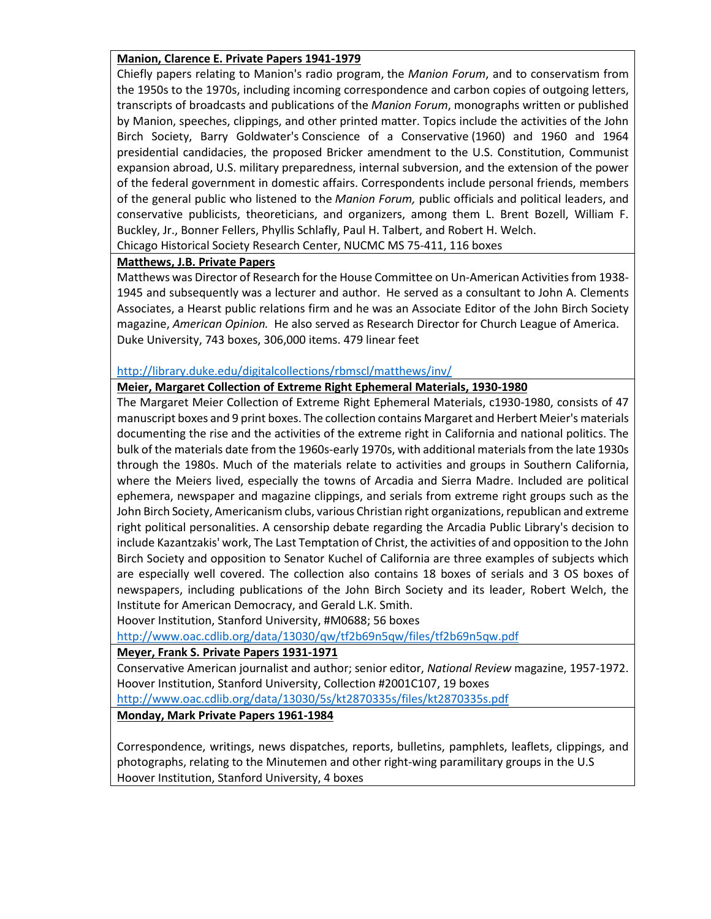## **Manion, Clarence E. Private Papers 1941-1979**

Chiefly papers relating to Manion's radio program, the *Manion Forum*, and to conservatism from the 1950s to the 1970s, including incoming correspondence and carbon copies of outgoing letters, transcripts of broadcasts and publications of the *Manion Forum*, monographs written or published by Manion, speeches, clippings, and other printed matter. Topics include the activities of the John Birch Society, Barry Goldwater's Conscience of a Conservative (1960) and 1960 and 1964 presidential candidacies, the proposed Bricker amendment to the U.S. Constitution, Communist expansion abroad, U.S. military preparedness, internal subversion, and the extension of the power of the federal government in domestic affairs. Correspondents include personal friends, members of the general public who listened to the *Manion Forum,* public officials and political leaders, and conservative publicists, theoreticians, and organizers, among them L. Brent Bozell, William F. Buckley, Jr., Bonner Fellers, Phyllis Schlafly, Paul H. Talbert, and Robert H. Welch. Chicago Historical Society Research Center, NUCMC MS 75-411, 116 boxes

### **Matthews, J.B. Private Papers**

Matthews was Director of Research for the House Committee on Un-American Activities from 1938- 1945 and subsequently was a lecturer and author. He served as a consultant to John A. Clements Associates, a Hearst public relations firm and he was an Associate Editor of the John Birch Society magazine, *American Opinion.* He also served as Research Director for Church League of America. Duke University, 743 boxes, 306,000 items. 479 linear feet

### <http://library.duke.edu/digitalcollections/rbmscl/matthews/inv/>

#### **Meier, Margaret Collection of Extreme Right Ephemeral Materials, 1930-1980**

The Margaret Meier Collection of Extreme Right Ephemeral Materials, c1930-1980, consists of 47 manuscript boxes and 9 print boxes. The collection contains Margaret and Herbert Meier's materials documenting the rise and the activities of the extreme right in California and national politics. The bulk of the materials date from the 1960s-early 1970s, with additional materials from the late 1930s through the 1980s. Much of the materials relate to activities and groups in Southern California, where the Meiers lived, especially the towns of Arcadia and Sierra Madre. Included are political ephemera, newspaper and magazine clippings, and serials from extreme right groups such as the John Birch Society, Americanism clubs, various Christian right organizations, republican and extreme right political personalities. A censorship debate regarding the Arcadia Public Library's decision to include Kazantzakis' work, The Last Temptation of Christ, the activities of and opposition to the John Birch Society and opposition to Senator Kuchel of California are three examples of subjects which are especially well covered. The collection also contains 18 boxes of serials and 3 OS boxes of newspapers, including publications of the John Birch Society and its leader, Robert Welch, the Institute for American Democracy, and Gerald L.K. Smith.

Hoover Institution, Stanford University, #M0688; 56 boxes

<http://www.oac.cdlib.org/data/13030/qw/tf2b69n5qw/files/tf2b69n5qw.pdf>

### **Meyer, Frank S. Private Papers 1931-1971**

Conservative American journalist and author; senior editor, *National Review* magazine, 1957-1972. Hoover Institution, Stanford University, Collection #2001C107, 19 boxes <http://www.oac.cdlib.org/data/13030/5s/kt2870335s/files/kt2870335s.pdf>

### **Monday, Mark Private Papers 1961-1984**

Correspondence, writings, news dispatches, reports, bulletins, pamphlets, leaflets, clippings, and photographs, relating to the Minutemen and other right-wing paramilitary groups in the U.S Hoover Institution, Stanford University, 4 boxes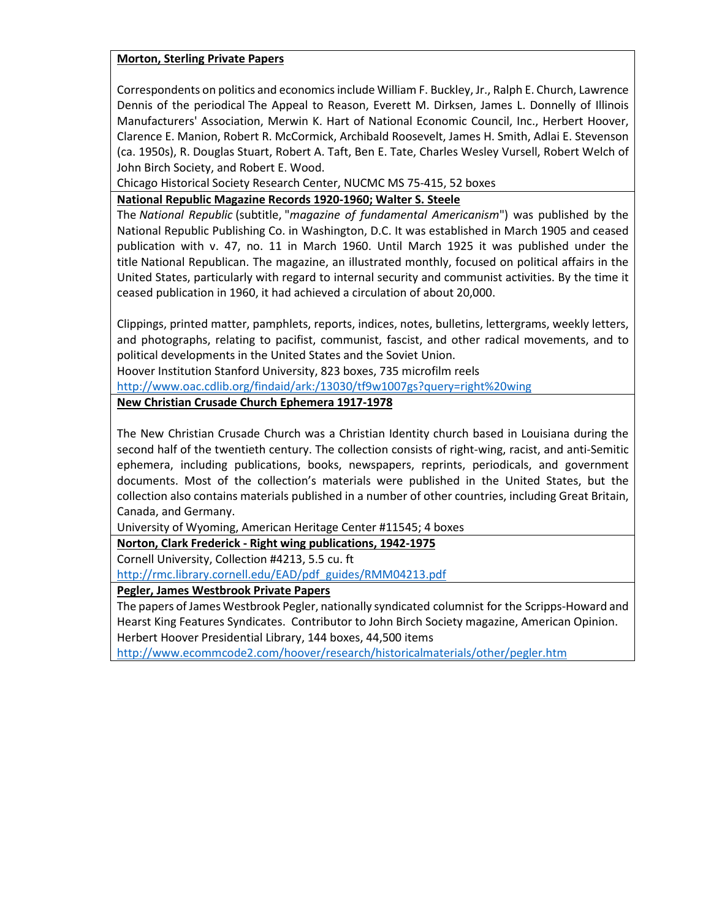## **Morton, Sterling Private Papers**

Correspondents on politics and economics include William F. Buckley, Jr., Ralph E. Church, Lawrence Dennis of the periodical The Appeal to Reason, Everett M. Dirksen, James L. Donnelly of Illinois Manufacturers' Association, Merwin K. Hart of National Economic Council, Inc., Herbert Hoover, Clarence E. Manion, Robert R. McCormick, Archibald Roosevelt, James H. Smith, Adlai E. Stevenson (ca. 1950s), R. Douglas Stuart, Robert A. Taft, Ben E. Tate, Charles Wesley Vursell, Robert Welch of John Birch Society, and Robert E. Wood.

Chicago Historical Society Research Center, NUCMC MS 75-415, 52 boxes

**National Republic Magazine Records 1920-1960; Walter S. Steele**

The *National Republic* (subtitle, "*magazine of fundamental Americanism*") was published by the National Republic Publishing Co. in Washington, D.C. It was established in March 1905 and ceased publication with v. 47, no. 11 in March 1960. Until March 1925 it was published under the title National Republican. The magazine, an illustrated monthly, focused on political affairs in the United States, particularly with regard to internal security and communist activities. By the time it ceased publication in 1960, it had achieved a circulation of about 20,000.

Clippings, printed matter, pamphlets, reports, indices, notes, bulletins, lettergrams, weekly letters, and photographs, relating to pacifist, communist, fascist, and other radical movements, and to political developments in the United States and the Soviet Union.

Hoover Institution Stanford University, 823 boxes, 735 microfilm reels

<http://www.oac.cdlib.org/findaid/ark:/13030/tf9w1007gs?query=right%20wing>

**New Christian Crusade Church Ephemera 1917-1978**

The New Christian Crusade Church was a Christian Identity church based in Louisiana during the second half of the twentieth century. The collection consists of right-wing, racist, and anti-Semitic ephemera, including publications, books, newspapers, reprints, periodicals, and government documents. Most of the collection's materials were published in the United States, but the collection also contains materials published in a number of other countries, including Great Britain, Canada, and Germany.

University of Wyoming, American Heritage Center #11545; 4 boxes

**Norton, Clark Frederick - Right wing publications, 1942-1975**

Cornell University, Collection #4213, 5.5 cu. ft

[http://rmc.library.cornell.edu/EAD/pdf\\_guides/RMM04213.pdf](http://rmc.library.cornell.edu/EAD/pdf_guides/RMM04213.pdf)

**Pegler, James Westbrook Private Papers**

The papers of James Westbrook Pegler, nationally syndicated columnist for the Scripps-Howard and Hearst King Features Syndicates. Contributor to John Birch Society magazine, American Opinion. Herbert Hoover Presidential Library, 144 boxes, 44,500 items

<http://www.ecommcode2.com/hoover/research/historicalmaterials/other/pegler.htm>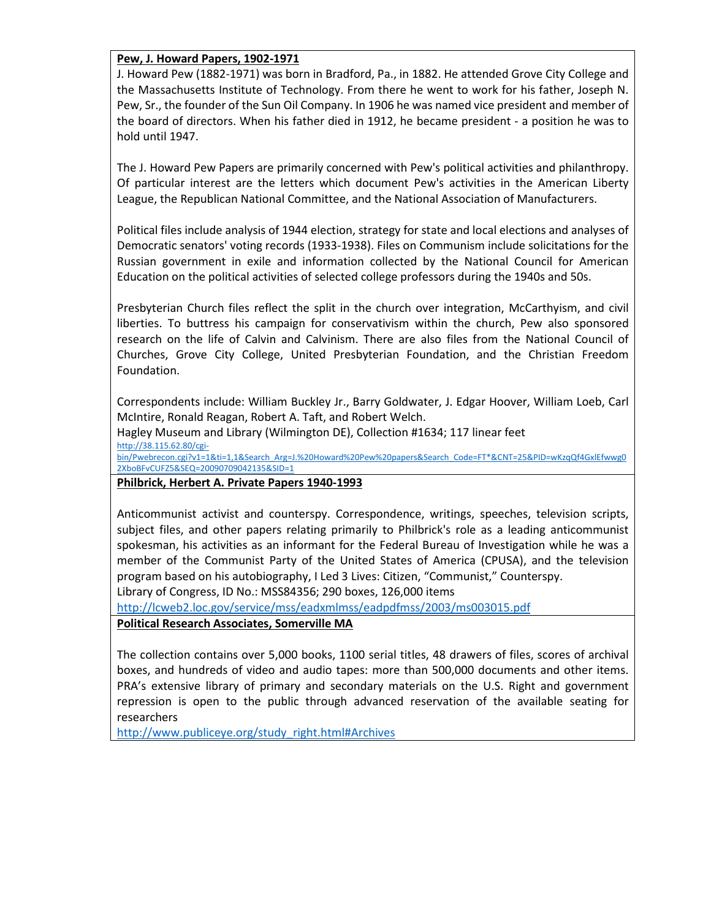### **Pew, J. Howard Papers, 1902-1971**

J. Howard Pew (1882-1971) was born in Bradford, Pa., in 1882. He attended Grove City College and the Massachusetts Institute of Technology. From there he went to work for his father, Joseph N. Pew, Sr., the founder of the Sun Oil Company. In 1906 he was named vice president and member of the board of directors. When his father died in 1912, he became president - a position he was to hold until 1947.

The J. Howard Pew Papers are primarily concerned with Pew's political activities and philanthropy. Of particular interest are the letters which document Pew's activities in the American Liberty League, the Republican National Committee, and the National Association of Manufacturers.

Political files include analysis of 1944 election, strategy for state and local elections and analyses of Democratic senators' voting records (1933-1938). Files on Communism include solicitations for the Russian government in exile and information collected by the National Council for American Education on the political activities of selected college professors during the 1940s and 50s.

Presbyterian Church files reflect the split in the church over integration, McCarthyism, and civil liberties. To buttress his campaign for conservativism within the church, Pew also sponsored research on the life of Calvin and Calvinism. There are also files from the National Council of Churches, Grove City College, United Presbyterian Foundation, and the Christian Freedom Foundation.

Correspondents include: William Buckley Jr., Barry Goldwater, J. Edgar Hoover, William Loeb, Carl McIntire, Ronald Reagan, Robert A. Taft, and Robert Welch.

Hagley Museum and Library (Wilmington DE), Collection #1634; 117 linear feet [http://38.115.62.80/cgi-](http://38.115.62.80/cgi-bin/Pwebrecon.cgi?v1=1&ti=1,1&Search_Arg=J.%20Howard%20Pew%20papers&Search_Code=FT*&CNT=25&PID=wKzqQf4GxlEfwwg02XboBFvCUFZ5&SEQ=20090709042135&SID=1)

[bin/Pwebrecon.cgi?v1=1&ti=1,1&Search\\_Arg=J.%20Howard%20Pew%20papers&Search\\_Code=FT\\*&CNT=25&PID=wKzqQf4GxlEfwwg0](http://38.115.62.80/cgi-bin/Pwebrecon.cgi?v1=1&ti=1,1&Search_Arg=J.%20Howard%20Pew%20papers&Search_Code=FT*&CNT=25&PID=wKzqQf4GxlEfwwg02XboBFvCUFZ5&SEQ=20090709042135&SID=1) [2XboBFvCUFZ5&SEQ=20090709042135&SID=1](http://38.115.62.80/cgi-bin/Pwebrecon.cgi?v1=1&ti=1,1&Search_Arg=J.%20Howard%20Pew%20papers&Search_Code=FT*&CNT=25&PID=wKzqQf4GxlEfwwg02XboBFvCUFZ5&SEQ=20090709042135&SID=1)

**Philbrick, Herbert A. Private Papers 1940-1993**

Anticommunist activist and counterspy. Correspondence, writings, speeches, television scripts, subject files, and other papers relating primarily to Philbrick's role as a leading anticommunist spokesman, his activities as an informant for the Federal Bureau of Investigation while he was a member of the Communist Party of the United States of America (CPUSA), and the television program based on his autobiography, I Led 3 Lives: Citizen, "Communist," Counterspy. Library of Congress, ID No.: MSS84356; 290 boxes, 126,000 items

<http://lcweb2.loc.gov/service/mss/eadxmlmss/eadpdfmss/2003/ms003015.pdf>

**Political Research Associates, Somerville MA**

The collection contains over 5,000 books, 1100 serial titles, 48 drawers of files, scores of archival boxes, and hundreds of video and audio tapes: more than 500,000 documents and other items. PRA's extensive library of primary and secondary materials on the U.S. Right and government repression is open to the public through advanced reservation of the available seating for researchers

[http://www.publiceye.org/study\\_right.html#Archives](http://www.publiceye.org/study_right.html#Archives)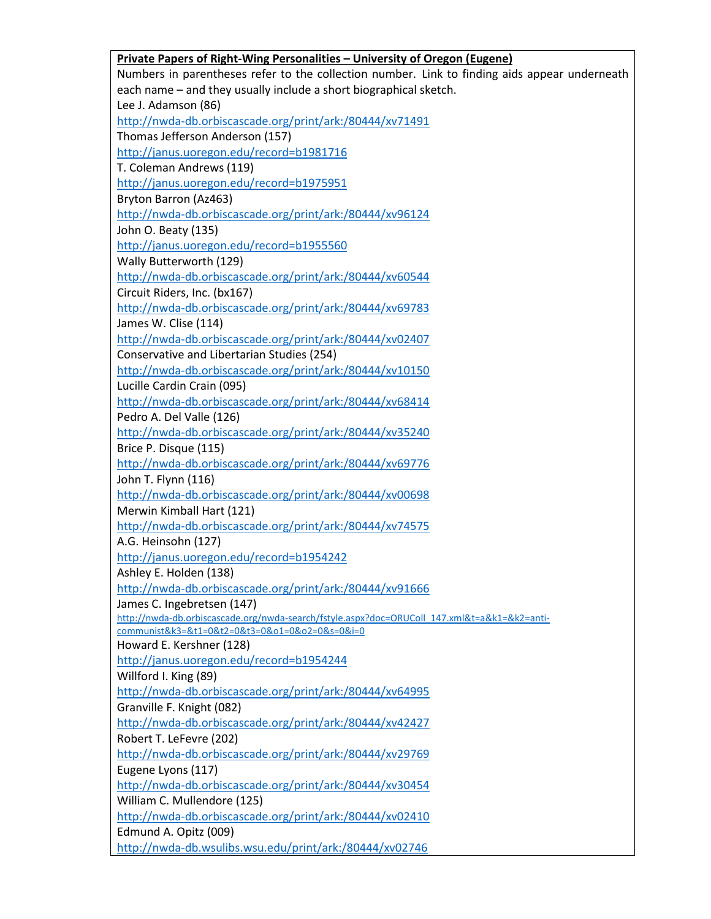| Private Papers of Right-Wing Personalities - University of Oregon (Eugene)                    |
|-----------------------------------------------------------------------------------------------|
| Numbers in parentheses refer to the collection number. Link to finding aids appear underneath |
| each name - and they usually include a short biographical sketch.                             |
| Lee J. Adamson (86)                                                                           |
| http://nwda-db.orbiscascade.org/print/ark:/80444/xv71491                                      |
| Thomas Jefferson Anderson (157)                                                               |
| http://janus.uoregon.edu/record=b1981716                                                      |
| T. Coleman Andrews (119)                                                                      |
| http://janus.uoregon.edu/record=b1975951                                                      |
| Bryton Barron (Az463)                                                                         |
| http://nwda-db.orbiscascade.org/print/ark:/80444/xv96124                                      |
| John O. Beaty (135)                                                                           |
| http://janus.uoregon.edu/record=b1955560                                                      |
| Wally Butterworth (129)                                                                       |
| http://nwda-db.orbiscascade.org/print/ark:/80444/xv60544                                      |
| Circuit Riders, Inc. (bx167)                                                                  |
| http://nwda-db.orbiscascade.org/print/ark:/80444/xv69783                                      |
| James W. Clise (114)                                                                          |
| http://nwda-db.orbiscascade.org/print/ark:/80444/xv02407                                      |
| Conservative and Libertarian Studies (254)                                                    |
| http://nwda-db.orbiscascade.org/print/ark:/80444/xv10150                                      |
| Lucille Cardin Crain (095)                                                                    |
| http://nwda-db.orbiscascade.org/print/ark:/80444/xv68414                                      |
| Pedro A. Del Valle (126)                                                                      |
| http://nwda-db.orbiscascade.org/print/ark:/80444/xv35240                                      |
| Brice P. Disque (115)                                                                         |
| http://nwda-db.orbiscascade.org/print/ark:/80444/xv69776                                      |
| John T. Flynn (116)                                                                           |
| http://nwda-db.orbiscascade.org/print/ark:/80444/xv00698                                      |
| Merwin Kimball Hart (121)                                                                     |
| http://nwda-db.orbiscascade.org/print/ark:/80444/xv74575                                      |
| A.G. Heinsohn (127)                                                                           |
| http://janus.uoregon.edu/record=b1954242                                                      |
| Ashley E. Holden (138)                                                                        |
| http://nwda-db.orbiscascade.org/print/ark:/80444/xv91666                                      |
| James C. Ingebretsen (147)                                                                    |
| http://nwda-db.orbiscascade.org/nwda-search/fstyle.aspx?doc=ORUColl 147.xml&t=a&k1=&k2=anti-  |
| communist&k3=&t1=0&t2=0&t3=0&o1=0&o2=0&s=0&i=0                                                |
| Howard E. Kershner (128)                                                                      |
| http://janus.uoregon.edu/record=b1954244                                                      |
| Willford I. King (89)                                                                         |
| http://nwda-db.orbiscascade.org/print/ark:/80444/xv64995                                      |
| Granville F. Knight (082)                                                                     |
| http://nwda-db.orbiscascade.org/print/ark:/80444/xv42427                                      |
| Robert T. LeFevre (202)                                                                       |
| http://nwda-db.orbiscascade.org/print/ark:/80444/xv29769                                      |
| Eugene Lyons (117)                                                                            |
| http://nwda-db.orbiscascade.org/print/ark:/80444/xv30454                                      |
| William C. Mullendore (125)                                                                   |
| http://nwda-db.orbiscascade.org/print/ark:/80444/xv02410                                      |
| Edmund A. Opitz (009)                                                                         |
| http://nwda-db.wsulibs.wsu.edu/print/ark:/80444/xv02746                                       |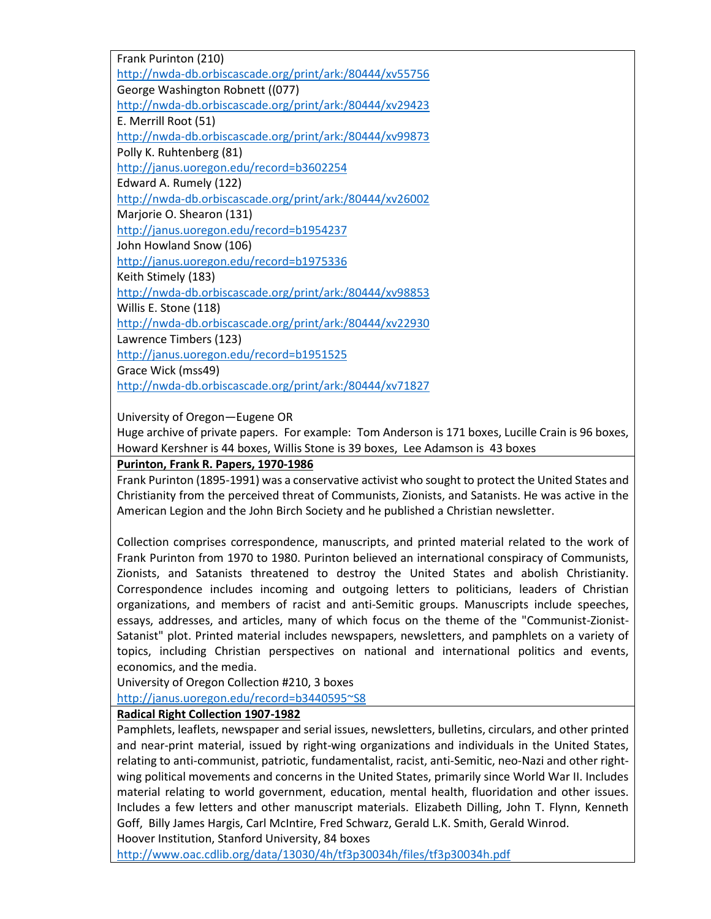Frank Purinton (210) <http://nwda-db.orbiscascade.org/print/ark:/80444/xv55756> George Washington Robnett ((077) <http://nwda-db.orbiscascade.org/print/ark:/80444/xv29423> E. Merrill Root (51) <http://nwda-db.orbiscascade.org/print/ark:/80444/xv99873> Polly K. Ruhtenberg (81) <http://janus.uoregon.edu/record=b3602254> Edward A. Rumely (122) <http://nwda-db.orbiscascade.org/print/ark:/80444/xv26002> Marjorie O. Shearon (131) <http://janus.uoregon.edu/record=b1954237> John Howland Snow (106) <http://janus.uoregon.edu/record=b1975336> Keith Stimely (183) <http://nwda-db.orbiscascade.org/print/ark:/80444/xv98853> Willis E. Stone (118) <http://nwda-db.orbiscascade.org/print/ark:/80444/xv22930> Lawrence Timbers (123) <http://janus.uoregon.edu/record=b1951525> Grace Wick (mss49) <http://nwda-db.orbiscascade.org/print/ark:/80444/xv71827>

University of Oregon—Eugene OR

Huge archive of private papers. For example: Tom Anderson is 171 boxes, Lucille Crain is 96 boxes, Howard Kershner is 44 boxes, Willis Stone is 39 boxes, Lee Adamson is 43 boxes

## **Purinton, Frank R. Papers, 1970-1986**

Frank Purinton (1895-1991) was a conservative activist who sought to protect the United States and Christianity from the perceived threat of Communists, Zionists, and Satanists. He was active in the American Legion and the John Birch Society and he published a Christian newsletter.

Collection comprises correspondence, manuscripts, and printed material related to the work of Frank Purinton from 1970 to 1980. Purinton believed an international conspiracy of Communists, Zionists, and Satanists threatened to destroy the United States and abolish Christianity. Correspondence includes incoming and outgoing letters to politicians, leaders of Christian organizations, and members of racist and anti-Semitic groups. Manuscripts include speeches, essays, addresses, and articles, many of which focus on the theme of the "Communist-Zionist-Satanist" plot. Printed material includes newspapers, newsletters, and pamphlets on a variety of topics, including Christian perspectives on national and international politics and events, economics, and the media.

University of Oregon Collection #210, 3 boxes

[http://janus.uoregon.edu/record=b3440595~S8](http://janus.uoregon.edu/record=b3440595%7ES8)

### **Radical Right Collection 1907-1982**

Pamphlets, leaflets, newspaper and serial issues, newsletters, bulletins, circulars, and other printed and near-print material, issued by right-wing organizations and individuals in the United States, relating to anti-communist, patriotic, fundamentalist, racist, anti-Semitic, neo-Nazi and other rightwing political movements and concerns in the United States, primarily since World War II. Includes material relating to world government, education, mental health, fluoridation and other issues. Includes a few letters and other manuscript materials. Elizabeth Dilling, John T. Flynn, Kenneth Goff, Billy James Hargis, Carl McIntire, Fred Schwarz, Gerald L.K. Smith, Gerald Winrod. Hoover Institution, Stanford University, 84 boxes

<http://www.oac.cdlib.org/data/13030/4h/tf3p30034h/files/tf3p30034h.pdf>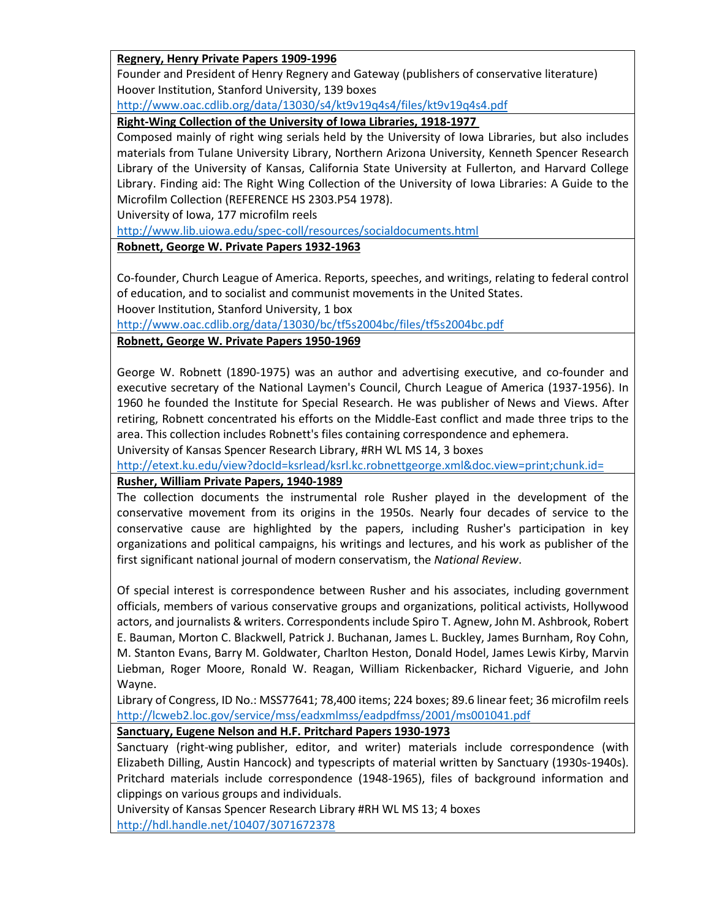## **Regnery, Henry Private Papers 1909-1996**

Founder and President of Henry Regnery and Gateway (publishers of conservative literature) Hoover Institution, Stanford University, 139 boxes

<http://www.oac.cdlib.org/data/13030/s4/kt9v19q4s4/files/kt9v19q4s4.pdf>

**Right-Wing Collection of the University of Iowa Libraries, 1918-1977**

Composed mainly of right wing serials held by the University of Iowa Libraries, but also includes materials from Tulane University Library, Northern Arizona University, Kenneth Spencer Research Library of the University of Kansas, California State University at Fullerton, and Harvard College Library. Finding aid: The Right Wing Collection of the University of Iowa Libraries: A Guide to the Microfilm Collection (REFERENCE HS 2303.P54 1978).

University of Iowa, 177 microfilm reels

<http://www.lib.uiowa.edu/spec-coll/resources/socialdocuments.html>

**Robnett, George W. Private Papers 1932-1963**

Co-founder, Church League of America. Reports, speeches, and writings, relating to federal control of education, and to socialist and communist movements in the United States.

Hoover Institution, Stanford University, 1 box

<http://www.oac.cdlib.org/data/13030/bc/tf5s2004bc/files/tf5s2004bc.pdf>

**Robnett, George W. Private Papers 1950-1969**

George W. Robnett (1890-1975) was an author and advertising executive, and co-founder and executive secretary of the National Laymen's Council, Church League of America (1937-1956). In 1960 he founded the Institute for Special Research. He was publisher of News and Views. After retiring, Robnett concentrated his efforts on the Middle-East conflict and made three trips to the area. This collection includes Robnett's files containing correspondence and ephemera.

University of Kansas Spencer Research Library, #RH WL MS 14, 3 boxes

<http://etext.ku.edu/view?docId=ksrlead/ksrl.kc.robnettgeorge.xml&doc.view=print;chunk.id=>

# **Rusher, William Private Papers, 1940-1989**

The collection documents the instrumental role Rusher played in the development of the conservative movement from its origins in the 1950s. Nearly four decades of service to the conservative cause are highlighted by the papers, including Rusher's participation in key organizations and political campaigns, his writings and lectures, and his work as publisher of the first significant national journal of modern conservatism, the *National Review*.

Of special interest is correspondence between Rusher and his associates, including government officials, members of various conservative groups and organizations, political activists, Hollywood actors, and journalists & writers. Correspondents include Spiro T. Agnew, John M. Ashbrook, Robert E. Bauman, Morton C. Blackwell, Patrick J. Buchanan, James L. Buckley, James Burnham, Roy Cohn, M. Stanton Evans, Barry M. Goldwater, Charlton Heston, Donald Hodel, James Lewis Kirby, Marvin Liebman, Roger Moore, Ronald W. Reagan, William Rickenbacker, Richard Viguerie, and John Wayne.

Library of Congress, ID No.: MSS77641; 78,400 items; 224 boxes; 89.6 linear feet; 36 microfilm reels <http://lcweb2.loc.gov/service/mss/eadxmlmss/eadpdfmss/2001/ms001041.pdf>

**Sanctuary, Eugene Nelson and H.F. Pritchard Papers 1930-1973**

Sanctuary (right-wing publisher, editor, and writer) materials include correspondence (with Elizabeth Dilling, Austin Hancock) and typescripts of material written by Sanctuary (1930s-1940s). Pritchard materials include correspondence (1948-1965), files of background information and clippings on various groups and individuals.

University of Kansas Spencer Research Library #RH WL MS 13; 4 boxes <http://hdl.handle.net/10407/3071672378>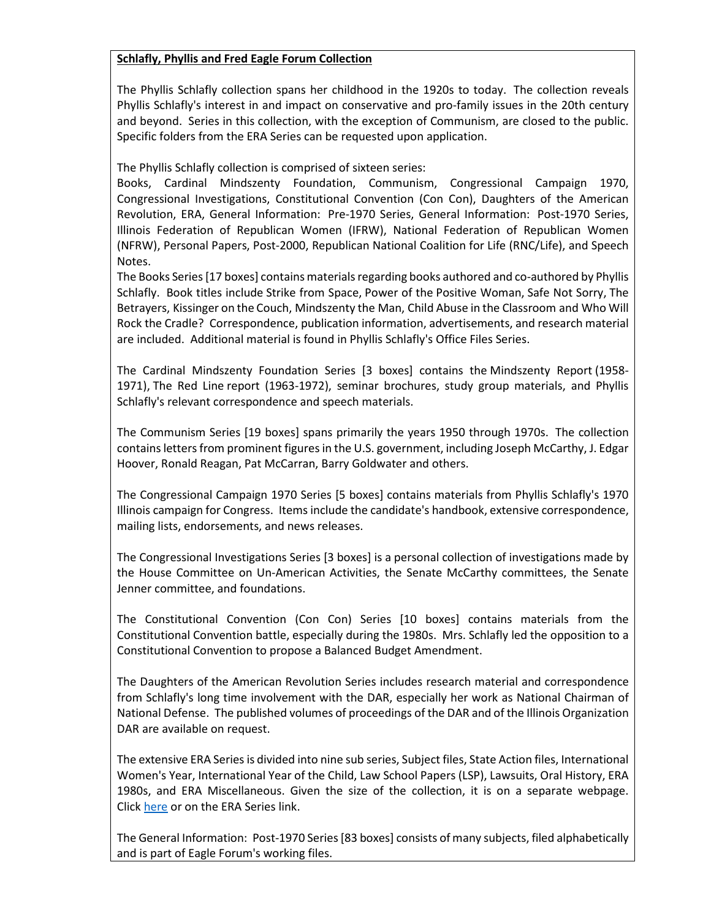## **Schlafly, Phyllis and Fred Eagle Forum Collection**

The Phyllis Schlafly collection spans her childhood in the 1920s to today. The collection reveals Phyllis Schlafly's interest in and impact on conservative and pro-family issues in the 20th century and beyond. Series in this collection, with the exception of Communism, are closed to the public. Specific folders from the ERA Series can be requested upon application.

The Phyllis Schlafly collection is comprised of sixteen series:

Books, Cardinal Mindszenty Foundation, Communism, Congressional Campaign 1970, Congressional Investigations, Constitutional Convention (Con Con), Daughters of the American Revolution, ERA, General Information: Pre-1970 Series, General Information: Post-1970 Series, Illinois Federation of Republican Women (IFRW), National Federation of Republican Women (NFRW), Personal Papers, Post-2000, Republican National Coalition for Life (RNC/Life), and Speech Notes.

The Books Series [17 boxes] contains materials regarding books authored and co-authored by Phyllis Schlafly. Book titles include Strike from Space, Power of the Positive Woman, Safe Not Sorry, The Betrayers, Kissinger on the Couch, Mindszenty the Man, Child Abuse in the Classroom and Who Will Rock the Cradle? Correspondence, publication information, advertisements, and research material are included. Additional material is found in Phyllis Schlafly's Office Files Series.

The Cardinal Mindszenty Foundation Series [3 boxes] contains the Mindszenty Report (1958- 1971), The Red Line report (1963-1972), seminar brochures, study group materials, and Phyllis Schlafly's relevant correspondence and speech materials.

The Communism Series [19 boxes] spans primarily the years 1950 through 1970s. The collection contains letters from prominent figures in the U.S. government, including Joseph McCarthy, J. Edgar Hoover, Ronald Reagan, Pat McCarran, Barry Goldwater and others.

The Congressional Campaign 1970 Series [5 boxes] contains materials from Phyllis Schlafly's 1970 Illinois campaign for Congress. Items include the candidate's handbook, extensive correspondence, mailing lists, endorsements, and news releases.

The Congressional Investigations Series [3 boxes] is a personal collection of investigations made by the House Committee on Un-American Activities, the Senate McCarthy committees, the Senate Jenner committee, and foundations.

The Constitutional Convention (Con Con) Series [10 boxes] contains materials from the Constitutional Convention battle, especially during the 1980s. Mrs. Schlafly led the opposition to a Constitutional Convention to propose a Balanced Budget Amendment.

The Daughters of the American Revolution Series includes research material and correspondence from Schlafly's long time involvement with the DAR, especially her work as National Chairman of National Defense. The published volumes of proceedings of the DAR and of the Illinois Organization DAR are available on request.

The extensive ERA Series is divided into nine sub series, Subject files, State Action files, International Women's Year, International Year of the Child, Law School Papers (LSP), Lawsuits, Oral History, ERA 1980s, and ERA Miscellaneous. Given the size of the collection, it is on a separate webpage. Click [here](http://www.eagleforumarchives.org/PS-Equal-Rights-Amendment-Series.html) or on the ERA Series link.

The General Information: Post-1970 Series [83 boxes] consists of many subjects, filed alphabetically and is part of Eagle Forum's working files.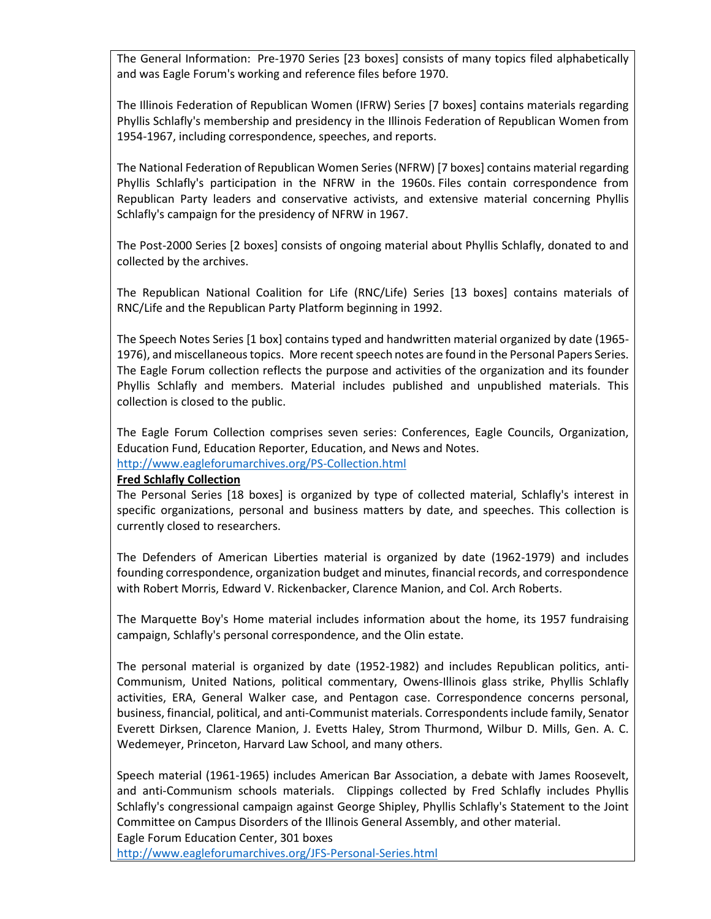The General Information: Pre-1970 Series [23 boxes] consists of many topics filed alphabetically and was Eagle Forum's working and reference files before 1970.

The Illinois Federation of Republican Women (IFRW) Series [7 boxes] contains materials regarding Phyllis Schlafly's membership and presidency in the Illinois Federation of Republican Women from 1954-1967, including correspondence, speeches, and reports.

The National Federation of Republican Women Series (NFRW) [7 boxes] contains material regarding Phyllis Schlafly's participation in the NFRW in the 1960s. Files contain correspondence from Republican Party leaders and conservative activists, and extensive material concerning Phyllis Schlafly's campaign for the presidency of NFRW in 1967.

The Post-2000 Series [2 boxes] consists of ongoing material about Phyllis Schlafly, donated to and collected by the archives.

The Republican National Coalition for Life (RNC/Life) Series [13 boxes] contains materials of RNC/Life and the Republican Party Platform beginning in 1992.

The Speech Notes Series [1 box] contains typed and handwritten material organized by date (1965- 1976), and miscellaneous topics. More recent speech notes are found in the Personal Papers Series. The Eagle Forum collection reflects the purpose and activities of the organization and its founder Phyllis Schlafly and members. Material includes published and unpublished materials. This collection is closed to the public.

The Eagle Forum Collection comprises seven series: Conferences, Eagle Councils, Organization, Education Fund, Education Reporter, Education, and News and Notes. <http://www.eagleforumarchives.org/PS-Collection.html>

#### **Fred Schlafly Collection**

The Personal Series [18 boxes] is organized by type of collected material, Schlafly's interest in specific organizations, personal and business matters by date, and speeches. This collection is currently closed to researchers.

The Defenders of American Liberties material is organized by date (1962-1979) and includes founding correspondence, organization budget and minutes, financial records, and correspondence with Robert Morris, Edward V. Rickenbacker, Clarence Manion, and Col. Arch Roberts.

The Marquette Boy's Home material includes information about the home, its 1957 fundraising campaign, Schlafly's personal correspondence, and the Olin estate.

The personal material is organized by date (1952-1982) and includes Republican politics, anti-Communism, United Nations, political commentary, Owens-Illinois glass strike, Phyllis Schlafly activities, ERA, General Walker case, and Pentagon case. Correspondence concerns personal, business, financial, political, and anti-Communist materials. Correspondents include family, Senator Everett Dirksen, Clarence Manion, J. Evetts Haley, Strom Thurmond, Wilbur D. Mills, Gen. A. C. Wedemeyer, Princeton, Harvard Law School, and many others.

Speech material (1961-1965) includes American Bar Association, a debate with James Roosevelt, and anti-Communism schools materials. Clippings collected by Fred Schlafly includes Phyllis Schlafly's congressional campaign against George Shipley, Phyllis Schlafly's Statement to the Joint Committee on Campus Disorders of the Illinois General Assembly, and other material. Eagle Forum Education Center, 301 boxes

<http://www.eagleforumarchives.org/JFS-Personal-Series.html>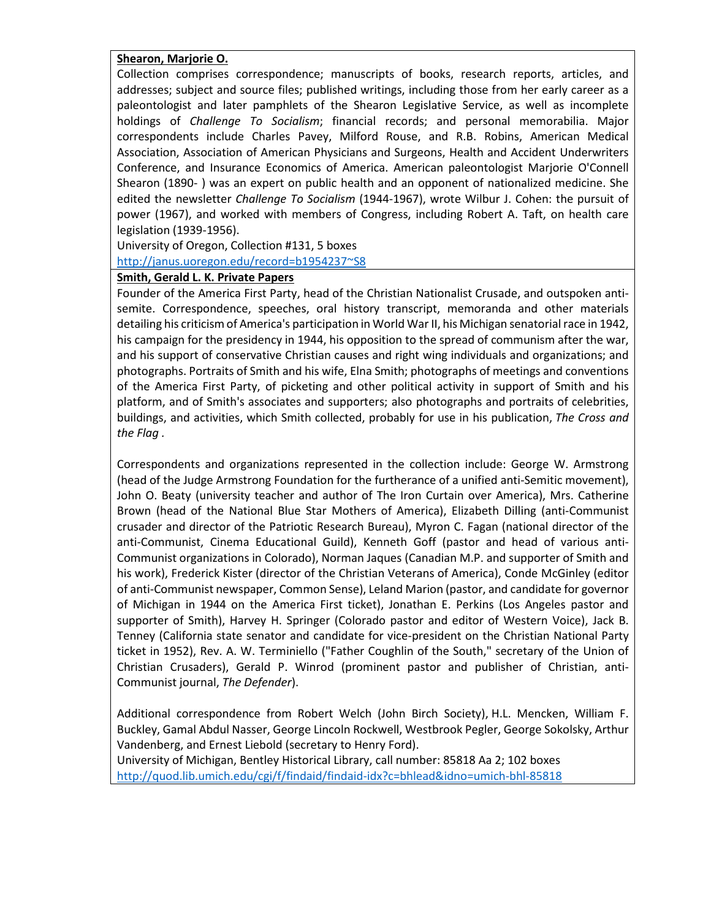### **Shearon, Marjorie O.**

Collection comprises correspondence; manuscripts of books, research reports, articles, and addresses; subject and source files; published writings, including those from her early career as a paleontologist and later pamphlets of the Shearon Legislative Service, as well as incomplete holdings of *Challenge To Socialism*; financial records; and personal memorabilia. Major correspondents include Charles Pavey, Milford Rouse, and R.B. Robins, American Medical Association, Association of American Physicians and Surgeons, Health and Accident Underwriters Conference, and Insurance Economics of America. American paleontologist Marjorie O'Connell Shearon (1890- ) was an expert on public health and an opponent of nationalized medicine. She edited the newsletter *Challenge To Socialism* (1944-1967), wrote Wilbur J. Cohen: the pursuit of power (1967), and worked with members of Congress, including Robert A. Taft, on health care legislation (1939-1956).

University of Oregon, Collection #131, 5 boxes [http://janus.uoregon.edu/record=b1954237~S8](http://janus.uoregon.edu/record=b1954237%7ES8)

#### **Smith, Gerald L. K. Private Papers**

Founder of the America First Party, head of the Christian Nationalist Crusade, and outspoken antisemite. Correspondence, speeches, oral history transcript, memoranda and other materials detailing his criticism of America's participation in World War II, his Michigan senatorial race in 1942, his campaign for the presidency in 1944, his opposition to the spread of communism after the war, and his support of conservative Christian causes and right wing individuals and organizations; and photographs. Portraits of Smith and his wife, Elna Smith; photographs of meetings and conventions of the America First Party, of picketing and other political activity in support of Smith and his platform, and of Smith's associates and supporters; also photographs and portraits of celebrities, buildings, and activities, which Smith collected, probably for use in his publication, *The Cross and the Flag .*

Correspondents and organizations represented in the collection include: George W. Armstrong (head of the Judge Armstrong Foundation for the furtherance of a unified anti-Semitic movement), John O. Beaty (university teacher and author of The Iron Curtain over America), Mrs. Catherine Brown (head of the National Blue Star Mothers of America), Elizabeth Dilling (anti-Communist crusader and director of the Patriotic Research Bureau), Myron C. Fagan (national director of the anti-Communist, Cinema Educational Guild), Kenneth Goff (pastor and head of various anti-Communist organizations in Colorado), Norman Jaques (Canadian M.P. and supporter of Smith and his work), Frederick Kister (director of the Christian Veterans of America), Conde McGinley (editor of anti-Communist newspaper, Common Sense), Leland Marion (pastor, and candidate for governor of Michigan in 1944 on the America First ticket), Jonathan E. Perkins (Los Angeles pastor and supporter of Smith), Harvey H. Springer (Colorado pastor and editor of Western Voice), Jack B. Tenney (California state senator and candidate for vice-president on the Christian National Party ticket in 1952), Rev. A. W. Terminiello ("Father Coughlin of the South," secretary of the Union of Christian Crusaders), Gerald P. Winrod (prominent pastor and publisher of Christian, anti-Communist journal, *The Defender*).

Additional correspondence from Robert Welch (John Birch Society), H.L. Mencken, William F. Buckley, Gamal Abdul Nasser, George Lincoln Rockwell, Westbrook Pegler, George Sokolsky, Arthur Vandenberg, and Ernest Liebold (secretary to Henry Ford).

University of Michigan, Bentley Historical Library, call number: 85818 Aa 2; 102 boxes <http://quod.lib.umich.edu/cgi/f/findaid/findaid-idx?c=bhlead&idno=umich-bhl-85818>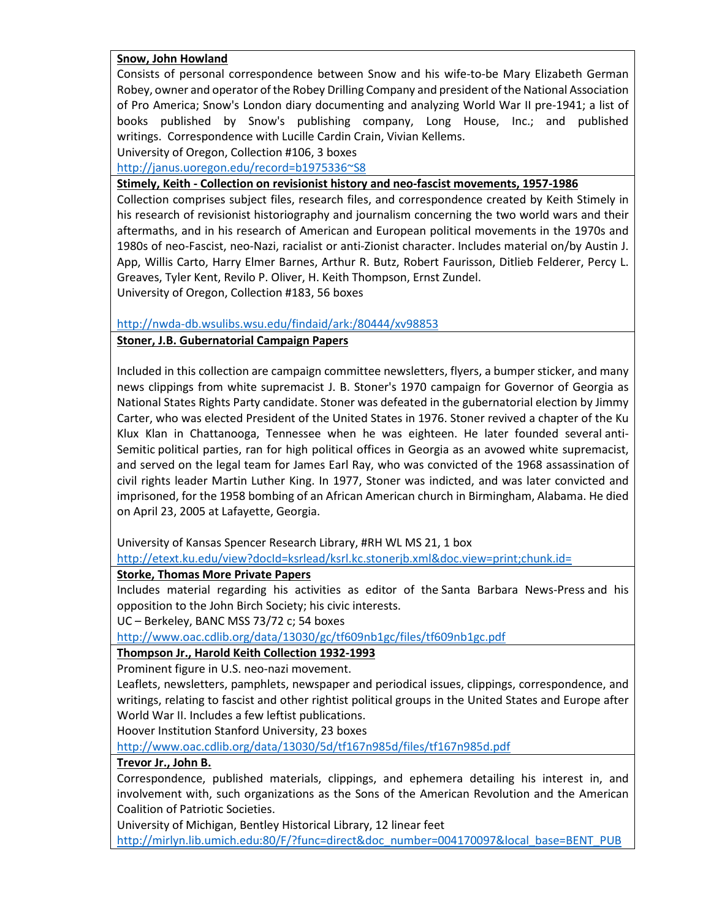### **Snow, John Howland**

Consists of personal correspondence between Snow and his wife-to-be Mary Elizabeth German Robey, owner and operator of the Robey Drilling Company and president of the National Association of Pro America; Snow's London diary documenting and analyzing World War II pre-1941; a list of books published by Snow's publishing company, Long House, Inc.; and published writings. Correspondence with Lucille Cardin Crain, Vivian Kellems.

University of Oregon, Collection #106, 3 boxes

[http://janus.uoregon.edu/record=b1975336~S8](http://janus.uoregon.edu/record=b1975336%7ES8)

**Stimely, Keith - Collection on revisionist history and neo-fascist movements, 1957-1986**

Collection comprises subject files, research files, and correspondence created by Keith Stimely in his research of revisionist historiography and journalism concerning the two world wars and their aftermaths, and in his research of American and European political movements in the 1970s and 1980s of neo-Fascist, neo-Nazi, racialist or anti-Zionist character. Includes material on/by Austin J. App, Willis Carto, Harry Elmer Barnes, Arthur R. Butz, Robert Faurisson, Ditlieb Felderer, Percy L. Greaves, Tyler Kent, Revilo P. Oliver, H. Keith Thompson, Ernst Zundel.

University of Oregon, Collection #183, 56 boxes

<http://nwda-db.wsulibs.wsu.edu/findaid/ark:/80444/xv98853>

## **Stoner, J.B. Gubernatorial Campaign Papers**

Included in this collection are campaign committee newsletters, flyers, a bumper sticker, and many news clippings from white supremacist J. B. Stoner's 1970 campaign for Governor of Georgia as National States Rights Party candidate. Stoner was defeated in the gubernatorial election by Jimmy Carter, who was elected President of the United States in 1976. Stoner revived a chapter of the Ku Klux Klan in Chattanooga, Tennessee when he was eighteen. He later founded several anti-Semitic political parties, ran for high political offices in Georgia as an avowed white supremacist, and served on the legal team for James Earl Ray, who was convicted of the 1968 assassination of civil rights leader Martin Luther King. In 1977, Stoner was indicted, and was later convicted and imprisoned, for the 1958 bombing of an African American church in Birmingham, Alabama. He died on April 23, 2005 at Lafayette, Georgia.

University of Kansas Spencer Research Library, #RH WL MS 21, 1 box

<http://etext.ku.edu/view?docId=ksrlead/ksrl.kc.stonerjb.xml&doc.view=print;chunk.id=>

# **Storke, Thomas More Private Papers**

Includes material regarding his activities as editor of the Santa Barbara News-Press and his opposition to the John Birch Society; his civic interests.

UC – Berkeley, BANC MSS 73/72 c; 54 boxes

<http://www.oac.cdlib.org/data/13030/gc/tf609nb1gc/files/tf609nb1gc.pdf>

# **Thompson Jr., Harold Keith Collection 1932-1993**

Prominent figure in U.S. neo-nazi movement.

Leaflets, newsletters, pamphlets, newspaper and periodical issues, clippings, correspondence, and writings, relating to fascist and other rightist political groups in the United States and Europe after World War II. Includes a few leftist publications.

Hoover Institution Stanford University, 23 boxes

<http://www.oac.cdlib.org/data/13030/5d/tf167n985d/files/tf167n985d.pdf>

### **Trevor Jr., John B.**

Correspondence, published materials, clippings, and ephemera detailing his interest in, and involvement with, such organizations as the Sons of the American Revolution and the American Coalition of Patriotic Societies.

University of Michigan, Bentley Historical Library, 12 linear feet

[http://mirlyn.lib.umich.edu:80/F/?func=direct&doc\\_number=004170097&local\\_base=BENT\\_PUB](http://mirlyn.lib.umich.edu/F/?func=direct&doc_number=004170097&local_base=BENT_PUB)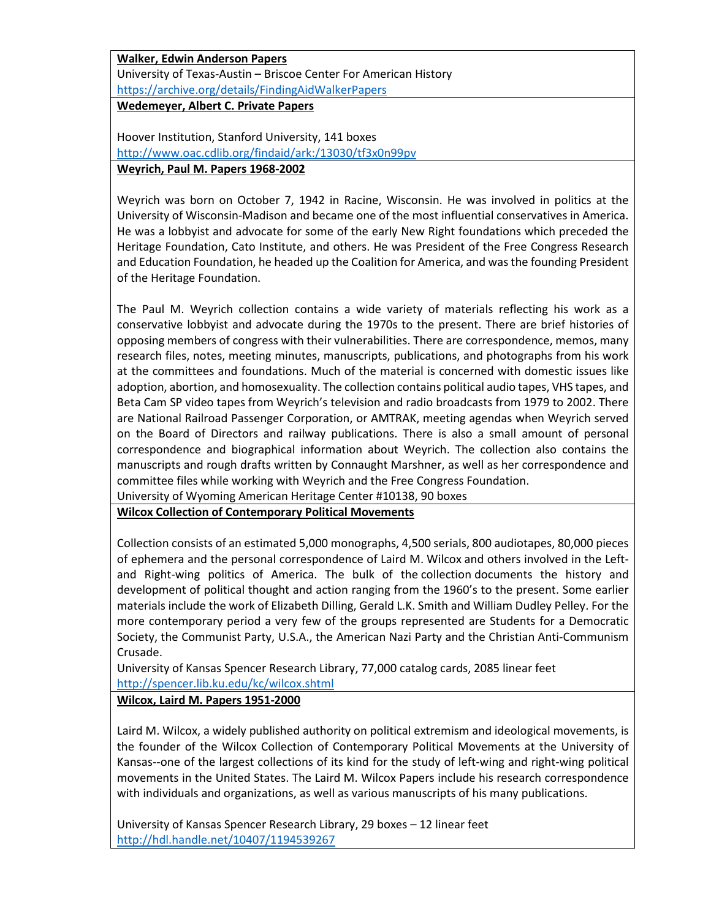**Walker, Edwin Anderson Papers** University of Texas-Austin – Briscoe Center For American History <https://archive.org/details/FindingAidWalkerPapers>

**Wedemeyer, Albert C. Private Papers**

Hoover Institution, Stanford University, 141 boxes <http://www.oac.cdlib.org/findaid/ark:/13030/tf3x0n99pv> **Weyrich, Paul M. Papers 1968-2002**

Weyrich was born on October 7, 1942 in Racine, Wisconsin. He was involved in politics at the University of Wisconsin-Madison and became one of the most influential conservatives in America. He was a lobbyist and advocate for some of the early New Right foundations which preceded the Heritage Foundation, Cato Institute, and others. He was President of the Free Congress Research and Education Foundation, he headed up the Coalition for America, and was the founding President of the Heritage Foundation.

The Paul M. Weyrich collection contains a wide variety of materials reflecting his work as a conservative lobbyist and advocate during the 1970s to the present. There are brief histories of opposing members of congress with their vulnerabilities. There are correspondence, memos, many research files, notes, meeting minutes, manuscripts, publications, and photographs from his work at the committees and foundations. Much of the material is concerned with domestic issues like adoption, abortion, and homosexuality. The collection contains political audio tapes, VHS tapes, and Beta Cam SP video tapes from Weyrich's television and radio broadcasts from 1979 to 2002. There are National Railroad Passenger Corporation, or AMTRAK, meeting agendas when Weyrich served on the Board of Directors and railway publications. There is also a small amount of personal correspondence and biographical information about Weyrich. The collection also contains the manuscripts and rough drafts written by Connaught Marshner, as well as her correspondence and committee files while working with Weyrich and the Free Congress Foundation.

University of Wyoming American Heritage Center #10138, 90 boxes

**Wilcox Collection of Contemporary Political Movements**

Collection consists of an estimated 5,000 monographs, 4,500 serials, 800 audiotapes, 80,000 pieces of ephemera and the personal correspondence of Laird M. Wilcox and others involved in the Leftand Right-wing politics of America. The bulk of the collection documents the history and development of political thought and action ranging from the 1960's to the present. Some earlier materials include the work of Elizabeth Dilling, Gerald L.K. Smith and William Dudley Pelley. For the more contemporary period a very few of the groups represented are Students for a Democratic Society, the Communist Party, U.S.A., the American Nazi Party and the Christian Anti-Communism Crusade.

University of Kansas Spencer Research Library, 77,000 catalog cards, 2085 linear feet <http://spencer.lib.ku.edu/kc/wilcox.shtml>

# **Wilcox, Laird M. Papers 1951-2000**

Laird M. Wilcox, a widely published authority on political extremism and ideological movements, is the founder of the Wilcox Collection of Contemporary Political Movements at the University of Kansas--one of the largest collections of its kind for the study of left-wing and right-wing political movements in the United States. The Laird M. Wilcox Papers include his research correspondence with individuals and organizations, as well as various manuscripts of his many publications.

University of Kansas Spencer Research Library, 29 boxes – 12 linear feet <http://hdl.handle.net/10407/1194539267>